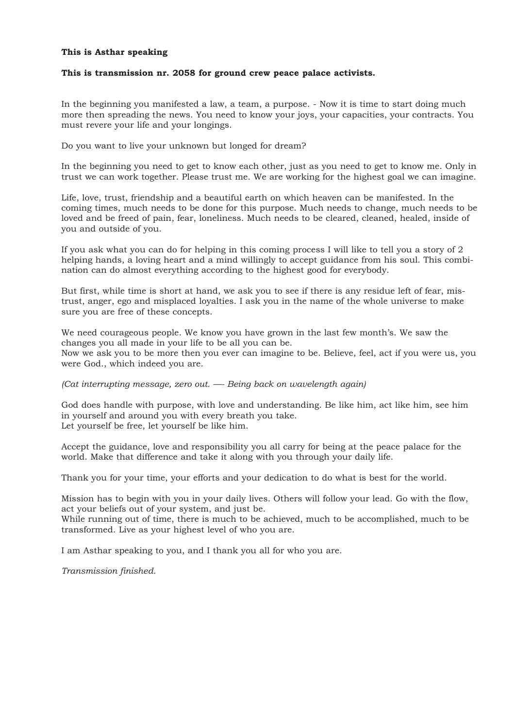#### **This is Asthar speaking**

#### **This is transmission nr. 2058 for ground crew peace palace activists.**

In the beginning you manifested a law, a team, a purpose. - Now it is time to start doing much more then spreading the news. You need to know your joys, your capacities, your contracts. You must revere your life and your longings.

Do you want to live your unknown but longed for dream?

In the beginning you need to get to know each other, just as you need to get to know me. Only in trust we can work together. Please trust me. We are working for the highest goal we can imagine.

Life, love, trust, friendship and a beautiful earth on which heaven can be manifested. In the coming times, much needs to be done for this purpose. Much needs to change, much needs to be loved and be freed of pain, fear, loneliness. Much needs to be cleared, cleaned, healed, inside of you and outside of you.

If you ask what you can do for helping in this coming process I will like to tell you a story of 2 helping hands, a loving heart and a mind willingly to accept guidance from his soul. This combination can do almost everything according to the highest good for everybody.

But first, while time is short at hand, we ask you to see if there is any residue left of fear, mistrust, anger, ego and misplaced loyalties. I ask you in the name of the whole universe to make sure you are free of these concepts.

We need courageous people. We know you have grown in the last few month's. We saw the changes you all made in your life to be all you can be. Now we ask you to be more then you ever can imagine to be. Believe, feel, act if you were us, you were God., which indeed you are.

*(Cat interrupting message, zero out. —- Being back on wavelength again)* 

God does handle with purpose, with love and understanding. Be like him, act like him, see him in yourself and around you with every breath you take. Let yourself be free, let yourself be like him.

Accept the guidance, love and responsibility you all carry for being at the peace palace for the world. Make that difference and take it along with you through your daily life.

Thank you for your time, your efforts and your dedication to do what is best for the world.

Mission has to begin with you in your daily lives. Others will follow your lead. Go with the flow, act your beliefs out of your system, and just be.

While running out of time, there is much to be achieved, much to be accomplished, much to be transformed. Live as your highest level of who you are.

I am Asthar speaking to you, and I thank you all for who you are.

*Transmission finished.*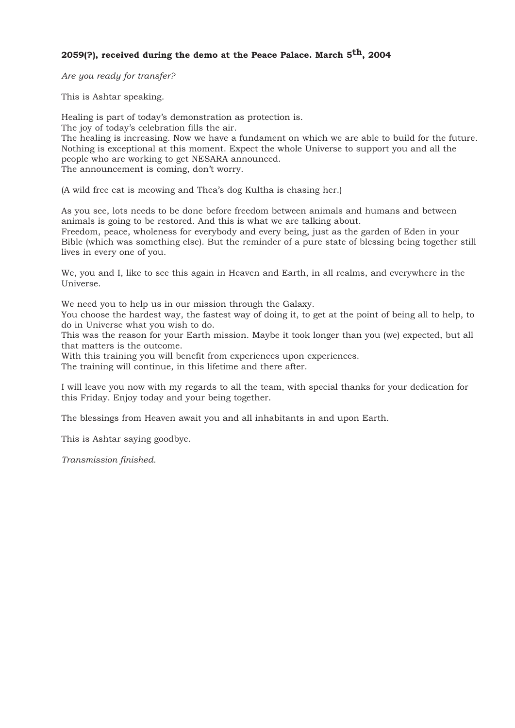# **2059(?), received during the demo at the Peace Palace. March 5th, 2004**

*Are you ready for transfer?* 

This is Ashtar speaking.

Healing is part of today's demonstration as protection is. The joy of today's celebration fills the air. The healing is increasing. Now we have a fundament on which we are able to build for the future. Nothing is exceptional at this moment. Expect the whole Universe to support you and all the people who are working to get NESARA announced. The announcement is coming, don't worry.

(A wild free cat is meowing and Thea's dog Kultha is chasing her.)

As you see, lots needs to be done before freedom between animals and humans and between animals is going to be restored. And this is what we are talking about. Freedom, peace, wholeness for everybody and every being, just as the garden of Eden in your Bible (which was something else). But the reminder of a pure state of blessing being together still lives in every one of you.

We, you and I, like to see this again in Heaven and Earth, in all realms, and everywhere in the Universe.

We need you to help us in our mission through the Galaxy.

You choose the hardest way, the fastest way of doing it, to get at the point of being all to help, to do in Universe what you wish to do.

This was the reason for your Earth mission. Maybe it took longer than you (we) expected, but all that matters is the outcome.

With this training you will benefit from experiences upon experiences.

The training will continue, in this lifetime and there after.

I will leave you now with my regards to all the team, with special thanks for your dedication for this Friday. Enjoy today and your being together.

The blessings from Heaven await you and all inhabitants in and upon Earth.

This is Ashtar saying goodbye.

*Transmission finished.*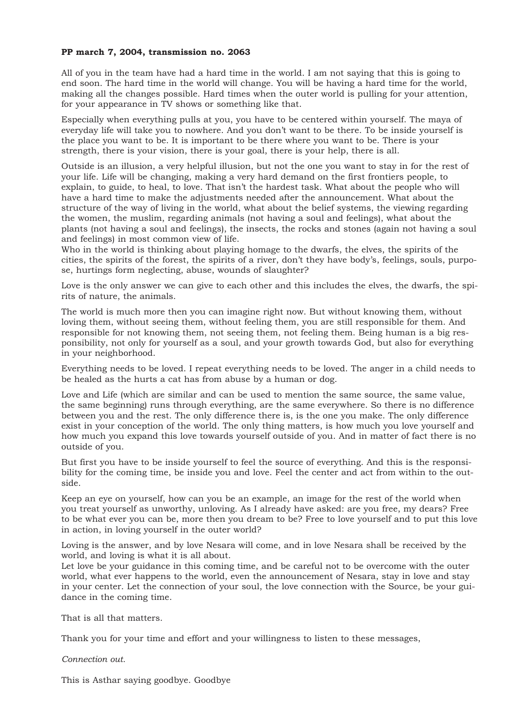## **PP march 7, 2004, transmission no. 2063**

All of you in the team have had a hard time in the world. I am not saying that this is going to end soon. The hard time in the world will change. You will be having a hard time for the world, making all the changes possible. Hard times when the outer world is pulling for your attention, for your appearance in TV shows or something like that.

Especially when everything pulls at you, you have to be centered within yourself. The maya of everyday life will take you to nowhere. And you don't want to be there. To be inside yourself is the place you want to be. It is important to be there where you want to be. There is your strength, there is your vision, there is your goal, there is your help, there is all.

Outside is an illusion, a very helpful illusion, but not the one you want to stay in for the rest of your life. Life will be changing, making a very hard demand on the first frontiers people, to explain, to guide, to heal, to love. That isn't the hardest task. What about the people who will have a hard time to make the adjustments needed after the announcement. What about the structure of the way of living in the world, what about the belief systems, the viewing regarding the women, the muslim, regarding animals (not having a soul and feelings), what about the plants (not having a soul and feelings), the insects, the rocks and stones (again not having a soul and feelings) in most common view of life.

Who in the world is thinking about playing homage to the dwarfs, the elves, the spirits of the cities, the spirits of the forest, the spirits of a river, don't they have body's, feelings, souls, purpose, hurtings form neglecting, abuse, wounds of slaughter?

Love is the only answer we can give to each other and this includes the elves, the dwarfs, the spirits of nature, the animals.

The world is much more then you can imagine right now. But without knowing them, without loving them, without seeing them, without feeling them, you are still responsible for them. And responsible for not knowing them, not seeing them, not feeling them. Being human is a big responsibility, not only for yourself as a soul, and your growth towards God, but also for everything in your neighborhood.

Everything needs to be loved. I repeat everything needs to be loved. The anger in a child needs to be healed as the hurts a cat has from abuse by a human or dog.

Love and Life (which are similar and can be used to mention the same source, the same value, the same beginning) runs through everything, are the same everywhere. So there is no difference between you and the rest. The only difference there is, is the one you make. The only difference exist in your conception of the world. The only thing matters, is how much you love yourself and how much you expand this love towards yourself outside of you. And in matter of fact there is no outside of you.

But first you have to be inside yourself to feel the source of everything. And this is the responsibility for the coming time, be inside you and love. Feel the center and act from within to the outside.

Keep an eye on yourself, how can you be an example, an image for the rest of the world when you treat yourself as unworthy, unloving. As I already have asked: are you free, my dears? Free to be what ever you can be, more then you dream to be? Free to love yourself and to put this love in action, in loving yourself in the outer world?

Loving is the answer, and by love Nesara will come, and in love Nesara shall be received by the world, and loving is what it is all about.

Let love be your guidance in this coming time, and be careful not to be overcome with the outer world, what ever happens to the world, even the announcement of Nesara, stay in love and stay in your center. Let the connection of your soul, the love connection with the Source, be your guidance in the coming time.

That is all that matters.

Thank you for your time and effort and your willingness to listen to these messages,

*Connection out.* 

This is Asthar saying goodbye. Goodbye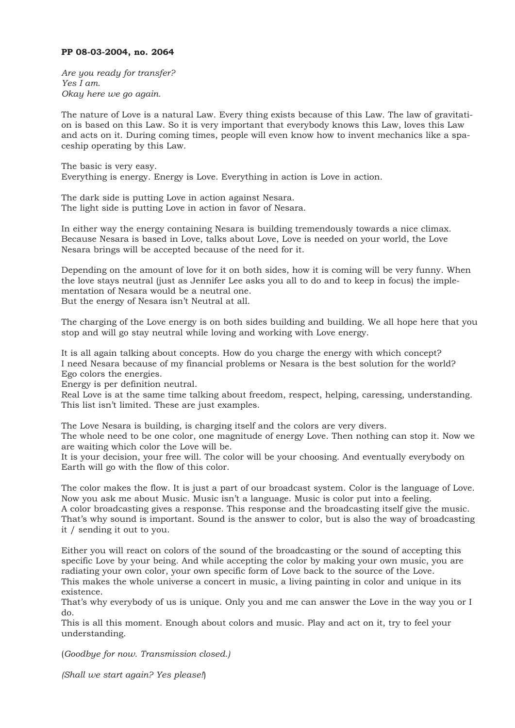#### **PP 08-03-2004, no. 2064**

*Are you ready for transfer? Yes I am. Okay here we go again.*

The nature of Love is a natural Law. Every thing exists because of this Law. The law of gravitation is based on this Law. So it is very important that everybody knows this Law, loves this Law and acts on it. During coming times, people will even know how to invent mechanics like a spaceship operating by this Law.

The basic is very easy. Everything is energy. Energy is Love. Everything in action is Love in action.

The dark side is putting Love in action against Nesara. The light side is putting Love in action in favor of Nesara.

In either way the energy containing Nesara is building tremendously towards a nice climax. Because Nesara is based in Love, talks about Love, Love is needed on your world, the Love Nesara brings will be accepted because of the need for it.

Depending on the amount of love for it on both sides, how it is coming will be very funny. When the love stays neutral (just as Jennifer Lee asks you all to do and to keep in focus) the implementation of Nesara would be a neutral one. But the energy of Nesara isn't Neutral at all.

The charging of the Love energy is on both sides building and building. We all hope here that you stop and will go stay neutral while loving and working with Love energy.

It is all again talking about concepts. How do you charge the energy with which concept? I need Nesara because of my financial problems or Nesara is the best solution for the world? Ego colors the energies.

Energy is per definition neutral.

Real Love is at the same time talking about freedom, respect, helping, caressing, understanding. This list isn't limited. These are just examples.

The Love Nesara is building, is charging itself and the colors are very divers.

The whole need to be one color, one magnitude of energy Love. Then nothing can stop it. Now we are waiting which color the Love will be.

It is your decision, your free will. The color will be your choosing. And eventually everybody on Earth will go with the flow of this color.

The color makes the flow. It is just a part of our broadcast system. Color is the language of Love. Now you ask me about Music. Music isn't a language. Music is color put into a feeling. A color broadcasting gives a response. This response and the broadcasting itself give the music. That's why sound is important. Sound is the answer to color, but is also the way of broadcasting it / sending it out to you.

Either you will react on colors of the sound of the broadcasting or the sound of accepting this specific Love by your being. And while accepting the color by making your own music, you are radiating your own color, your own specific form of Love back to the source of the Love. This makes the whole universe a concert in music, a living painting in color and unique in its existence.

That's why everybody of us is unique. Only you and me can answer the Love in the way you or I do.

This is all this moment. Enough about colors and music. Play and act on it, try to feel your understanding.

(*Goodbye for now. Transmission closed.)*

*(Shall we start again? Yes please!*)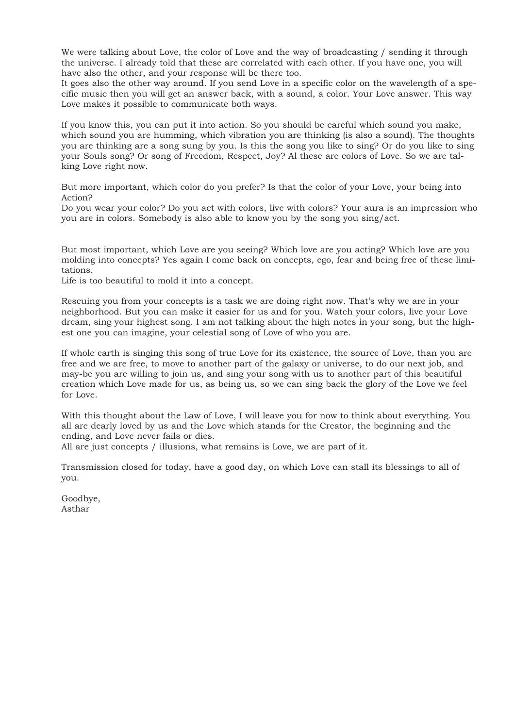We were talking about Love, the color of Love and the way of broadcasting / sending it through the universe. I already told that these are correlated with each other. If you have one, you will have also the other, and your response will be there too.

It goes also the other way around. If you send Love in a specific color on the wavelength of a specific music then you will get an answer back, with a sound, a color. Your Love answer. This way Love makes it possible to communicate both ways.

If you know this, you can put it into action. So you should be careful which sound you make, which sound you are humming, which vibration you are thinking (is also a sound). The thoughts you are thinking are a song sung by you. Is this the song you like to sing? Or do you like to sing your Souls song? Or song of Freedom, Respect, Joy? Al these are colors of Love. So we are talking Love right now.

But more important, which color do you prefer? Is that the color of your Love, your being into Action?

Do you wear your color? Do you act with colors, live with colors? Your aura is an impression who you are in colors. Somebody is also able to know you by the song you sing/act.

But most important, which Love are you seeing? Which love are you acting? Which love are you molding into concepts? Yes again I come back on concepts, ego, fear and being free of these limitations.

Life is too beautiful to mold it into a concept.

Rescuing you from your concepts is a task we are doing right now. That's why we are in your neighborhood. But you can make it easier for us and for you. Watch your colors, live your Love dream, sing your highest song. I am not talking about the high notes in your song, but the highest one you can imagine, your celestial song of Love of who you are.

If whole earth is singing this song of true Love for its existence, the source of Love, than you are free and we are free, to move to another part of the galaxy or universe, to do our next job, and may-be you are willing to join us, and sing your song with us to another part of this beautiful creation which Love made for us, as being us, so we can sing back the glory of the Love we feel for Love.

With this thought about the Law of Love, I will leave you for now to think about everything. You all are dearly loved by us and the Love which stands for the Creator, the beginning and the ending, and Love never fails or dies.

All are just concepts / illusions, what remains is Love, we are part of it.

Transmission closed for today, have a good day, on which Love can stall its blessings to all of you.

Goodbye, Asthar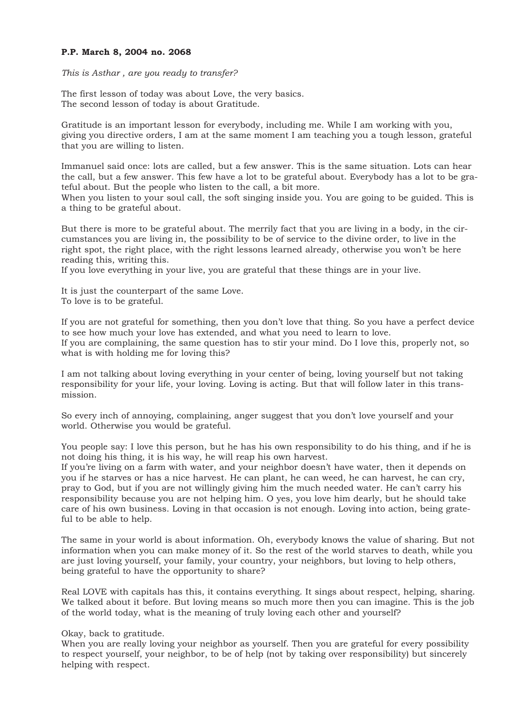#### **P.P. March 8, 2004 no. 2068**

*This is Asthar , are you ready to transfer?* 

The first lesson of today was about Love, the very basics. The second lesson of today is about Gratitude.

Gratitude is an important lesson for everybody, including me. While I am working with you, giving you directive orders, I am at the same moment I am teaching you a tough lesson, grateful that you are willing to listen.

Immanuel said once: lots are called, but a few answer. This is the same situation. Lots can hear the call, but a few answer. This few have a lot to be grateful about. Everybody has a lot to be grateful about. But the people who listen to the call, a bit more.

When you listen to your soul call, the soft singing inside you. You are going to be guided. This is a thing to be grateful about.

But there is more to be grateful about. The merrily fact that you are living in a body, in the circumstances you are living in, the possibility to be of service to the divine order, to live in the right spot, the right place, with the right lessons learned already, otherwise you won't be here reading this, writing this.

If you love everything in your live, you are grateful that these things are in your live.

It is just the counterpart of the same Love. To love is to be grateful.

If you are not grateful for something, then you don't love that thing. So you have a perfect device to see how much your love has extended, and what you need to learn to love. If you are complaining, the same question has to stir your mind. Do I love this, properly not, so what is with holding me for loving this?

I am not talking about loving everything in your center of being, loving yourself but not taking responsibility for your life, your loving. Loving is acting. But that will follow later in this transmission.

So every inch of annoying, complaining, anger suggest that you don't love yourself and your world. Otherwise you would be grateful.

You people say: I love this person, but he has his own responsibility to do his thing, and if he is not doing his thing, it is his way, he will reap his own harvest.

If you're living on a farm with water, and your neighbor doesn't have water, then it depends on you if he starves or has a nice harvest. He can plant, he can weed, he can harvest, he can cry, pray to God, but if you are not willingly giving him the much needed water. He can't carry his responsibility because you are not helping him. O yes, you love him dearly, but he should take care of his own business. Loving in that occasion is not enough. Loving into action, being grateful to be able to help.

The same in your world is about information. Oh, everybody knows the value of sharing. But not information when you can make money of it. So the rest of the world starves to death, while you are just loving yourself, your family, your country, your neighbors, but loving to help others, being grateful to have the opportunity to share?

Real LOVE with capitals has this, it contains everything. It sings about respect, helping, sharing. We talked about it before. But loving means so much more then you can imagine. This is the job of the world today, what is the meaning of truly loving each other and yourself?

Okay, back to gratitude.

When you are really loving your neighbor as yourself. Then you are grateful for every possibility to respect yourself, your neighbor, to be of help (not by taking over responsibility) but sincerely helping with respect.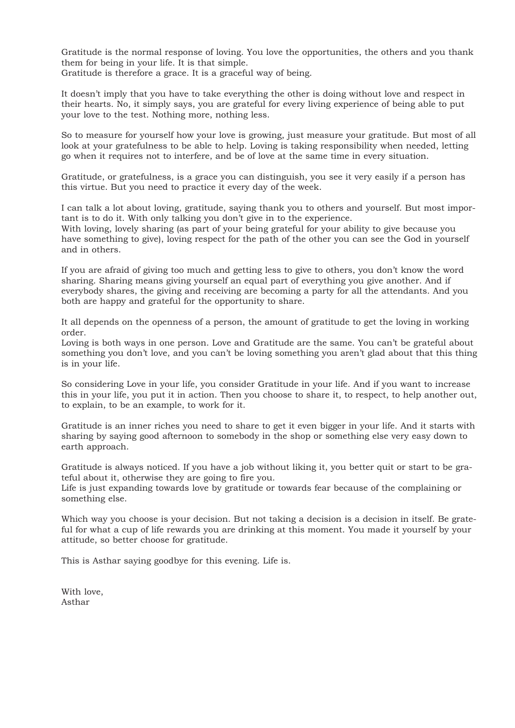Gratitude is the normal response of loving. You love the opportunities, the others and you thank them for being in your life. It is that simple.

Gratitude is therefore a grace. It is a graceful way of being.

It doesn't imply that you have to take everything the other is doing without love and respect in their hearts. No, it simply says, you are grateful for every living experience of being able to put your love to the test. Nothing more, nothing less.

So to measure for yourself how your love is growing, just measure your gratitude. But most of all look at your gratefulness to be able to help. Loving is taking responsibility when needed, letting go when it requires not to interfere, and be of love at the same time in every situation.

Gratitude, or gratefulness, is a grace you can distinguish, you see it very easily if a person has this virtue. But you need to practice it every day of the week.

I can talk a lot about loving, gratitude, saying thank you to others and yourself. But most important is to do it. With only talking you don't give in to the experience.

With loving, lovely sharing (as part of your being grateful for your ability to give because you have something to give), loving respect for the path of the other you can see the God in yourself and in others.

If you are afraid of giving too much and getting less to give to others, you don't know the word sharing. Sharing means giving yourself an equal part of everything you give another. And if everybody shares, the giving and receiving are becoming a party for all the attendants. And you both are happy and grateful for the opportunity to share.

It all depends on the openness of a person, the amount of gratitude to get the loving in working order.

Loving is both ways in one person. Love and Gratitude are the same. You can't be grateful about something you don't love, and you can't be loving something you aren't glad about that this thing is in your life.

So considering Love in your life, you consider Gratitude in your life. And if you want to increase this in your life, you put it in action. Then you choose to share it, to respect, to help another out, to explain, to be an example, to work for it.

Gratitude is an inner riches you need to share to get it even bigger in your life. And it starts with sharing by saying good afternoon to somebody in the shop or something else very easy down to earth approach.

Gratitude is always noticed. If you have a job without liking it, you better quit or start to be grateful about it, otherwise they are going to fire you.

Life is just expanding towards love by gratitude or towards fear because of the complaining or something else.

Which way you choose is your decision. But not taking a decision is a decision in itself. Be grateful for what a cup of life rewards you are drinking at this moment. You made it yourself by your attitude, so better choose for gratitude.

This is Asthar saying goodbye for this evening. Life is.

With love, Asthar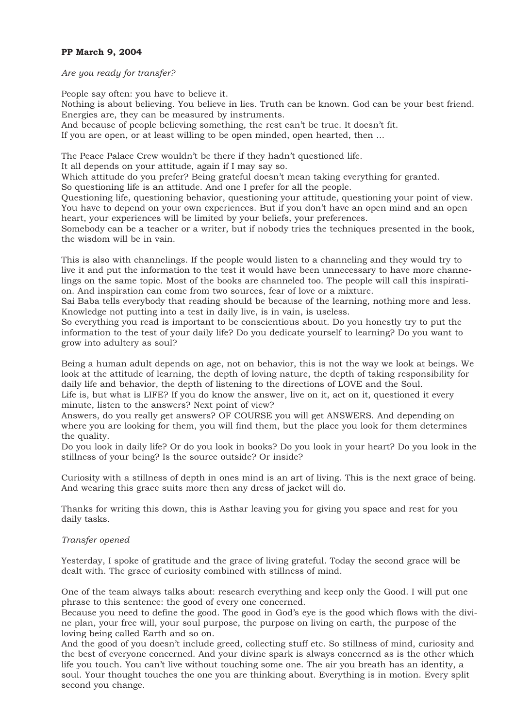## **PP March 9, 2004**

#### *Are you ready for transfer?*

People say often: you have to believe it. Nothing is about believing. You believe in lies. Truth can be known. God can be your best friend. Energies are, they can be measured by instruments. And because of people believing something, the rest can't be true. It doesn't fit. If you are open, or at least willing to be open minded, open hearted, then ...

The Peace Palace Crew wouldn't be there if they hadn't questioned life.

It all depends on your attitude, again if I may say so.

Which attitude do you prefer? Being grateful doesn't mean taking everything for granted.

So questioning life is an attitude. And one I prefer for all the people.

Questioning life, questioning behavior, questioning your attitude, questioning your point of view. You have to depend on your own experiences. But if you don't have an open mind and an open heart, your experiences will be limited by your beliefs, your preferences.

Somebody can be a teacher or a writer, but if nobody tries the techniques presented in the book, the wisdom will be in vain.

This is also with channelings. If the people would listen to a channeling and they would try to live it and put the information to the test it would have been unnecessary to have more channelings on the same topic. Most of the books are channeled too. The people will call this inspiration. And inspiration can come from two sources, fear of love or a mixture.

Sai Baba tells everybody that reading should be because of the learning, nothing more and less. Knowledge not putting into a test in daily live, is in vain, is useless.

So everything you read is important to be conscientious about. Do you honestly try to put the information to the test of your daily life? Do you dedicate yourself to learning? Do you want to grow into adultery as soul?

Being a human adult depends on age, not on behavior, this is not the way we look at beings. We look at the attitude of learning, the depth of loving nature, the depth of taking responsibility for daily life and behavior, the depth of listening to the directions of LOVE and the Soul.

Life is, but what is LIFE? If you do know the answer, live on it, act on it, questioned it every minute, listen to the answers? Next point of view?

Answers, do you really get answers? OF COURSE you will get ANSWERS. And depending on where you are looking for them, you will find them, but the place you look for them determines the quality.

Do you look in daily life? Or do you look in books? Do you look in your heart? Do you look in the stillness of your being? Is the source outside? Or inside?

Curiosity with a stillness of depth in ones mind is an art of living. This is the next grace of being. And wearing this grace suits more then any dress of jacket will do.

Thanks for writing this down, this is Asthar leaving you for giving you space and rest for you daily tasks.

### *Transfer opened*

Yesterday, I spoke of gratitude and the grace of living grateful. Today the second grace will be dealt with. The grace of curiosity combined with stillness of mind.

One of the team always talks about: research everything and keep only the Good. I will put one phrase to this sentence: the good of every one concerned.

Because you need to define the good. The good in God's eye is the good which flows with the divine plan, your free will, your soul purpose, the purpose on living on earth, the purpose of the loving being called Earth and so on.

And the good of you doesn't include greed, collecting stuff etc. So stillness of mind, curiosity and the best of everyone concerned. And your divine spark is always concerned as is the other which life you touch. You can't live without touching some one. The air you breath has an identity, a soul. Your thought touches the one you are thinking about. Everything is in motion. Every split second you change.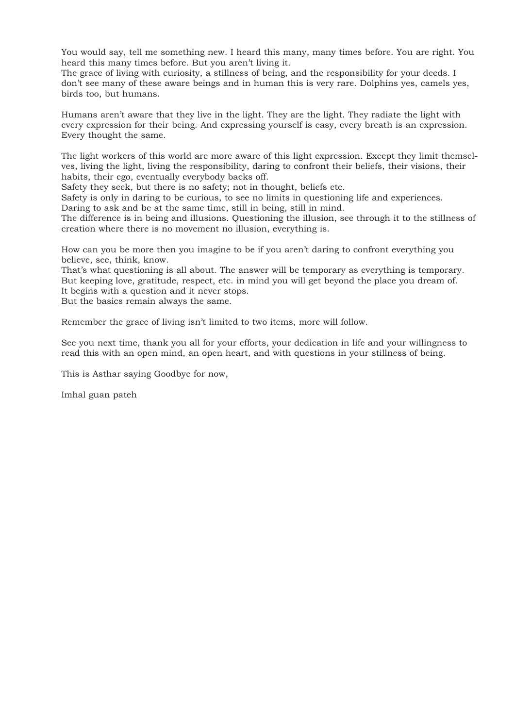You would say, tell me something new. I heard this many, many times before. You are right. You heard this many times before. But you aren't living it.

The grace of living with curiosity, a stillness of being, and the responsibility for your deeds. I don't see many of these aware beings and in human this is very rare. Dolphins yes, camels yes, birds too, but humans.

Humans aren't aware that they live in the light. They are the light. They radiate the light with every expression for their being. And expressing yourself is easy, every breath is an expression. Every thought the same.

The light workers of this world are more aware of this light expression. Except they limit themselves, living the light, living the responsibility, daring to confront their beliefs, their visions, their habits, their ego, eventually everybody backs off.

Safety they seek, but there is no safety; not in thought, beliefs etc.

Safety is only in daring to be curious, to see no limits in questioning life and experiences. Daring to ask and be at the same time, still in being, still in mind.

The difference is in being and illusions. Questioning the illusion, see through it to the stillness of creation where there is no movement no illusion, everything is.

How can you be more then you imagine to be if you aren't daring to confront everything you believe, see, think, know.

That's what questioning is all about. The answer will be temporary as everything is temporary. But keeping love, gratitude, respect, etc. in mind you will get beyond the place you dream of. It begins with a question and it never stops.

But the basics remain always the same.

Remember the grace of living isn't limited to two items, more will follow.

See you next time, thank you all for your efforts, your dedication in life and your willingness to read this with an open mind, an open heart, and with questions in your stillness of being.

This is Asthar saying Goodbye for now,

Imhal guan pateh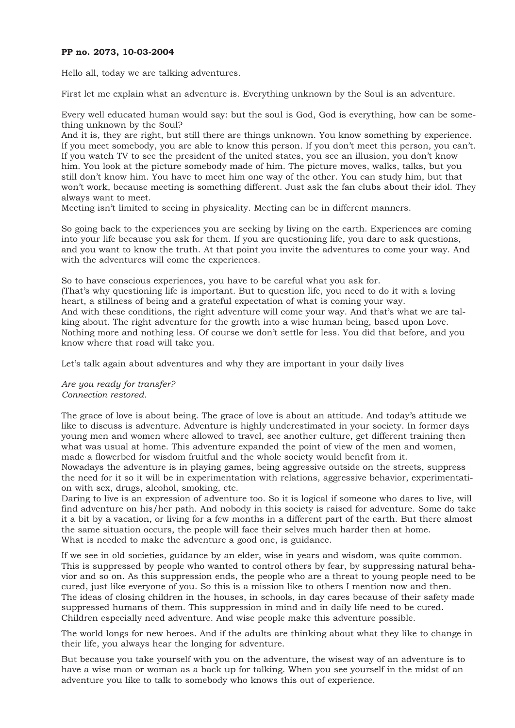### **PP no. 2073, 10-03-2004**

Hello all, today we are talking adventures.

First let me explain what an adventure is. Everything unknown by the Soul is an adventure.

Every well educated human would say: but the soul is God, God is everything, how can be something unknown by the Soul?

And it is, they are right, but still there are things unknown. You know something by experience. If you meet somebody, you are able to know this person. If you don't meet this person, you can't. If you watch TV to see the president of the united states, you see an illusion, you don't know him. You look at the picture somebody made of him. The picture moves, walks, talks, but you still don't know him. You have to meet him one way of the other. You can study him, but that won't work, because meeting is something different. Just ask the fan clubs about their idol. They always want to meet.

Meeting isn't limited to seeing in physicality. Meeting can be in different manners.

So going back to the experiences you are seeking by living on the earth. Experiences are coming into your life because you ask for them. If you are questioning life, you dare to ask questions, and you want to know the truth. At that point you invite the adventures to come your way. And with the adventures will come the experiences.

So to have conscious experiences, you have to be careful what you ask for. (That's why questioning life is important. But to question life, you need to do it with a loving heart, a stillness of being and a grateful expectation of what is coming your way. And with these conditions, the right adventure will come your way. And that's what we are talking about. The right adventure for the growth into a wise human being, based upon Love. Nothing more and nothing less. Of course we don't settle for less. You did that before, and you know where that road will take you.

Let's talk again about adventures and why they are important in your daily lives

*Are you ready for transfer? Connection restored.* 

The grace of love is about being. The grace of love is about an attitude. And today's attitude we like to discuss is adventure. Adventure is highly underestimated in your society. In former days young men and women where allowed to travel, see another culture, get different training then what was usual at home. This adventure expanded the point of view of the men and women, made a flowerbed for wisdom fruitful and the whole society would benefit from it.

Nowadays the adventure is in playing games, being aggressive outside on the streets, suppress the need for it so it will be in experimentation with relations, aggressive behavior, experimentation with sex, drugs, alcohol, smoking, etc.

Daring to live is an expression of adventure too. So it is logical if someone who dares to live, will find adventure on his/her path. And nobody in this society is raised for adventure. Some do take it a bit by a vacation, or living for a few months in a different part of the earth. But there almost the same situation occurs, the people will face their selves much harder then at home. What is needed to make the adventure a good one, is guidance.

If we see in old societies, guidance by an elder, wise in years and wisdom, was quite common. This is suppressed by people who wanted to control others by fear, by suppressing natural behavior and so on. As this suppression ends, the people who are a threat to young people need to be cured, just like everyone of you. So this is a mission like to others I mention now and then. The ideas of closing children in the houses, in schools, in day cares because of their safety made suppressed humans of them. This suppression in mind and in daily life need to be cured. Children especially need adventure. And wise people make this adventure possible.

The world longs for new heroes. And if the adults are thinking about what they like to change in their life, you always hear the longing for adventure.

But because you take yourself with you on the adventure, the wisest way of an adventure is to have a wise man or woman as a back up for talking. When you see yourself in the midst of an adventure you like to talk to somebody who knows this out of experience.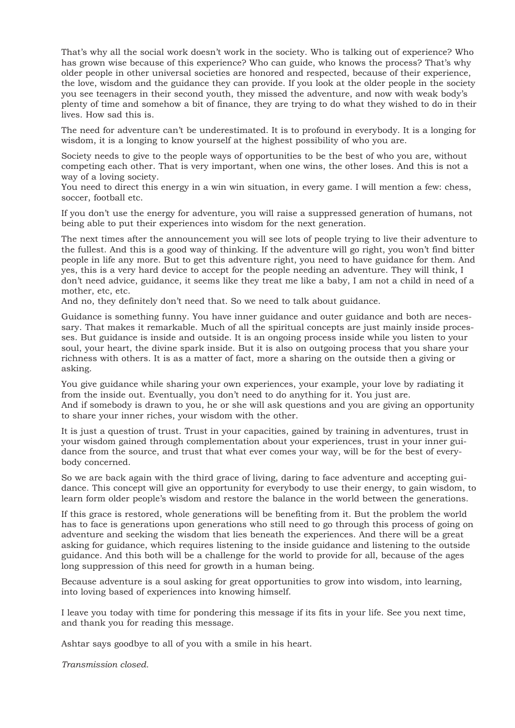That's why all the social work doesn't work in the society. Who is talking out of experience? Who has grown wise because of this experience? Who can guide, who knows the process? That's why older people in other universal societies are honored and respected, because of their experience, the love, wisdom and the guidance they can provide. If you look at the older people in the society you see teenagers in their second youth, they missed the adventure, and now with weak body's plenty of time and somehow a bit of finance, they are trying to do what they wished to do in their lives. How sad this is.

The need for adventure can't be underestimated. It is to profound in everybody. It is a longing for wisdom, it is a longing to know yourself at the highest possibility of who you are.

Society needs to give to the people ways of opportunities to be the best of who you are, without competing each other. That is very important, when one wins, the other loses. And this is not a way of a loving society.

You need to direct this energy in a win win situation, in every game. I will mention a few: chess, soccer, football etc.

If you don't use the energy for adventure, you will raise a suppressed generation of humans, not being able to put their experiences into wisdom for the next generation.

The next times after the announcement you will see lots of people trying to live their adventure to the fullest. And this is a good way of thinking. If the adventure will go right, you won't find bitter people in life any more. But to get this adventure right, you need to have guidance for them. And yes, this is a very hard device to accept for the people needing an adventure. They will think, I don't need advice, guidance, it seems like they treat me like a baby, I am not a child in need of a mother, etc, etc.

And no, they definitely don't need that. So we need to talk about guidance.

Guidance is something funny. You have inner guidance and outer guidance and both are necessary. That makes it remarkable. Much of all the spiritual concepts are just mainly inside processes. But guidance is inside and outside. It is an ongoing process inside while you listen to your soul, your heart, the divine spark inside. But it is also on outgoing process that you share your richness with others. It is as a matter of fact, more a sharing on the outside then a giving or asking.

You give guidance while sharing your own experiences, your example, your love by radiating it from the inside out. Eventually, you don't need to do anything for it. You just are. And if somebody is drawn to you, he or she will ask questions and you are giving an opportunity to share your inner riches, your wisdom with the other.

It is just a question of trust. Trust in your capacities, gained by training in adventures, trust in your wisdom gained through complementation about your experiences, trust in your inner guidance from the source, and trust that what ever comes your way, will be for the best of everybody concerned.

So we are back again with the third grace of living, daring to face adventure and accepting guidance. This concept will give an opportunity for everybody to use their energy, to gain wisdom, to learn form older people's wisdom and restore the balance in the world between the generations.

If this grace is restored, whole generations will be benefiting from it. But the problem the world has to face is generations upon generations who still need to go through this process of going on adventure and seeking the wisdom that lies beneath the experiences. And there will be a great asking for guidance, which requires listening to the inside guidance and listening to the outside guidance. And this both will be a challenge for the world to provide for all, because of the ages long suppression of this need for growth in a human being.

Because adventure is a soul asking for great opportunities to grow into wisdom, into learning, into loving based of experiences into knowing himself.

I leave you today with time for pondering this message if its fits in your life. See you next time, and thank you for reading this message.

Ashtar says goodbye to all of you with a smile in his heart.

*Transmission closed.*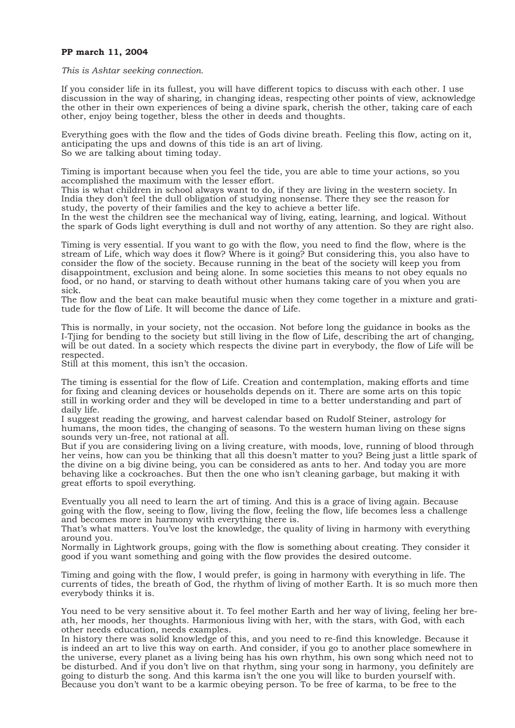#### **PP march 11, 2004**

*This is Ashtar seeking connection.* 

If you consider life in its fullest, you will have different topics to discuss with each other. I use discussion in the way of sharing, in changing ideas, respecting other points of view, acknowledge the other in their own experiences of being a divine spark, cherish the other, taking care of each other, enjoy being together, bless the other in deeds and thoughts.

Everything goes with the flow and the tides of Gods divine breath. Feeling this flow, acting on it, anticipating the ups and downs of this tide is an art of living. So we are talking about timing today.

Timing is important because when you feel the tide, you are able to time your actions, so you accomplished the maximum with the lesser effort.

This is what children in school always want to do, if they are living in the western society. In India they don't feel the dull obligation of studying nonsense. There they see the reason for study, the poverty of their families and the key to achieve a better life.

In the west the children see the mechanical way of living, eating, learning, and logical. Without the spark of Gods light everything is dull and not worthy of any attention. So they are right also.

Timing is very essential. If you want to go with the flow, you need to find the flow, where is the stream of Life, which way does it flow? Where is it going? But considering this, you also have to consider the flow of the society. Because running in the beat of the society will keep you from disappointment, exclusion and being alone. In some societies this means to not obey equals no food, or no hand, or starving to death without other humans taking care of you when you are sick.

The flow and the beat can make beautiful music when they come together in a mixture and gratitude for the flow of Life. It will become the dance of Life.

This is normally, in your society, not the occasion. Not before long the guidance in books as the I-Tjing for bending to the society but still living in the flow of Life, describing the art of changing, will be out dated. In a society which respects the divine part in everybody, the flow of Life will be respected.

Still at this moment, this isn't the occasion.

The timing is essential for the flow of Life. Creation and contemplation, making efforts and time for fixing and cleaning devices or households depends on it. There are some arts on this topic still in working order and they will be developed in time to a better understanding and part of daily life.

I suggest reading the growing, and harvest calendar based on Rudolf Steiner, astrology for humans, the moon tides, the changing of seasons. To the western human living on these signs sounds very un-free, not rational at all.

But if you are considering living on a living creature, with moods, love, running of blood through her veins, how can you be thinking that all this doesn't matter to you? Being just a little spark of the divine on a big divine being, you can be considered as ants to her. And today you are more behaving like a cockroaches. But then the one who isn't cleaning garbage, but making it with great efforts to spoil everything.

Eventually you all need to learn the art of timing. And this is a grace of living again. Because going with the flow, seeing to flow, living the flow, feeling the flow, life becomes less a challenge and becomes more in harmony with everything there is.

That's what matters. You've lost the knowledge, the quality of living in harmony with everything around you.

Normally in Lightwork groups, going with the flow is something about creating. They consider it good if you want something and going with the flow provides the desired outcome.

Timing and going with the flow, I would prefer, is going in harmony with everything in life. The currents of tides, the breath of God, the rhythm of living of mother Earth. It is so much more then everybody thinks it is.

You need to be very sensitive about it. To feel mother Earth and her way of living, feeling her breath, her moods, her thoughts. Harmonious living with her, with the stars, with God, with each other needs education, needs examples.

In history there was solid knowledge of this, and you need to re-find this knowledge. Because it is indeed an art to live this way on earth. And consider, if you go to another place somewhere in the universe, every planet as a living being has his own rhythm, his own song which need not to be disturbed. And if you don't live on that rhythm, sing your song in harmony, you definitely are going to disturb the song. And this karma isn't the one you will like to burden yourself with. Because you don't want to be a karmic obeying person. To be free of karma, to be free to the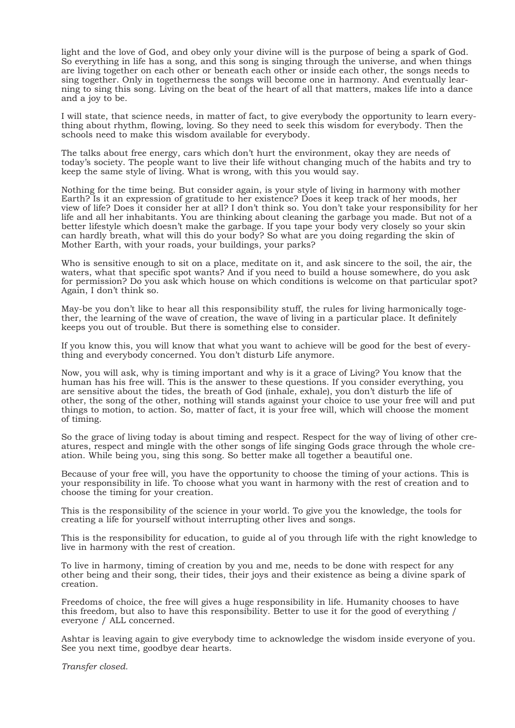light and the love of God, and obey only your divine will is the purpose of being a spark of God. So everything in life has a song, and this song is singing through the universe, and when things are living together on each other or beneath each other or inside each other, the songs needs to sing together. Only in togetherness the songs will become one in harmony. And eventually learning to sing this song. Living on the beat of the heart of all that matters, makes life into a dance and a joy to be.

I will state, that science needs, in matter of fact, to give everybody the opportunity to learn everything about rhythm, flowing, loving. So they need to seek this wisdom for everybody. Then the schools need to make this wisdom available for everybody.

The talks about free energy, cars which don't hurt the environment, okay they are needs of today's society. The people want to live their life without changing much of the habits and try to keep the same style of living. What is wrong, with this you would say.

Nothing for the time being. But consider again, is your style of living in harmony with mother Earth? Is it an expression of gratitude to her existence? Does it keep track of her moods, her view of life? Does it consider her at all? I don't think so. You don't take your responsibility for her life and all her inhabitants. You are thinking about cleaning the garbage you made. But not of a better lifestyle which doesn't make the garbage. If you tape your body very closely so your skin can hardly breath, what will this do your body? So what are you doing regarding the skin of Mother Earth, with your roads, your buildings, your parks?

Who is sensitive enough to sit on a place, meditate on it, and ask sincere to the soil, the air, the waters, what that specific spot wants? And if you need to build a house somewhere, do you ask for permission? Do you ask which house on which conditions is welcome on that particular spot? Again, I don't think so.

May-be you don't like to hear all this responsibility stuff, the rules for living harmonically together, the learning of the wave of creation, the wave of living in a particular place. It definitely keeps you out of trouble. But there is something else to consider.

If you know this, you will know that what you want to achieve will be good for the best of everything and everybody concerned. You don't disturb Life anymore.

Now, you will ask, why is timing important and why is it a grace of Living? You know that the human has his free will. This is the answer to these questions. If you consider everything, you are sensitive about the tides, the breath of God (inhale, exhale), you don't disturb the life of other, the song of the other, nothing will stands against your choice to use your free will and put things to motion, to action. So, matter of fact, it is your free will, which will choose the moment of timing.

So the grace of living today is about timing and respect. Respect for the way of living of other creatures, respect and mingle with the other songs of life singing Gods grace through the whole creation. While being you, sing this song. So better make all together a beautiful one.

Because of your free will, you have the opportunity to choose the timing of your actions. This is your responsibility in life. To choose what you want in harmony with the rest of creation and to choose the timing for your creation.

This is the responsibility of the science in your world. To give you the knowledge, the tools for creating a life for yourself without interrupting other lives and songs.

This is the responsibility for education, to guide al of you through life with the right knowledge to live in harmony with the rest of creation.

To live in harmony, timing of creation by you and me, needs to be done with respect for any other being and their song, their tides, their joys and their existence as being a divine spark of creation.

Freedoms of choice, the free will gives a huge responsibility in life. Humanity chooses to have this freedom, but also to have this responsibility. Better to use it for the good of everything / everyone / ALL concerned.

Ashtar is leaving again to give everybody time to acknowledge the wisdom inside everyone of you. See you next time, goodbye dear hearts.

*Transfer closed.*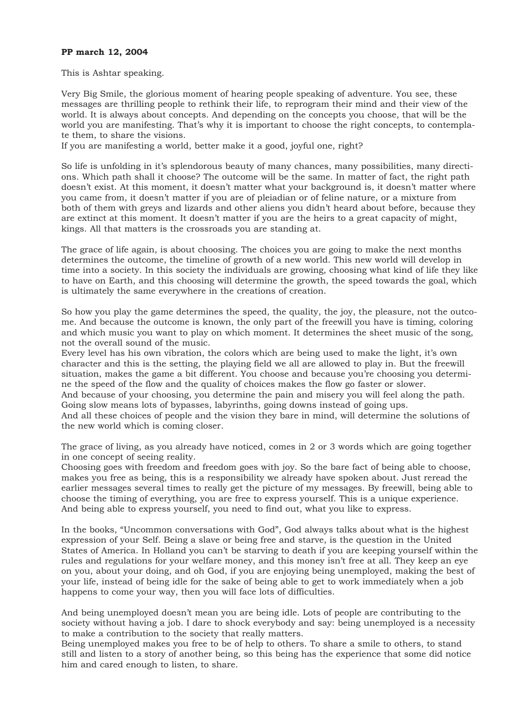## **PP march 12, 2004**

This is Ashtar speaking.

Very Big Smile, the glorious moment of hearing people speaking of adventure. You see, these messages are thrilling people to rethink their life, to reprogram their mind and their view of the world. It is always about concepts. And depending on the concepts you choose, that will be the world you are manifesting. That's why it is important to choose the right concepts, to contemplate them, to share the visions.

If you are manifesting a world, better make it a good, joyful one, right?

So life is unfolding in it's splendorous beauty of many chances, many possibilities, many directions. Which path shall it choose? The outcome will be the same. In matter of fact, the right path doesn't exist. At this moment, it doesn't matter what your background is, it doesn't matter where you came from, it doesn't matter if you are of pleiadian or of feline nature, or a mixture from both of them with greys and lizards and other aliens you didn't heard about before, because they are extinct at this moment. It doesn't matter if you are the heirs to a great capacity of might, kings. All that matters is the crossroads you are standing at.

The grace of life again, is about choosing. The choices you are going to make the next months determines the outcome, the timeline of growth of a new world. This new world will develop in time into a society. In this society the individuals are growing, choosing what kind of life they like to have on Earth, and this choosing will determine the growth, the speed towards the goal, which is ultimately the same everywhere in the creations of creation.

So how you play the game determines the speed, the quality, the joy, the pleasure, not the outcome. And because the outcome is known, the only part of the freewill you have is timing, coloring and which music you want to play on which moment. It determines the sheet music of the song, not the overall sound of the music.

Every level has his own vibration, the colors which are being used to make the light, it's own character and this is the setting, the playing field we all are allowed to play in. But the freewill situation, makes the game a bit different. You choose and because you're choosing you determine the speed of the flow and the quality of choices makes the flow go faster or slower. And because of your choosing, you determine the pain and misery you will feel along the path. Going slow means lots of bypasses, labyrinths, going downs instead of going ups. And all these choices of people and the vision they bare in mind, will determine the solutions of

the new world which is coming closer.

The grace of living, as you already have noticed, comes in 2 or 3 words which are going together in one concept of seeing reality.

Choosing goes with freedom and freedom goes with joy. So the bare fact of being able to choose, makes you free as being, this is a responsibility we already have spoken about. Just reread the earlier messages several times to really get the picture of my messages. By freewill, being able to choose the timing of everything, you are free to express yourself. This is a unique experience. And being able to express yourself, you need to find out, what you like to express.

In the books, "Uncommon conversations with God", God always talks about what is the highest expression of your Self. Being a slave or being free and starve, is the question in the United States of America. In Holland you can't be starving to death if you are keeping yourself within the rules and regulations for your welfare money, and this money isn't free at all. They keep an eye on you, about your doing, and oh God, if you are enjoying being unemployed, making the best of your life, instead of being idle for the sake of being able to get to work immediately when a job happens to come your way, then you will face lots of difficulties.

And being unemployed doesn't mean you are being idle. Lots of people are contributing to the society without having a job. I dare to shock everybody and say: being unemployed is a necessity to make a contribution to the society that really matters.

Being unemployed makes you free to be of help to others. To share a smile to others, to stand still and listen to a story of another being, so this being has the experience that some did notice him and cared enough to listen, to share.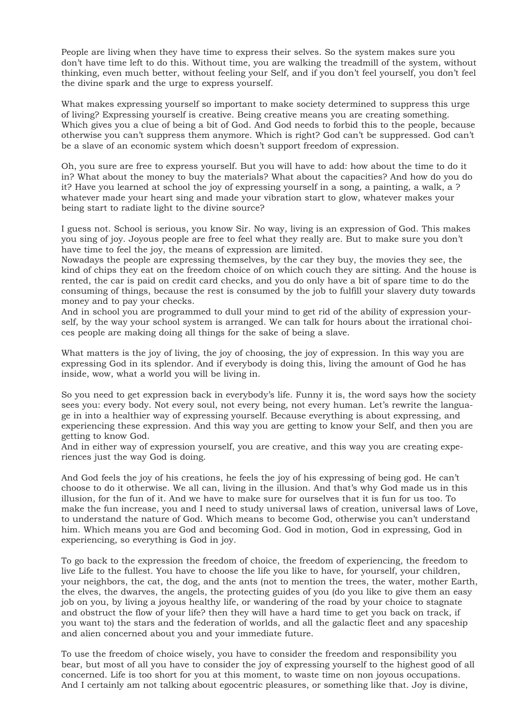People are living when they have time to express their selves. So the system makes sure you don't have time left to do this. Without time, you are walking the treadmill of the system, without thinking, even much better, without feeling your Self, and if you don't feel yourself, you don't feel the divine spark and the urge to express yourself.

What makes expressing yourself so important to make society determined to suppress this urge of living? Expressing yourself is creative. Being creative means you are creating something. Which gives you a clue of being a bit of God. And God needs to forbid this to the people, because otherwise you can't suppress them anymore. Which is right? God can't be suppressed. God can't be a slave of an economic system which doesn't support freedom of expression.

Oh, you sure are free to express yourself. But you will have to add: how about the time to do it in? What about the money to buy the materials? What about the capacities? And how do you do it? Have you learned at school the joy of expressing yourself in a song, a painting, a walk, a ? whatever made your heart sing and made your vibration start to glow, whatever makes your being start to radiate light to the divine source?

I guess not. School is serious, you know Sir. No way, living is an expression of God. This makes you sing of joy. Joyous people are free to feel what they really are. But to make sure you don't have time to feel the joy, the means of expression are limited.

Nowadays the people are expressing themselves, by the car they buy, the movies they see, the kind of chips they eat on the freedom choice of on which couch they are sitting. And the house is rented, the car is paid on credit card checks, and you do only have a bit of spare time to do the consuming of things, because the rest is consumed by the job to fulfill your slavery duty towards money and to pay your checks.

And in school you are programmed to dull your mind to get rid of the ability of expression yourself, by the way your school system is arranged. We can talk for hours about the irrational choices people are making doing all things for the sake of being a slave.

What matters is the joy of living, the joy of choosing, the joy of expression. In this way you are expressing God in its splendor. And if everybody is doing this, living the amount of God he has inside, wow, what a world you will be living in.

So you need to get expression back in everybody's life. Funny it is, the word says how the society sees you: every body. Not every soul, not every being, not every human. Let's rewrite the language in into a healthier way of expressing yourself. Because everything is about expressing, and experiencing these expression. And this way you are getting to know your Self, and then you are getting to know God.

And in either way of expression yourself, you are creative, and this way you are creating experiences just the way God is doing.

And God feels the joy of his creations, he feels the joy of his expressing of being god. He can't choose to do it otherwise. We all can, living in the illusion. And that's why God made us in this illusion, for the fun of it. And we have to make sure for ourselves that it is fun for us too. To make the fun increase, you and I need to study universal laws of creation, universal laws of Love, to understand the nature of God. Which means to become God, otherwise you can't understand him. Which means you are God and becoming God. God in motion, God in expressing, God in experiencing, so everything is God in joy.

To go back to the expression the freedom of choice, the freedom of experiencing, the freedom to live Life to the fullest. You have to choose the life you like to have, for yourself, your children, your neighbors, the cat, the dog, and the ants (not to mention the trees, the water, mother Earth, the elves, the dwarves, the angels, the protecting guides of you (do you like to give them an easy job on you, by living a joyous healthy life, or wandering of the road by your choice to stagnate and obstruct the flow of your life? then they will have a hard time to get you back on track, if you want to) the stars and the federation of worlds, and all the galactic fleet and any spaceship and alien concerned about you and your immediate future.

To use the freedom of choice wisely, you have to consider the freedom and responsibility you bear, but most of all you have to consider the joy of expressing yourself to the highest good of all concerned. Life is too short for you at this moment, to waste time on non joyous occupations. And I certainly am not talking about egocentric pleasures, or something like that. Joy is divine,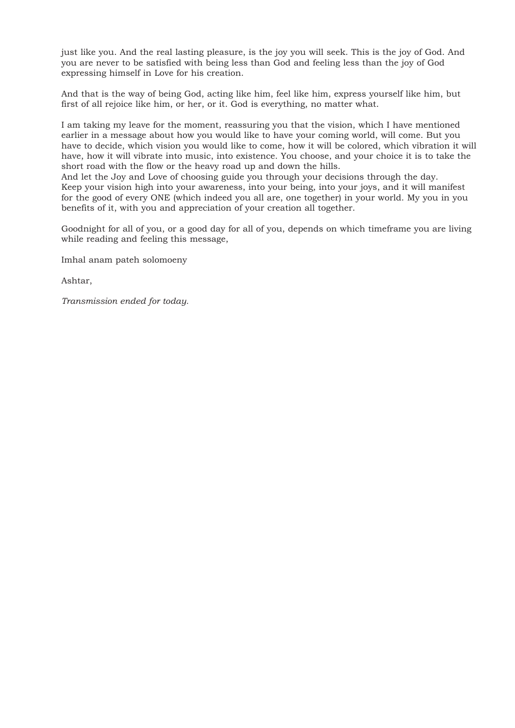just like you. And the real lasting pleasure, is the joy you will seek. This is the joy of God. And you are never to be satisfied with being less than God and feeling less than the joy of God expressing himself in Love for his creation.

And that is the way of being God, acting like him, feel like him, express yourself like him, but first of all rejoice like him, or her, or it. God is everything, no matter what.

I am taking my leave for the moment, reassuring you that the vision, which I have mentioned earlier in a message about how you would like to have your coming world, will come. But you have to decide, which vision you would like to come, how it will be colored, which vibration it will have, how it will vibrate into music, into existence. You choose, and your choice it is to take the short road with the flow or the heavy road up and down the hills.

And let the Joy and Love of choosing guide you through your decisions through the day. Keep your vision high into your awareness, into your being, into your joys, and it will manifest for the good of every ONE (which indeed you all are, one together) in your world. My you in you benefits of it, with you and appreciation of your creation all together.

Goodnight for all of you, or a good day for all of you, depends on which timeframe you are living while reading and feeling this message,

Imhal anam pateh solomoeny

Ashtar,

*Transmission ended for today.*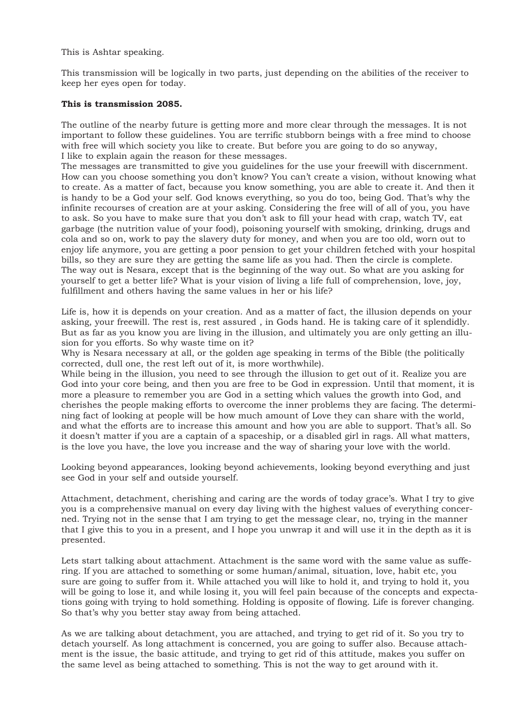This is Ashtar speaking.

This transmission will be logically in two parts, just depending on the abilities of the receiver to keep her eyes open for today.

## **This is transmission 2085.**

The outline of the nearby future is getting more and more clear through the messages. It is not important to follow these guidelines. You are terrific stubborn beings with a free mind to choose with free will which society you like to create. But before you are going to do so anyway, I like to explain again the reason for these messages.

The messages are transmitted to give you guidelines for the use your freewill with discernment. How can you choose something you don't know? You can't create a vision, without knowing what to create. As a matter of fact, because you know something, you are able to create it. And then it is handy to be a God your self. God knows everything, so you do too, being God. That's why the infinite recourses of creation are at your asking. Considering the free will of all of you, you have to ask. So you have to make sure that you don't ask to fill your head with crap, watch TV, eat garbage (the nutrition value of your food), poisoning yourself with smoking, drinking, drugs and cola and so on, work to pay the slavery duty for money, and when you are too old, worn out to enjoy life anymore, you are getting a poor pension to get your children fetched with your hospital bills, so they are sure they are getting the same life as you had. Then the circle is complete. The way out is Nesara, except that is the beginning of the way out. So what are you asking for yourself to get a better life? What is your vision of living a life full of comprehension, love, joy, fulfillment and others having the same values in her or his life?

Life is, how it is depends on your creation. And as a matter of fact, the illusion depends on your asking, your freewill. The rest is, rest assured , in Gods hand. He is taking care of it splendidly. But as far as you know you are living in the illusion, and ultimately you are only getting an illusion for you efforts. So why waste time on it?

Why is Nesara necessary at all, or the golden age speaking in terms of the Bible (the politically corrected, dull one, the rest left out of it, is more worthwhile).

While being in the illusion, you need to see through the illusion to get out of it. Realize you are God into your core being, and then you are free to be God in expression. Until that moment, it is more a pleasure to remember you are God in a setting which values the growth into God, and cherishes the people making efforts to overcome the inner problems they are facing. The determining fact of looking at people will be how much amount of Love they can share with the world, and what the efforts are to increase this amount and how you are able to support. That's all. So it doesn't matter if you are a captain of a spaceship, or a disabled girl in rags. All what matters, is the love you have, the love you increase and the way of sharing your love with the world.

Looking beyond appearances, looking beyond achievements, looking beyond everything and just see God in your self and outside yourself.

Attachment, detachment, cherishing and caring are the words of today grace's. What I try to give you is a comprehensive manual on every day living with the highest values of everything concerned. Trying not in the sense that I am trying to get the message clear, no, trying in the manner that I give this to you in a present, and I hope you unwrap it and will use it in the depth as it is presented.

Lets start talking about attachment. Attachment is the same word with the same value as suffering. If you are attached to something or some human/animal, situation, love, habit etc, you sure are going to suffer from it. While attached you will like to hold it, and trying to hold it, you will be going to lose it, and while losing it, you will feel pain because of the concepts and expectations going with trying to hold something. Holding is opposite of flowing. Life is forever changing. So that's why you better stay away from being attached.

As we are talking about detachment, you are attached, and trying to get rid of it. So you try to detach yourself. As long attachment is concerned, you are going to suffer also. Because attachment is the issue, the basic attitude, and trying to get rid of this attitude, makes you suffer on the same level as being attached to something. This is not the way to get around with it.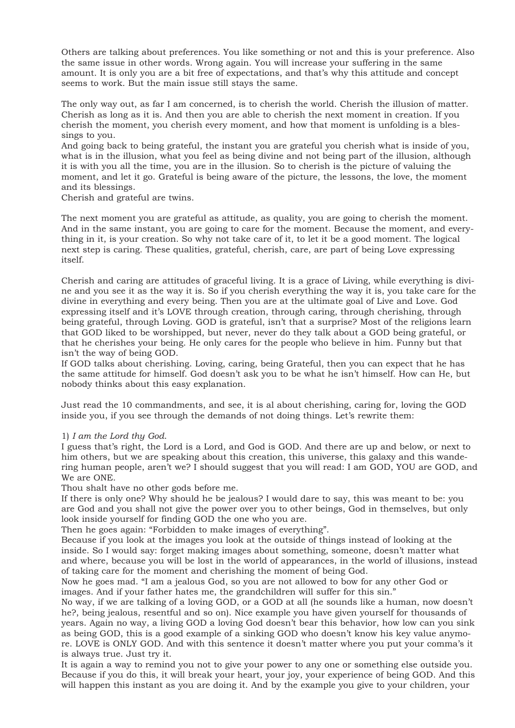Others are talking about preferences. You like something or not and this is your preference. Also the same issue in other words. Wrong again. You will increase your suffering in the same amount. It is only you are a bit free of expectations, and that's why this attitude and concept seems to work. But the main issue still stays the same.

The only way out, as far I am concerned, is to cherish the world. Cherish the illusion of matter. Cherish as long as it is. And then you are able to cherish the next moment in creation. If you cherish the moment, you cherish every moment, and how that moment is unfolding is a blessings to you.

And going back to being grateful, the instant you are grateful you cherish what is inside of you, what is in the illusion, what you feel as being divine and not being part of the illusion, although it is with you all the time, you are in the illusion. So to cherish is the picture of valuing the moment, and let it go. Grateful is being aware of the picture, the lessons, the love, the moment and its blessings.

Cherish and grateful are twins.

The next moment you are grateful as attitude, as quality, you are going to cherish the moment. And in the same instant, you are going to care for the moment. Because the moment, and everything in it, is your creation. So why not take care of it, to let it be a good moment. The logical next step is caring. These qualities, grateful, cherish, care, are part of being Love expressing itself.

Cherish and caring are attitudes of graceful living. It is a grace of Living, while everything is divine and you see it as the way it is. So if you cherish everything the way it is, you take care for the divine in everything and every being. Then you are at the ultimate goal of Live and Love. God expressing itself and it's LOVE through creation, through caring, through cherishing, through being grateful, through Loving. GOD is grateful, isn't that a surprise? Most of the religions learn that GOD liked to be worshipped, but never, never do they talk about a GOD being grateful, or that he cherishes your being. He only cares for the people who believe in him. Funny but that isn't the way of being GOD.

If GOD talks about cherishing. Loving, caring, being Grateful, then you can expect that he has the same attitude for himself. God doesn't ask you to be what he isn't himself. How can He, but nobody thinks about this easy explanation.

Just read the 10 commandments, and see, it is al about cherishing, caring for, loving the GOD inside you, if you see through the demands of not doing things. Let's rewrite them:

## 1) *I am the Lord thy God*.

I guess that's right, the Lord is a Lord, and God is GOD. And there are up and below, or next to him others, but we are speaking about this creation, this universe, this galaxy and this wandering human people, aren't we? I should suggest that you will read: I am GOD, YOU are GOD, and We are ONE.

Thou shalt have no other gods before me.

If there is only one? Why should he be jealous? I would dare to say, this was meant to be: you are God and you shall not give the power over you to other beings, God in themselves, but only look inside yourself for finding GOD the one who you are.

Then he goes again: "Forbidden to make images of everything".

Because if you look at the images you look at the outside of things instead of looking at the inside. So I would say: forget making images about something, someone, doesn't matter what and where, because you will be lost in the world of appearances, in the world of illusions, instead of taking care for the moment and cherishing the moment of being God.

Now he goes mad. "I am a jealous God, so you are not allowed to bow for any other God or images. And if your father hates me, the grandchildren will suffer for this sin."

No way, if we are talking of a loving GOD, or a GOD at all (he sounds like a human, now doesn't he?, being jealous, resentful and so on). Nice example you have given yourself for thousands of years. Again no way, a living GOD a loving God doesn't bear this behavior, how low can you sink as being GOD, this is a good example of a sinking GOD who doesn't know his key value anymore. LOVE is ONLY GOD. And with this sentence it doesn't matter where you put your comma's it is always true. Just try it.

It is again a way to remind you not to give your power to any one or something else outside you. Because if you do this, it will break your heart, your joy, your experience of being GOD. And this will happen this instant as you are doing it. And by the example you give to your children, your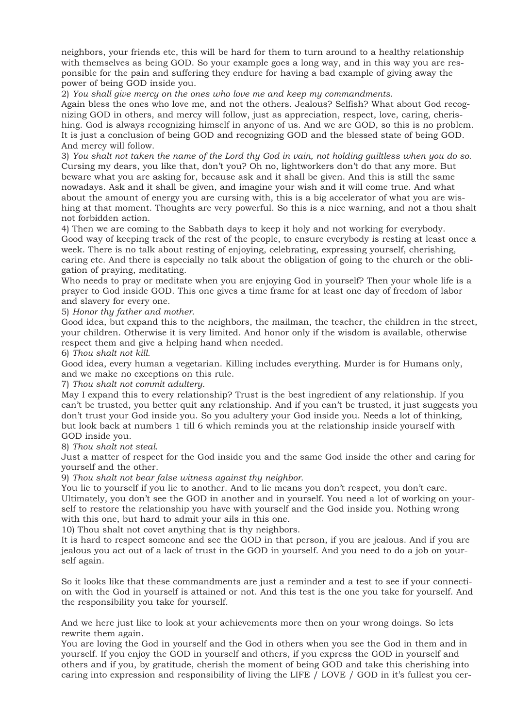neighbors, your friends etc, this will be hard for them to turn around to a healthy relationship with themselves as being GOD. So your example goes a long way, and in this way you are responsible for the pain and suffering they endure for having a bad example of giving away the power of being GOD inside you.

2) *You shall give mercy on the ones who love me and keep my commandments*.

Again bless the ones who love me, and not the others. Jealous? Selfish? What about God recognizing GOD in others, and mercy will follow, just as appreciation, respect, love, caring, cherishing. God is always recognizing himself in anyone of us. And we are GOD, so this is no problem. It is just a conclusion of being GOD and recognizing GOD and the blessed state of being GOD. And mercy will follow.

3) *You shalt not taken the name of the Lord thy God in vain, not holding guiltless when you do so*. Cursing my dears, you like that, don't you? Oh no, lightworkers don't do that any more. But beware what you are asking for, because ask and it shall be given. And this is still the same nowadays. Ask and it shall be given, and imagine your wish and it will come true. And what about the amount of energy you are cursing with, this is a big accelerator of what you are wishing at that moment. Thoughts are very powerful. So this is a nice warning, and not a thou shalt not forbidden action.

4) Then we are coming to the Sabbath days to keep it holy and not working for everybody. Good way of keeping track of the rest of the people, to ensure everybody is resting at least once a week. There is no talk about resting of enjoying, celebrating, expressing yourself, cherishing, caring etc. And there is especially no talk about the obligation of going to the church or the obligation of praying, meditating.

Who needs to pray or meditate when you are enjoying God in yourself? Then your whole life is a prayer to God inside GOD. This one gives a time frame for at least one day of freedom of labor and slavery for every one.

5) *Honor thy father and mother*.

Good idea, but expand this to the neighbors, the mailman, the teacher, the children in the street, your children. Otherwise it is very limited. And honor only if the wisdom is available, otherwise respect them and give a helping hand when needed.

6) *Thou shalt not kill*.

Good idea, every human a vegetarian. Killing includes everything. Murder is for Humans only, and we make no exceptions on this rule.

7) *Thou shalt not commit adultery*.

May I expand this to every relationship? Trust is the best ingredient of any relationship. If you can't be trusted, you better quit any relationship. And if you can't be trusted, it just suggests you don't trust your God inside you. So you adultery your God inside you. Needs a lot of thinking, but look back at numbers 1 till 6 which reminds you at the relationship inside yourself with GOD inside you.

8) *Thou shalt not steal*.

Just a matter of respect for the God inside you and the same God inside the other and caring for yourself and the other.

9) *Thou shalt not bear false witness against thy neighbor*.

You lie to yourself if you lie to another. And to lie means you don't respect, you don't care. Ultimately, you don't see the GOD in another and in yourself. You need a lot of working on yourself to restore the relationship you have with yourself and the God inside you. Nothing wrong with this one, but hard to admit your ails in this one.

10) Thou shalt not covet anything that is thy neighbors.

It is hard to respect someone and see the GOD in that person, if you are jealous. And if you are jealous you act out of a lack of trust in the GOD in yourself. And you need to do a job on yourself again.

So it looks like that these commandments are just a reminder and a test to see if your connection with the God in yourself is attained or not. And this test is the one you take for yourself. And the responsibility you take for yourself.

And we here just like to look at your achievements more then on your wrong doings. So lets rewrite them again.

You are loving the God in yourself and the God in others when you see the God in them and in yourself. If you enjoy the GOD in yourself and others, if you express the GOD in yourself and others and if you, by gratitude, cherish the moment of being GOD and take this cherishing into caring into expression and responsibility of living the LIFE / LOVE / GOD in it's fullest you cer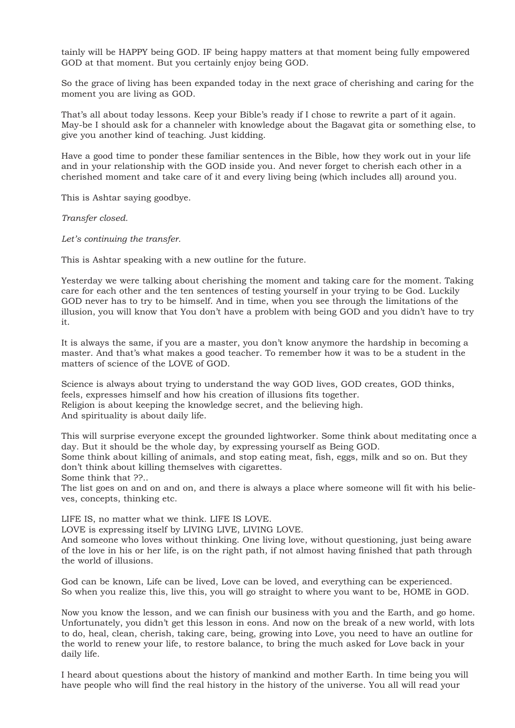tainly will be HAPPY being GOD. IF being happy matters at that moment being fully empowered GOD at that moment. But you certainly enjoy being GOD.

So the grace of living has been expanded today in the next grace of cherishing and caring for the moment you are living as GOD.

That's all about today lessons. Keep your Bible's ready if I chose to rewrite a part of it again. May-be I should ask for a channeler with knowledge about the Bagavat gita or something else, to give you another kind of teaching. Just kidding.

Have a good time to ponder these familiar sentences in the Bible, how they work out in your life and in your relationship with the GOD inside you. And never forget to cherish each other in a cherished moment and take care of it and every living being (which includes all) around you.

This is Ashtar saying goodbye.

*Transfer closed.*

*Let's continuing the transfer.* 

This is Ashtar speaking with a new outline for the future.

Yesterday we were talking about cherishing the moment and taking care for the moment. Taking care for each other and the ten sentences of testing yourself in your trying to be God. Luckily GOD never has to try to be himself. And in time, when you see through the limitations of the illusion, you will know that You don't have a problem with being GOD and you didn't have to try it.

It is always the same, if you are a master, you don't know anymore the hardship in becoming a master. And that's what makes a good teacher. To remember how it was to be a student in the matters of science of the LOVE of GOD.

Science is always about trying to understand the way GOD lives, GOD creates, GOD thinks, feels, expresses himself and how his creation of illusions fits together. Religion is about keeping the knowledge secret, and the believing high. And spirituality is about daily life.

This will surprise everyone except the grounded lightworker. Some think about meditating once a day. But it should be the whole day, by expressing yourself as Being GOD. Some think about killing of animals, and stop eating meat, fish, eggs, milk and so on. But they don't think about killing themselves with cigarettes.

Some think that ??..

The list goes on and on and on, and there is always a place where someone will fit with his believes, concepts, thinking etc.

LIFE IS, no matter what we think. LIFE IS LOVE.

LOVE is expressing itself by LIVING LIVE, LIVING LOVE.

And someone who loves without thinking. One living love, without questioning, just being aware of the love in his or her life, is on the right path, if not almost having finished that path through the world of illusions.

God can be known, Life can be lived, Love can be loved, and everything can be experienced. So when you realize this, live this, you will go straight to where you want to be, HOME in GOD.

Now you know the lesson, and we can finish our business with you and the Earth, and go home. Unfortunately, you didn't get this lesson in eons. And now on the break of a new world, with lots to do, heal, clean, cherish, taking care, being, growing into Love, you need to have an outline for the world to renew your life, to restore balance, to bring the much asked for Love back in your daily life.

I heard about questions about the history of mankind and mother Earth. In time being you will have people who will find the real history in the history of the universe. You all will read your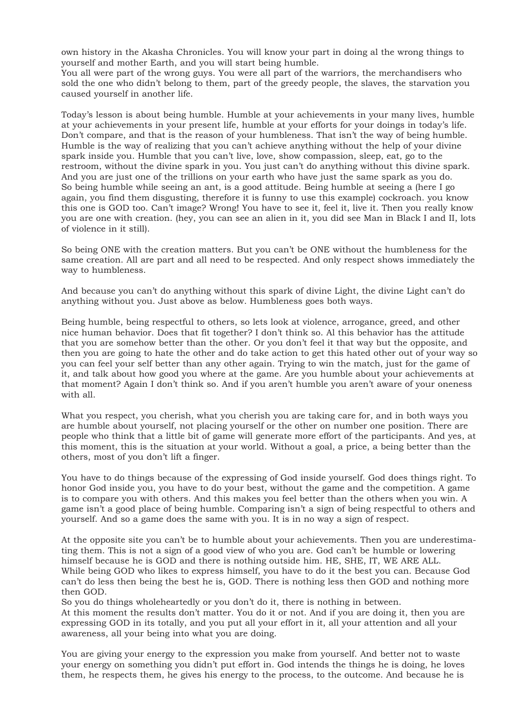own history in the Akasha Chronicles. You will know your part in doing al the wrong things to yourself and mother Earth, and you will start being humble.

You all were part of the wrong guys. You were all part of the warriors, the merchandisers who sold the one who didn't belong to them, part of the greedy people, the slaves, the starvation you caused yourself in another life.

Today's lesson is about being humble. Humble at your achievements in your many lives, humble at your achievements in your present life, humble at your efforts for your doings in today's life. Don't compare, and that is the reason of your humbleness. That isn't the way of being humble. Humble is the way of realizing that you can't achieve anything without the help of your divine spark inside you. Humble that you can't live, love, show compassion, sleep, eat, go to the restroom, without the divine spark in you. You just can't do anything without this divine spark. And you are just one of the trillions on your earth who have just the same spark as you do. So being humble while seeing an ant, is a good attitude. Being humble at seeing a (here I go again, you find them disgusting, therefore it is funny to use this example) cockroach. you know this one is GOD too. Can't image? Wrong! You have to see it, feel it, live it. Then you really know you are one with creation. (hey, you can see an alien in it, you did see Man in Black I and II, lots of violence in it still).

So being ONE with the creation matters. But you can't be ONE without the humbleness for the same creation. All are part and all need to be respected. And only respect shows immediately the way to humbleness.

And because you can't do anything without this spark of divine Light, the divine Light can't do anything without you. Just above as below. Humbleness goes both ways.

Being humble, being respectful to others, so lets look at violence, arrogance, greed, and other nice human behavior. Does that fit together? I don't think so. Al this behavior has the attitude that you are somehow better than the other. Or you don't feel it that way but the opposite, and then you are going to hate the other and do take action to get this hated other out of your way so you can feel your self better than any other again. Trying to win the match, just for the game of it, and talk about how good you where at the game. Are you humble about your achievements at that moment? Again I don't think so. And if you aren't humble you aren't aware of your oneness with all.

What you respect, you cherish, what you cherish you are taking care for, and in both ways you are humble about yourself, not placing yourself or the other on number one position. There are people who think that a little bit of game will generate more effort of the participants. And yes, at this moment, this is the situation at your world. Without a goal, a price, a being better than the others, most of you don't lift a finger.

You have to do things because of the expressing of God inside yourself. God does things right. To honor God inside you, you have to do your best, without the game and the competition. A game is to compare you with others. And this makes you feel better than the others when you win. A game isn't a good place of being humble. Comparing isn't a sign of being respectful to others and yourself. And so a game does the same with you. It is in no way a sign of respect.

At the opposite site you can't be to humble about your achievements. Then you are underestimating them. This is not a sign of a good view of who you are. God can't be humble or lowering himself because he is GOD and there is nothing outside him. HE, SHE, IT, WE ARE ALL. While being GOD who likes to express himself, you have to do it the best you can. Because God can't do less then being the best he is, GOD. There is nothing less then GOD and nothing more then GOD.

So you do things wholeheartedly or you don't do it, there is nothing in between. At this moment the results don't matter. You do it or not. And if you are doing it, then you are expressing GOD in its totally, and you put all your effort in it, all your attention and all your awareness, all your being into what you are doing.

You are giving your energy to the expression you make from yourself. And better not to waste your energy on something you didn't put effort in. God intends the things he is doing, he loves them, he respects them, he gives his energy to the process, to the outcome. And because he is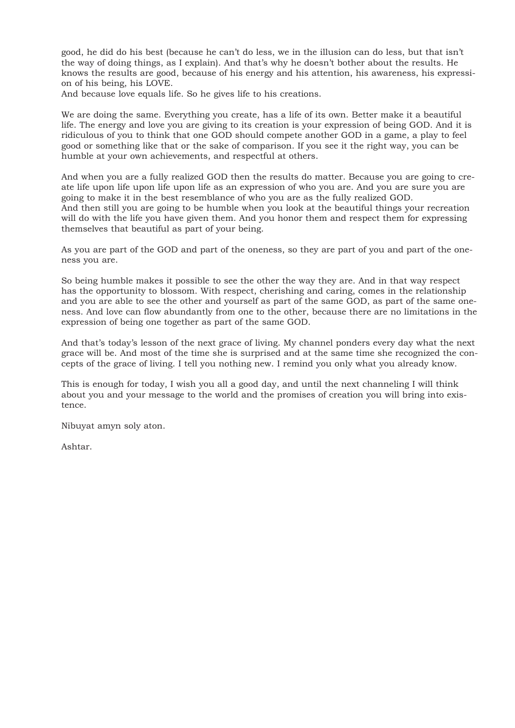good, he did do his best (because he can't do less, we in the illusion can do less, but that isn't the way of doing things, as I explain). And that's why he doesn't bother about the results. He knows the results are good, because of his energy and his attention, his awareness, his expression of his being, his LOVE.

And because love equals life. So he gives life to his creations.

We are doing the same. Everything you create, has a life of its own. Better make it a beautiful life. The energy and love you are giving to its creation is your expression of being GOD. And it is ridiculous of you to think that one GOD should compete another GOD in a game, a play to feel good or something like that or the sake of comparison. If you see it the right way, you can be humble at your own achievements, and respectful at others.

And when you are a fully realized GOD then the results do matter. Because you are going to create life upon life upon life upon life as an expression of who you are. And you are sure you are going to make it in the best resemblance of who you are as the fully realized GOD. And then still you are going to be humble when you look at the beautiful things your recreation will do with the life you have given them. And you honor them and respect them for expressing themselves that beautiful as part of your being.

As you are part of the GOD and part of the oneness, so they are part of you and part of the oneness you are.

So being humble makes it possible to see the other the way they are. And in that way respect has the opportunity to blossom. With respect, cherishing and caring, comes in the relationship and you are able to see the other and yourself as part of the same GOD, as part of the same oneness. And love can flow abundantly from one to the other, because there are no limitations in the expression of being one together as part of the same GOD.

And that's today's lesson of the next grace of living. My channel ponders every day what the next grace will be. And most of the time she is surprised and at the same time she recognized the concepts of the grace of living. I tell you nothing new. I remind you only what you already know.

This is enough for today, I wish you all a good day, and until the next channeling I will think about you and your message to the world and the promises of creation you will bring into existence.

Nibuyat amyn soly aton.

Ashtar.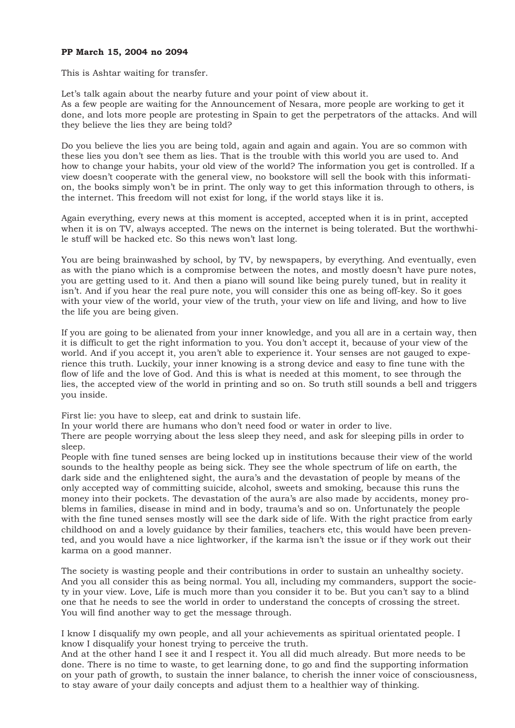## **PP March 15, 2004 no 2094**

This is Ashtar waiting for transfer.

Let's talk again about the nearby future and your point of view about it. As a few people are waiting for the Announcement of Nesara, more people are working to get it done, and lots more people are protesting in Spain to get the perpetrators of the attacks. And will they believe the lies they are being told?

Do you believe the lies you are being told, again and again and again. You are so common with these lies you don't see them as lies. That is the trouble with this world you are used to. And how to change your habits, your old view of the world? The information you get is controlled. If a view doesn't cooperate with the general view, no bookstore will sell the book with this information, the books simply won't be in print. The only way to get this information through to others, is the internet. This freedom will not exist for long, if the world stays like it is.

Again everything, every news at this moment is accepted, accepted when it is in print, accepted when it is on TV, always accepted. The news on the internet is being tolerated. But the worthwhile stuff will be hacked etc. So this news won't last long.

You are being brainwashed by school, by TV, by newspapers, by everything. And eventually, even as with the piano which is a compromise between the notes, and mostly doesn't have pure notes, you are getting used to it. And then a piano will sound like being purely tuned, but in reality it isn't. And if you hear the real pure note, you will consider this one as being off-key. So it goes with your view of the world, your view of the truth, your view on life and living, and how to live the life you are being given.

If you are going to be alienated from your inner knowledge, and you all are in a certain way, then it is difficult to get the right information to you. You don't accept it, because of your view of the world. And if you accept it, you aren't able to experience it. Your senses are not gauged to experience this truth. Luckily, your inner knowing is a strong device and easy to fine tune with the flow of life and the love of God. And this is what is needed at this moment, to see through the lies, the accepted view of the world in printing and so on. So truth still sounds a bell and triggers you inside.

First lie: you have to sleep, eat and drink to sustain life.

In your world there are humans who don't need food or water in order to live.

There are people worrying about the less sleep they need, and ask for sleeping pills in order to sleep.

People with fine tuned senses are being locked up in institutions because their view of the world sounds to the healthy people as being sick. They see the whole spectrum of life on earth, the dark side and the enlightened sight, the aura's and the devastation of people by means of the only accepted way of committing suicide, alcohol, sweets and smoking, because this runs the money into their pockets. The devastation of the aura's are also made by accidents, money problems in families, disease in mind and in body, trauma's and so on. Unfortunately the people with the fine tuned senses mostly will see the dark side of life. With the right practice from early childhood on and a lovely guidance by their families, teachers etc, this would have been prevented, and you would have a nice lightworker, if the karma isn't the issue or if they work out their karma on a good manner.

The society is wasting people and their contributions in order to sustain an unhealthy society. And you all consider this as being normal. You all, including my commanders, support the society in your view. Love, Life is much more than you consider it to be. But you can't say to a blind one that he needs to see the world in order to understand the concepts of crossing the street. You will find another way to get the message through.

I know I disqualify my own people, and all your achievements as spiritual orientated people. I know I disqualify your honest trying to perceive the truth.

And at the other hand I see it and I respect it. You all did much already. But more needs to be done. There is no time to waste, to get learning done, to go and find the supporting information on your path of growth, to sustain the inner balance, to cherish the inner voice of consciousness, to stay aware of your daily concepts and adjust them to a healthier way of thinking.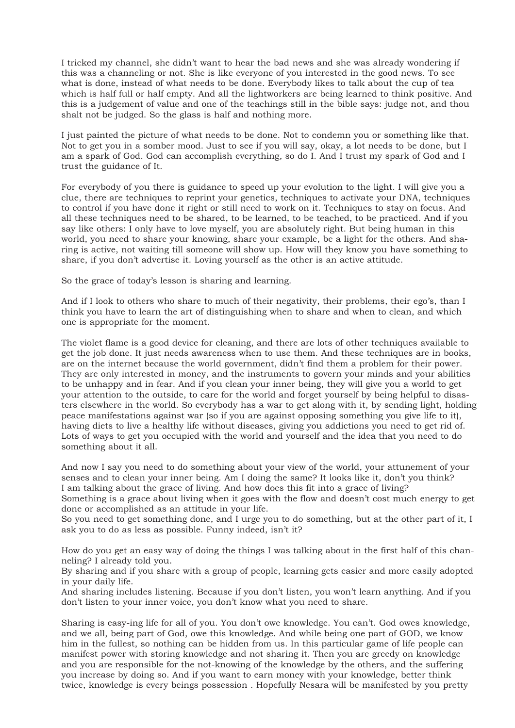I tricked my channel, she didn't want to hear the bad news and she was already wondering if this was a channeling or not. She is like everyone of you interested in the good news. To see what is done, instead of what needs to be done. Everybody likes to talk about the cup of tea which is half full or half empty. And all the lightworkers are being learned to think positive. And this is a judgement of value and one of the teachings still in the bible says: judge not, and thou shalt not be judged. So the glass is half and nothing more.

I just painted the picture of what needs to be done. Not to condemn you or something like that. Not to get you in a somber mood. Just to see if you will say, okay, a lot needs to be done, but I am a spark of God. God can accomplish everything, so do I. And I trust my spark of God and I trust the guidance of It.

For everybody of you there is guidance to speed up your evolution to the light. I will give you a clue, there are techniques to reprint your genetics, techniques to activate your DNA, techniques to control if you have done it right or still need to work on it. Techniques to stay on focus. And all these techniques need to be shared, to be learned, to be teached, to be practiced. And if you say like others: I only have to love myself, you are absolutely right. But being human in this world, you need to share your knowing, share your example, be a light for the others. And sharing is active, not waiting till someone will show up. How will they know you have something to share, if you don't advertise it. Loving yourself as the other is an active attitude.

So the grace of today's lesson is sharing and learning.

And if I look to others who share to much of their negativity, their problems, their ego's, than I think you have to learn the art of distinguishing when to share and when to clean, and which one is appropriate for the moment.

The violet flame is a good device for cleaning, and there are lots of other techniques available to get the job done. It just needs awareness when to use them. And these techniques are in books, are on the internet because the world government, didn't find them a problem for their power. They are only interested in money, and the instruments to govern your minds and your abilities to be unhappy and in fear. And if you clean your inner being, they will give you a world to get your attention to the outside, to care for the world and forget yourself by being helpful to disasters elsewhere in the world. So everybody has a war to get along with it, by sending light, holding peace manifestations against war (so if you are against opposing something you give life to it), having diets to live a healthy life without diseases, giving you addictions you need to get rid of. Lots of ways to get you occupied with the world and yourself and the idea that you need to do something about it all.

And now I say you need to do something about your view of the world, your attunement of your senses and to clean your inner being. Am I doing the same? It looks like it, don't you think? I am talking about the grace of living. And how does this fit into a grace of living?

Something is a grace about living when it goes with the flow and doesn't cost much energy to get done or accomplished as an attitude in your life.

So you need to get something done, and I urge you to do something, but at the other part of it, I ask you to do as less as possible. Funny indeed, isn't it?

How do you get an easy way of doing the things I was talking about in the first half of this channeling? I already told you.

By sharing and if you share with a group of people, learning gets easier and more easily adopted in your daily life.

And sharing includes listening. Because if you don't listen, you won't learn anything. And if you don't listen to your inner voice, you don't know what you need to share.

Sharing is easy-ing life for all of you. You don't owe knowledge. You can't. God owes knowledge, and we all, being part of God, owe this knowledge. And while being one part of GOD, we know him in the fullest, so nothing can be hidden from us. In this particular game of life people can manifest power with storing knowledge and not sharing it. Then you are greedy on knowledge and you are responsible for the not-knowing of the knowledge by the others, and the suffering you increase by doing so. And if you want to earn money with your knowledge, better think twice, knowledge is every beings possession . Hopefully Nesara will be manifested by you pretty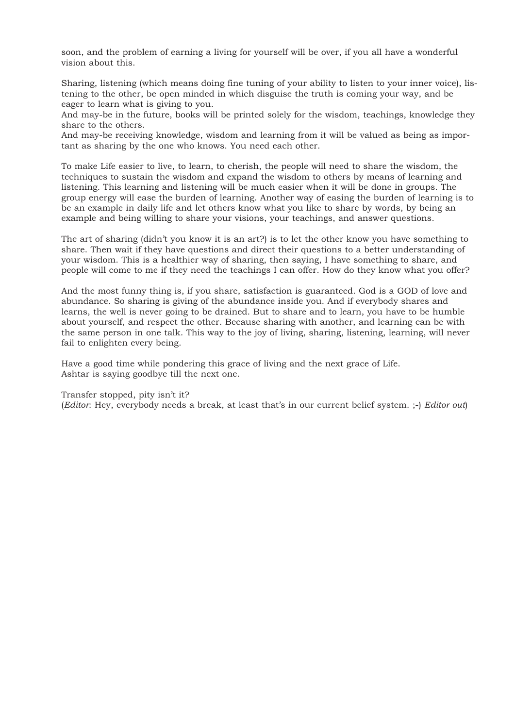soon, and the problem of earning a living for yourself will be over, if you all have a wonderful vision about this.

Sharing, listening (which means doing fine tuning of your ability to listen to your inner voice), listening to the other, be open minded in which disguise the truth is coming your way, and be eager to learn what is giving to you.

And may-be in the future, books will be printed solely for the wisdom, teachings, knowledge they share to the others.

And may-be receiving knowledge, wisdom and learning from it will be valued as being as important as sharing by the one who knows. You need each other.

To make Life easier to live, to learn, to cherish, the people will need to share the wisdom, the techniques to sustain the wisdom and expand the wisdom to others by means of learning and listening. This learning and listening will be much easier when it will be done in groups. The group energy will ease the burden of learning. Another way of easing the burden of learning is to be an example in daily life and let others know what you like to share by words, by being an example and being willing to share your visions, your teachings, and answer questions.

The art of sharing (didn't you know it is an art?) is to let the other know you have something to share. Then wait if they have questions and direct their questions to a better understanding of your wisdom. This is a healthier way of sharing, then saying, I have something to share, and people will come to me if they need the teachings I can offer. How do they know what you offer?

And the most funny thing is, if you share, satisfaction is guaranteed. God is a GOD of love and abundance. So sharing is giving of the abundance inside you. And if everybody shares and learns, the well is never going to be drained. But to share and to learn, you have to be humble about yourself, and respect the other. Because sharing with another, and learning can be with the same person in one talk. This way to the joy of living, sharing, listening, learning, will never fail to enlighten every being.

Have a good time while pondering this grace of living and the next grace of Life. Ashtar is saying goodbye till the next one.

Transfer stopped, pity isn't it?

(*Editor*: Hey, everybody needs a break, at least that's in our current belief system. ;-) *Editor out*)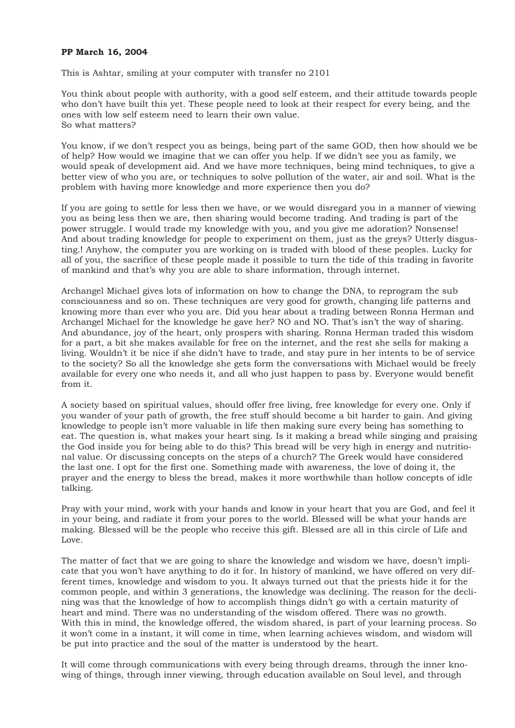## **PP March 16, 2004**

This is Ashtar, smiling at your computer with transfer no 2101

You think about people with authority, with a good self esteem, and their attitude towards people who don't have built this yet. These people need to look at their respect for every being, and the ones with low self esteem need to learn their own value. So what matters?

You know, if we don't respect you as beings, being part of the same GOD, then how should we be of help? How would we imagine that we can offer you help. If we didn't see you as family, we would speak of development aid. And we have more techniques, being mind techniques, to give a better view of who you are, or techniques to solve pollution of the water, air and soil. What is the problem with having more knowledge and more experience then you do?

If you are going to settle for less then we have, or we would disregard you in a manner of viewing you as being less then we are, then sharing would become trading. And trading is part of the power struggle. I would trade my knowledge with you, and you give me adoration? Nonsense! And about trading knowledge for people to experiment on them, just as the greys? Utterly disgusting.! Anyhow, the computer you are working on is traded with blood of these peoples. Lucky for all of you, the sacrifice of these people made it possible to turn the tide of this trading in favorite of mankind and that's why you are able to share information, through internet.

Archangel Michael gives lots of information on how to change the DNA, to reprogram the sub consciousness and so on. These techniques are very good for growth, changing life patterns and knowing more than ever who you are. Did you hear about a trading between Ronna Herman and Archangel Michael for the knowledge he gave her? NO and NO. That's isn't the way of sharing. And abundance, joy of the heart, only prospers with sharing. Ronna Herman traded this wisdom for a part, a bit she makes available for free on the internet, and the rest she sells for making a living. Wouldn't it be nice if she didn't have to trade, and stay pure in her intents to be of service to the society? So all the knowledge she gets form the conversations with Michael would be freely available for every one who needs it, and all who just happen to pass by. Everyone would benefit from it.

A society based on spiritual values, should offer free living, free knowledge for every one. Only if you wander of your path of growth, the free stuff should become a bit harder to gain. And giving knowledge to people isn't more valuable in life then making sure every being has something to eat. The question is, what makes your heart sing. Is it making a bread while singing and praising the God inside you for being able to do this? This bread will be very high in energy and nutritional value. Or discussing concepts on the steps of a church? The Greek would have considered the last one. I opt for the first one. Something made with awareness, the love of doing it, the prayer and the energy to bless the bread, makes it more worthwhile than hollow concepts of idle talking.

Pray with your mind, work with your hands and know in your heart that you are God, and feel it in your being, and radiate it from your pores to the world. Blessed will be what your hands are making. Blessed will be the people who receive this gift. Blessed are all in this circle of Life and Love.

The matter of fact that we are going to share the knowledge and wisdom we have, doesn't implicate that you won't have anything to do it for. In history of mankind, we have offered on very different times, knowledge and wisdom to you. It always turned out that the priests hide it for the common people, and within 3 generations, the knowledge was declining. The reason for the declining was that the knowledge of how to accomplish things didn't go with a certain maturity of heart and mind. There was no understanding of the wisdom offered. There was no growth. With this in mind, the knowledge offered, the wisdom shared, is part of your learning process. So it won't come in a instant, it will come in time, when learning achieves wisdom, and wisdom will be put into practice and the soul of the matter is understood by the heart.

It will come through communications with every being through dreams, through the inner knowing of things, through inner viewing, through education available on Soul level, and through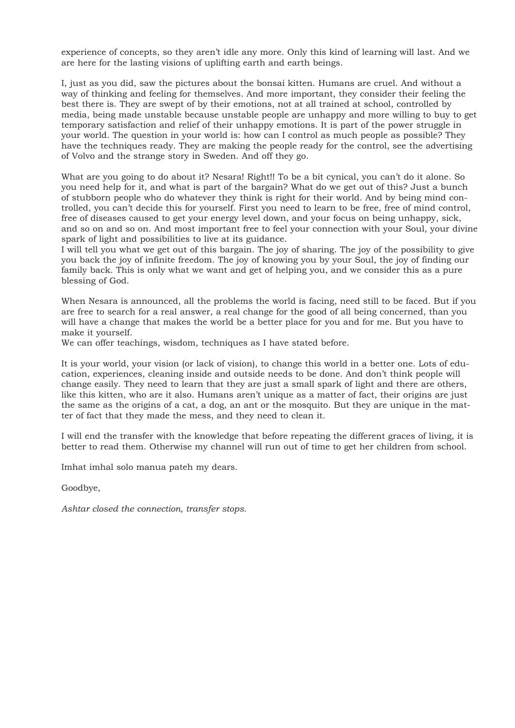experience of concepts, so they aren't idle any more. Only this kind of learning will last. And we are here for the lasting visions of uplifting earth and earth beings.

I, just as you did, saw the pictures about the bonsai kitten. Humans are cruel. And without a way of thinking and feeling for themselves. And more important, they consider their feeling the best there is. They are swept of by their emotions, not at all trained at school, controlled by media, being made unstable because unstable people are unhappy and more willing to buy to get temporary satisfaction and relief of their unhappy emotions. It is part of the power struggle in your world. The question in your world is: how can I control as much people as possible? They have the techniques ready. They are making the people ready for the control, see the advertising of Volvo and the strange story in Sweden. And off they go.

What are you going to do about it? Nesara! Right!! To be a bit cynical, you can't do it alone. So you need help for it, and what is part of the bargain? What do we get out of this? Just a bunch of stubborn people who do whatever they think is right for their world. And by being mind controlled, you can't decide this for yourself. First you need to learn to be free, free of mind control, free of diseases caused to get your energy level down, and your focus on being unhappy, sick, and so on and so on. And most important free to feel your connection with your Soul, your divine spark of light and possibilities to live at its guidance.

I will tell you what we get out of this bargain. The joy of sharing. The joy of the possibility to give you back the joy of infinite freedom. The joy of knowing you by your Soul, the joy of finding our family back. This is only what we want and get of helping you, and we consider this as a pure blessing of God.

When Nesara is announced, all the problems the world is facing, need still to be faced. But if you are free to search for a real answer, a real change for the good of all being concerned, than you will have a change that makes the world be a better place for you and for me. But you have to make it yourself.

We can offer teachings, wisdom, techniques as I have stated before.

It is your world, your vision (or lack of vision), to change this world in a better one. Lots of education, experiences, cleaning inside and outside needs to be done. And don't think people will change easily. They need to learn that they are just a small spark of light and there are others, like this kitten, who are it also. Humans aren't unique as a matter of fact, their origins are just the same as the origins of a cat, a dog, an ant or the mosquito. But they are unique in the matter of fact that they made the mess, and they need to clean it.

I will end the transfer with the knowledge that before repeating the different graces of living, it is better to read them. Otherwise my channel will run out of time to get her children from school.

Imhat imhal solo manua pateh my dears.

Goodbye,

*Ashtar closed the connection, transfer stops.*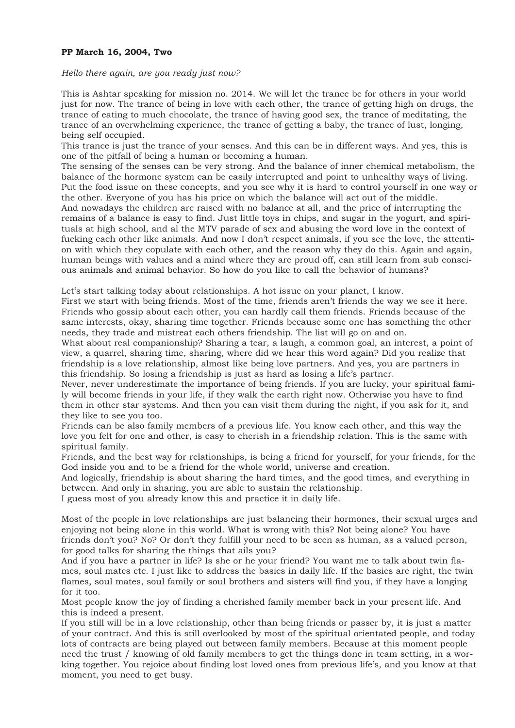## **PP March 16, 2004, Two**

#### *Hello there again, are you ready just now?*

This is Ashtar speaking for mission no. 2014. We will let the trance be for others in your world just for now. The trance of being in love with each other, the trance of getting high on drugs, the trance of eating to much chocolate, the trance of having good sex, the trance of meditating, the trance of an overwhelming experience, the trance of getting a baby, the trance of lust, longing, being self occupied.

This trance is just the trance of your senses. And this can be in different ways. And yes, this is one of the pitfall of being a human or becoming a human.

The sensing of the senses can be very strong. And the balance of inner chemical metabolism, the balance of the hormone system can be easily interrupted and point to unhealthy ways of living. Put the food issue on these concepts, and you see why it is hard to control yourself in one way or the other. Everyone of you has his price on which the balance will act out of the middle. And nowadays the children are raised with no balance at all, and the price of interrupting the remains of a balance is easy to find. Just little toys in chips, and sugar in the yogurt, and spirituals at high school, and al the MTV parade of sex and abusing the word love in the context of fucking each other like animals. And now I don't respect animals, if you see the love, the attention with which they copulate with each other, and the reason why they do this. Again and again, human beings with values and a mind where they are proud off, can still learn from sub conscious animals and animal behavior. So how do you like to call the behavior of humans?

Let's start talking today about relationships. A hot issue on your planet, I know.

First we start with being friends. Most of the time, friends aren't friends the way we see it here. Friends who gossip about each other, you can hardly call them friends. Friends because of the same interests, okay, sharing time together. Friends because some one has something the other needs, they trade and mistreat each others friendship. The list will go on and on.

What about real companionship? Sharing a tear, a laugh, a common goal, an interest, a point of view, a quarrel, sharing time, sharing, where did we hear this word again? Did you realize that friendship is a love relationship, almost like being love partners. And yes, you are partners in this friendship. So losing a friendship is just as hard as losing a life's partner.

Never, never underestimate the importance of being friends. If you are lucky, your spiritual family will become friends in your life, if they walk the earth right now. Otherwise you have to find them in other star systems. And then you can visit them during the night, if you ask for it, and they like to see you too.

Friends can be also family members of a previous life. You know each other, and this way the love you felt for one and other, is easy to cherish in a friendship relation. This is the same with spiritual family.

Friends, and the best way for relationships, is being a friend for yourself, for your friends, for the God inside you and to be a friend for the whole world, universe and creation.

And logically, friendship is about sharing the hard times, and the good times, and everything in between. And only in sharing, you are able to sustain the relationship.

I guess most of you already know this and practice it in daily life.

Most of the people in love relationships are just balancing their hormones, their sexual urges and enjoying not being alone in this world. What is wrong with this? Not being alone? You have friends don't you? No? Or don't they fulfill your need to be seen as human, as a valued person, for good talks for sharing the things that ails you?

And if you have a partner in life? Is she or he your friend? You want me to talk about twin flames, soul mates etc. I just like to address the basics in daily life. If the basics are right, the twin flames, soul mates, soul family or soul brothers and sisters will find you, if they have a longing for it too.

Most people know the joy of finding a cherished family member back in your present life. And this is indeed a present.

If you still will be in a love relationship, other than being friends or passer by, it is just a matter of your contract. And this is still overlooked by most of the spiritual orientated people, and today lots of contracts are being played out between family members. Because at this moment people need the trust / knowing of old family members to get the things done in team setting, in a working together. You rejoice about finding lost loved ones from previous life's, and you know at that moment, you need to get busy.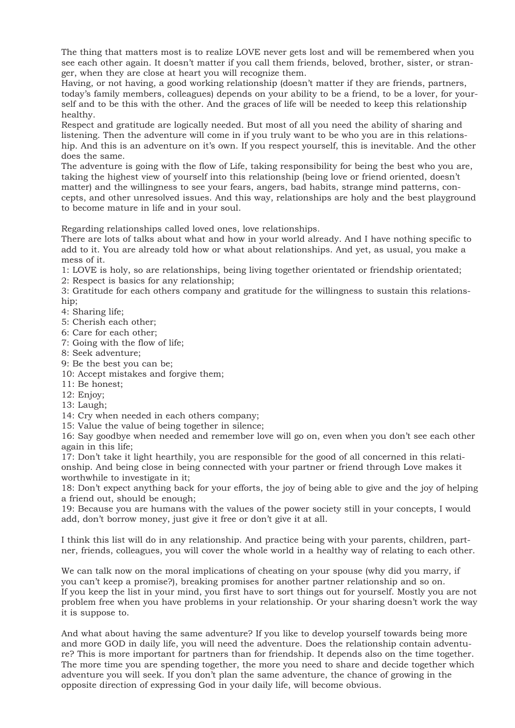The thing that matters most is to realize LOVE never gets lost and will be remembered when you see each other again. It doesn't matter if you call them friends, beloved, brother, sister, or stranger, when they are close at heart you will recognize them.

Having, or not having, a good working relationship (doesn't matter if they are friends, partners, today's family members, colleagues) depends on your ability to be a friend, to be a lover, for yourself and to be this with the other. And the graces of life will be needed to keep this relationship healthy.

Respect and gratitude are logically needed. But most of all you need the ability of sharing and listening. Then the adventure will come in if you truly want to be who you are in this relationship. And this is an adventure on it's own. If you respect yourself, this is inevitable. And the other does the same.

The adventure is going with the flow of Life, taking responsibility for being the best who you are, taking the highest view of yourself into this relationship (being love or friend oriented, doesn't matter) and the willingness to see your fears, angers, bad habits, strange mind patterns, concepts, and other unresolved issues. And this way, relationships are holy and the best playground to become mature in life and in your soul.

Regarding relationships called loved ones, love relationships.

There are lots of talks about what and how in your world already. And I have nothing specific to add to it. You are already told how or what about relationships. And yet, as usual, you make a mess of it.

1: LOVE is holy, so are relationships, being living together orientated or friendship orientated;

2: Respect is basics for any relationship;

3: Gratitude for each others company and gratitude for the willingness to sustain this relationship;

- 4: Sharing life;
- 5: Cherish each other;
- 6: Care for each other;
- 7: Going with the flow of life;
- 8: Seek adventure;
- 9: Be the best you can be;
- 10: Accept mistakes and forgive them;
- 11: Be honest;
- 12: Enjoy;
- 13: Laugh;

14: Cry when needed in each others company;

15: Value the value of being together in silence;

16: Say goodbye when needed and remember love will go on, even when you don't see each other again in this life;

17: Don't take it light hearthily, you are responsible for the good of all concerned in this relationship. And being close in being connected with your partner or friend through Love makes it worthwhile to investigate in it;

18: Don't expect anything back for your efforts, the joy of being able to give and the joy of helping a friend out, should be enough;

19: Because you are humans with the values of the power society still in your concepts, I would add, don't borrow money, just give it free or don't give it at all.

I think this list will do in any relationship. And practice being with your parents, children, partner, friends, colleagues, you will cover the whole world in a healthy way of relating to each other.

We can talk now on the moral implications of cheating on your spouse (why did you marry, if you can't keep a promise?), breaking promises for another partner relationship and so on. If you keep the list in your mind, you first have to sort things out for yourself. Mostly you are not problem free when you have problems in your relationship. Or your sharing doesn't work the way it is suppose to.

And what about having the same adventure? If you like to develop yourself towards being more and more GOD in daily life, you will need the adventure. Does the relationship contain adventure? This is more important for partners than for friendship. It depends also on the time together. The more time you are spending together, the more you need to share and decide together which adventure you will seek. If you don't plan the same adventure, the chance of growing in the opposite direction of expressing God in your daily life, will become obvious.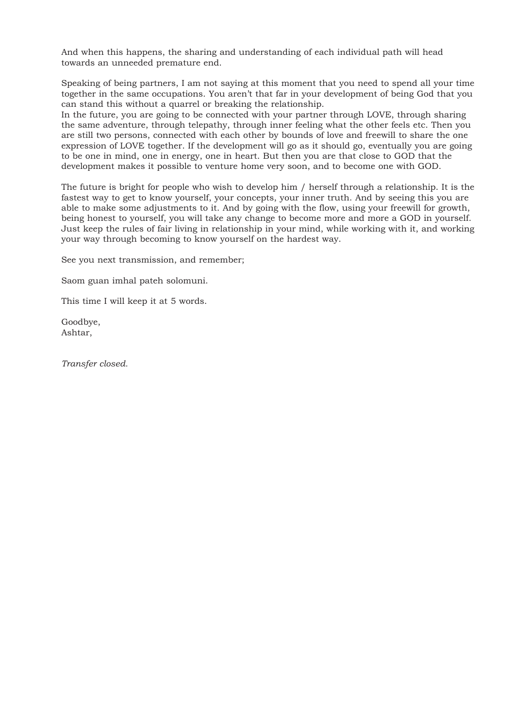And when this happens, the sharing and understanding of each individual path will head towards an unneeded premature end.

Speaking of being partners, I am not saying at this moment that you need to spend all your time together in the same occupations. You aren't that far in your development of being God that you can stand this without a quarrel or breaking the relationship.

In the future, you are going to be connected with your partner through LOVE, through sharing the same adventure, through telepathy, through inner feeling what the other feels etc. Then you are still two persons, connected with each other by bounds of love and freewill to share the one expression of LOVE together. If the development will go as it should go, eventually you are going to be one in mind, one in energy, one in heart. But then you are that close to GOD that the development makes it possible to venture home very soon, and to become one with GOD.

The future is bright for people who wish to develop him / herself through a relationship. It is the fastest way to get to know yourself, your concepts, your inner truth. And by seeing this you are able to make some adjustments to it. And by going with the flow, using your freewill for growth, being honest to yourself, you will take any change to become more and more a GOD in yourself. Just keep the rules of fair living in relationship in your mind, while working with it, and working your way through becoming to know yourself on the hardest way.

See you next transmission, and remember;

Saom guan imhal pateh solomuni.

This time I will keep it at 5 words.

Goodbye, Ashtar,

*Transfer closed.*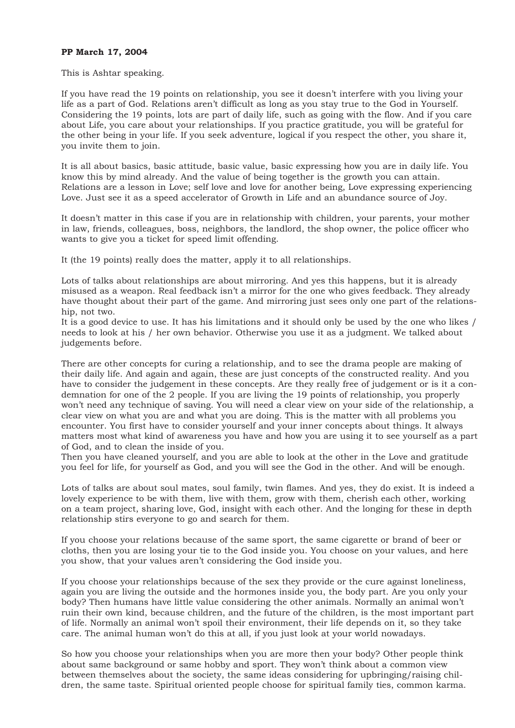## **PP March 17, 2004**

#### This is Ashtar speaking.

If you have read the 19 points on relationship, you see it doesn't interfere with you living your life as a part of God. Relations aren't difficult as long as you stay true to the God in Yourself. Considering the 19 points, lots are part of daily life, such as going with the flow. And if you care about Life, you care about your relationships. If you practice gratitude, you will be grateful for the other being in your life. If you seek adventure, logical if you respect the other, you share it, you invite them to join.

It is all about basics, basic attitude, basic value, basic expressing how you are in daily life. You know this by mind already. And the value of being together is the growth you can attain. Relations are a lesson in Love; self love and love for another being, Love expressing experiencing Love. Just see it as a speed accelerator of Growth in Life and an abundance source of Joy.

It doesn't matter in this case if you are in relationship with children, your parents, your mother in law, friends, colleagues, boss, neighbors, the landlord, the shop owner, the police officer who wants to give you a ticket for speed limit offending.

It (the 19 points) really does the matter, apply it to all relationships.

Lots of talks about relationships are about mirroring. And yes this happens, but it is already misused as a weapon. Real feedback isn't a mirror for the one who gives feedback. They already have thought about their part of the game. And mirroring just sees only one part of the relationship, not two.

It is a good device to use. It has his limitations and it should only be used by the one who likes / needs to look at his / her own behavior. Otherwise you use it as a judgment. We talked about judgements before.

There are other concepts for curing a relationship, and to see the drama people are making of their daily life. And again and again, these are just concepts of the constructed reality. And you have to consider the judgement in these concepts. Are they really free of judgement or is it a condemnation for one of the 2 people. If you are living the 19 points of relationship, you properly won't need any technique of saving. You will need a clear view on your side of the relationship, a clear view on what you are and what you are doing. This is the matter with all problems you encounter. You first have to consider yourself and your inner concepts about things. It always matters most what kind of awareness you have and how you are using it to see yourself as a part of God, and to clean the inside of you.

Then you have cleaned yourself, and you are able to look at the other in the Love and gratitude you feel for life, for yourself as God, and you will see the God in the other. And will be enough.

Lots of talks are about soul mates, soul family, twin flames. And yes, they do exist. It is indeed a lovely experience to be with them, live with them, grow with them, cherish each other, working on a team project, sharing love, God, insight with each other. And the longing for these in depth relationship stirs everyone to go and search for them.

If you choose your relations because of the same sport, the same cigarette or brand of beer or cloths, then you are losing your tie to the God inside you. You choose on your values, and here you show, that your values aren't considering the God inside you.

If you choose your relationships because of the sex they provide or the cure against loneliness, again you are living the outside and the hormones inside you, the body part. Are you only your body? Then humans have little value considering the other animals. Normally an animal won't ruin their own kind, because children, and the future of the children, is the most important part of life. Normally an animal won't spoil their environment, their life depends on it, so they take care. The animal human won't do this at all, if you just look at your world nowadays.

So how you choose your relationships when you are more then your body? Other people think about same background or same hobby and sport. They won't think about a common view between themselves about the society, the same ideas considering for upbringing/raising children, the same taste. Spiritual oriented people choose for spiritual family ties, common karma.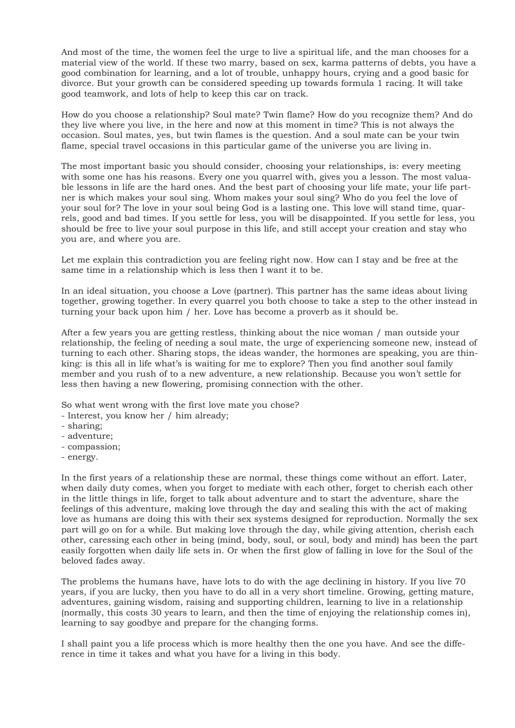And most of the time, the women feel the urge to live a spiritual life, and the man chooses for a material view of the world. If these two marry, based on sex, karma patterns of debts, you have a good combination for learning, and a lot of trouble, unhappy hours, crying and a good basic for divorce. But your growth can be considered speeding up towards formula 1 racing. It will take good teamwork, and lots of help to keep this car on track.

How do you choose a relationship? Soul mate? Twin flame? How do you recognize them? And do they live where you live, in the here and now at this moment in time? This is not always the occasion. Soul mates, yes, but twin flames is the question. And a soul mate can be your twin flame, special travel occasions in this particular game of the universe you are living in.

The most important basic you should consider, choosing your relationships, is: every meeting with some one has his reasons. Every one you quarrel with, gives you a lesson. The most valuable lessons in life are the hard ones. And the best part of choosing your life mate, your life partner is which makes your soul sing. Whom makes your soul sing? Who do you feel the love of your soul for? The love in your soul being God is a lasting one. This love will stand time, quarrels, good and bad times. If you settle for less, you will be disappointed. If you settle for less, you should be free to live your soul purpose in this life, and still accept your creation and stay who you are, and where you are.

Let me explain this contradiction you are feeling right now. How can I stay and be free at the same time in a relationship which is less then I want it to be.

In an ideal situation, you choose a Love (partner). This partner has the same ideas about living together, growing together. In every quarrel you both choose to take a step to the other instead in turning your back upon him / her. Love has become a proverb as it should be.

After a few years you are getting restless, thinking about the nice woman / man outside your relationship, the feeling of needing a soul mate, the urge of experiencing someone new, instead of turning to each other. Sharing stops, the ideas wander, the hormones are speaking, you are thinking: is this all in life what's is waiting for me to explore? Then you find another soul family member and you rush of to a new adventure, a new relationship. Because you won't settle for less then having a new flowering, promising connection with the other.

So what went wrong with the first love mate you chose?

- Interest, you know her / him already;
- sharing;
- adventure;
- compassion;
- energy.

In the first years of a relationship these are normal, these things come without an effort. Later, when daily duty comes, when you forget to mediate with each other, forget to cherish each other in the little things in life, forget to talk about adventure and to start the adventure, share the feelings of this adventure, making love through the day and sealing this with the act of making love as humans are doing this with their sex systems designed for reproduction. Normally the sex part will go on for a while. But making love through the day, while giving attention, cherish each other, caressing each other in being (mind, body, soul, or soul, body and mind) has been the part easily forgotten when daily life sets in. Or when the first glow of falling in love for the Soul of the beloved fades away.

The problems the humans have, have lots to do with the age declining in history. If you live 70 years, if you are lucky, then you have to do all in a very short timeline. Growing, getting mature, adventures, gaining wisdom, raising and supporting children, learning to live in a relationship (normally, this costs 30 years to learn, and then the time of enjoying the relationship comes in), learning to say goodbye and prepare for the changing forms.

I shall paint you a life process which is more healthy then the one you have. And see the difference in time it takes and what you have for a living in this body.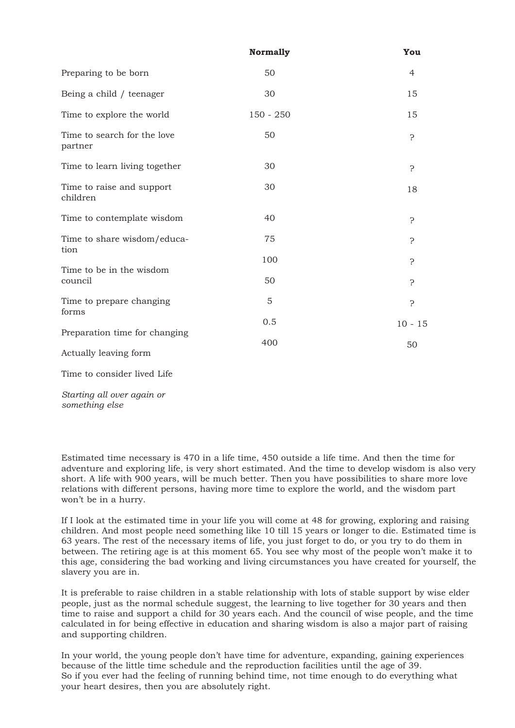|                                                        | <b>Normally</b> | You       |
|--------------------------------------------------------|-----------------|-----------|
| Preparing to be born                                   | 50              | 4         |
| Being a child / teenager                               | 30              | 15        |
| Time to explore the world                              | $150 - 250$     | 15        |
| Time to search for the love<br>partner                 | 50              | Ċ         |
| Time to learn living together                          | 30              | Ċ         |
| Time to raise and support<br>children                  | 30              | 18        |
| Time to contemplate wisdom                             | 40              | ċ         |
| Time to share wisdom/educa-<br>tion                    | 75              | Ċ         |
|                                                        | 100             | Ċ         |
| Time to be in the wisdom<br>council                    | 50              | 5.        |
| Time to prepare changing<br>forms                      | 5               | Ċ         |
|                                                        | 0.5             | $10 - 15$ |
| Preparation time for changing<br>Actually leaving form | 400             | 50        |
| Time to consider lived Life                            |                 |           |

*Starting all over again or something else* 

Estimated time necessary is 470 in a life time, 450 outside a life time. And then the time for adventure and exploring life, is very short estimated. And the time to develop wisdom is also very short. A life with 900 years, will be much better. Then you have possibilities to share more love relations with different persons, having more time to explore the world, and the wisdom part won't be in a hurry.

If I look at the estimated time in your life you will come at 48 for growing, exploring and raising children. And most people need something like 10 till 15 years or longer to die. Estimated time is 63 years. The rest of the necessary items of life, you just forget to do, or you try to do them in between. The retiring age is at this moment 65. You see why most of the people won't make it to this age, considering the bad working and living circumstances you have created for yourself, the slavery you are in.

It is preferable to raise children in a stable relationship with lots of stable support by wise elder people, just as the normal schedule suggest, the learning to live together for 30 years and then time to raise and support a child for 30 years each. And the council of wise people, and the time calculated in for being effective in education and sharing wisdom is also a major part of raising and supporting children.

In your world, the young people don't have time for adventure, expanding, gaining experiences because of the little time schedule and the reproduction facilities until the age of 39. So if you ever had the feeling of running behind time, not time enough to do everything what your heart desires, then you are absolutely right.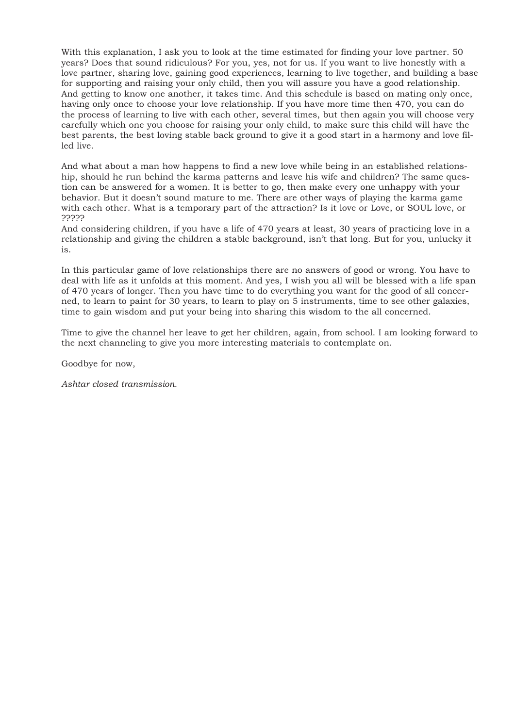With this explanation, I ask you to look at the time estimated for finding your love partner. 50 years? Does that sound ridiculous? For you, yes, not for us. If you want to live honestly with a love partner, sharing love, gaining good experiences, learning to live together, and building a base for supporting and raising your only child, then you will assure you have a good relationship. And getting to know one another, it takes time. And this schedule is based on mating only once, having only once to choose your love relationship. If you have more time then 470, you can do the process of learning to live with each other, several times, but then again you will choose very carefully which one you choose for raising your only child, to make sure this child will have the best parents, the best loving stable back ground to give it a good start in a harmony and love filled live.

And what about a man how happens to find a new love while being in an established relationship, should he run behind the karma patterns and leave his wife and children? The same question can be answered for a women. It is better to go, then make every one unhappy with your behavior. But it doesn't sound mature to me. There are other ways of playing the karma game with each other. What is a temporary part of the attraction? Is it love or Love, or SOUL love, or ?????

And considering children, if you have a life of 470 years at least, 30 years of practicing love in a relationship and giving the children a stable background, isn't that long. But for you, unlucky it is.

In this particular game of love relationships there are no answers of good or wrong. You have to deal with life as it unfolds at this moment. And yes, I wish you all will be blessed with a life span of 470 years of longer. Then you have time to do everything you want for the good of all concerned, to learn to paint for 30 years, to learn to play on 5 instruments, time to see other galaxies, time to gain wisdom and put your being into sharing this wisdom to the all concerned.

Time to give the channel her leave to get her children, again, from school. I am looking forward to the next channeling to give you more interesting materials to contemplate on.

Goodbye for now,

*Ashtar closed transmission.*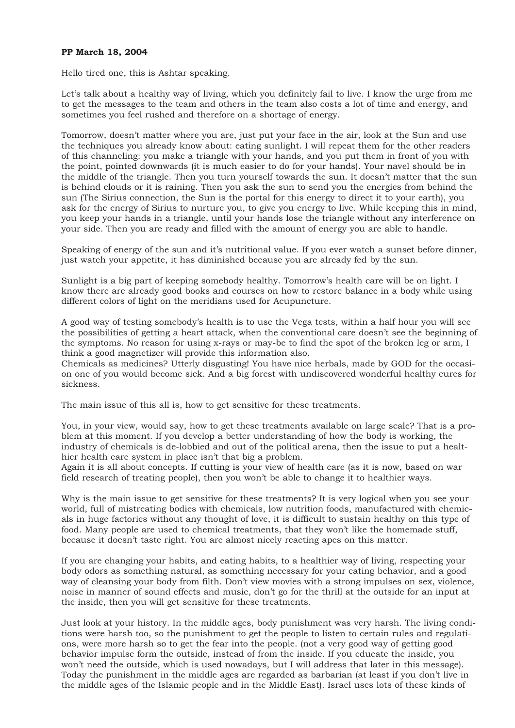## **PP March 18, 2004**

Hello tired one, this is Ashtar speaking.

Let's talk about a healthy way of living, which you definitely fail to live. I know the urge from me to get the messages to the team and others in the team also costs a lot of time and energy, and sometimes you feel rushed and therefore on a shortage of energy.

Tomorrow, doesn't matter where you are, just put your face in the air, look at the Sun and use the techniques you already know about: eating sunlight. I will repeat them for the other readers of this channeling: you make a triangle with your hands, and you put them in front of you with the point, pointed downwards (it is much easier to do for your hands). Your navel should be in the middle of the triangle. Then you turn yourself towards the sun. It doesn't matter that the sun is behind clouds or it is raining. Then you ask the sun to send you the energies from behind the sun (The Sirius connection, the Sun is the portal for this energy to direct it to your earth), you ask for the energy of Sirius to nurture you, to give you energy to live. While keeping this in mind, you keep your hands in a triangle, until your hands lose the triangle without any interference on your side. Then you are ready and filled with the amount of energy you are able to handle.

Speaking of energy of the sun and it's nutritional value. If you ever watch a sunset before dinner, just watch your appetite, it has diminished because you are already fed by the sun.

Sunlight is a big part of keeping somebody healthy. Tomorrow's health care will be on light. I know there are already good books and courses on how to restore balance in a body while using different colors of light on the meridians used for Acupuncture.

A good way of testing somebody's health is to use the Vega tests, within a half hour you will see the possibilities of getting a heart attack, when the conventional care doesn't see the beginning of the symptoms. No reason for using x-rays or may-be to find the spot of the broken leg or arm, I think a good magnetizer will provide this information also.

Chemicals as medicines? Utterly disgusting! You have nice herbals, made by GOD for the occasion one of you would become sick. And a big forest with undiscovered wonderful healthy cures for sickness.

The main issue of this all is, how to get sensitive for these treatments.

You, in your view, would say, how to get these treatments available on large scale? That is a problem at this moment. If you develop a better understanding of how the body is working, the industry of chemicals is de-lobbied and out of the political arena, then the issue to put a healthier health care system in place isn't that big a problem.

Again it is all about concepts. If cutting is your view of health care (as it is now, based on war field research of treating people), then you won't be able to change it to healthier ways.

Why is the main issue to get sensitive for these treatments? It is very logical when you see your world, full of mistreating bodies with chemicals, low nutrition foods, manufactured with chemicals in huge factories without any thought of love, it is difficult to sustain healthy on this type of food. Many people are used to chemical treatments, that they won't like the homemade stuff, because it doesn't taste right. You are almost nicely reacting apes on this matter.

If you are changing your habits, and eating habits, to a healthier way of living, respecting your body odors as something natural, as something necessary for your eating behavior, and a good way of cleansing your body from filth. Don't view movies with a strong impulses on sex, violence, noise in manner of sound effects and music, don't go for the thrill at the outside for an input at the inside, then you will get sensitive for these treatments.

Just look at your history. In the middle ages, body punishment was very harsh. The living conditions were harsh too, so the punishment to get the people to listen to certain rules and regulations, were more harsh so to get the fear into the people. (not a very good way of getting good behavior impulse form the outside, instead of from the inside. If you educate the inside, you won't need the outside, which is used nowadays, but I will address that later in this message). Today the punishment in the middle ages are regarded as barbarian (at least if you don't live in the middle ages of the Islamic people and in the Middle East). Israel uses lots of these kinds of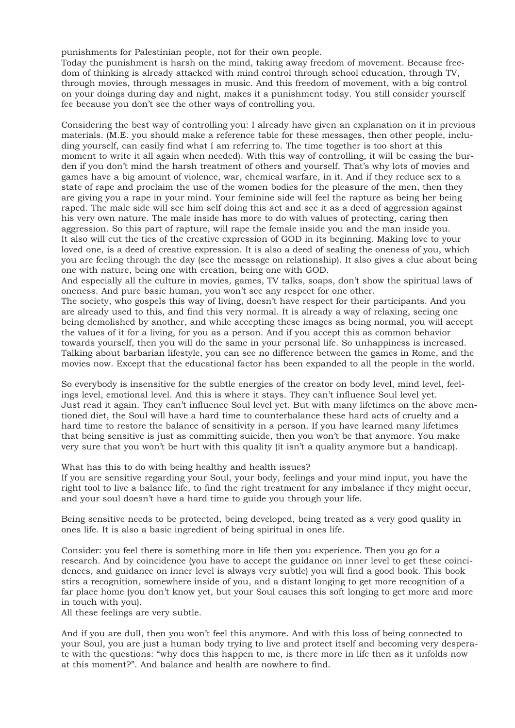punishments for Palestinian people, not for their own people.

Today the punishment is harsh on the mind, taking away freedom of movement. Because freedom of thinking is already attacked with mind control through school education, through TV, through movies, through messages in music. And this freedom of movement, with a big control on your doings during day and night, makes it a punishment today. You still consider yourself fee because you don't see the other ways of controlling you.

Considering the best way of controlling you: I already have given an explanation on it in previous materials. (M.E. you should make a reference table for these messages, then other people, including yourself, can easily find what I am referring to. The time together is too short at this moment to write it all again when needed). With this way of controlling, it will be easing the burden if you don't mind the harsh treatment of others and yourself. That's why lots of movies and games have a big amount of violence, war, chemical warfare, in it. And if they reduce sex to a state of rape and proclaim the use of the women bodies for the pleasure of the men, then they are giving you a rape in your mind. Your feminine side will feel the rapture as being her being raped. The male side will see him self doing this act and see it as a deed of aggression against his very own nature. The male inside has more to do with values of protecting, caring then aggression. So this part of rapture, will rape the female inside you and the man inside you. It also will cut the ties of the creative expression of GOD in its beginning. Making love to your loved one, is a deed of creative expression. It is also a deed of sealing the oneness of you, which you are feeling through the day (see the message on relationship). It also gives a clue about being one with nature, being one with creation, being one with GOD.

And especially all the culture in movies, games, TV talks, soaps, don't show the spiritual laws of oneness. And pure basic human, you won't see any respect for one other.

The society, who gospels this way of living, doesn't have respect for their participants. And you are already used to this, and find this very normal. It is already a way of relaxing, seeing one being demolished by another, and while accepting these images as being normal, you will accept the values of it for a living, for you as a person. And if you accept this as common behavior towards yourself, then you will do the same in your personal life. So unhappiness is increased. Talking about barbarian lifestyle, you can see no difference between the games in Rome, and the movies now. Except that the educational factor has been expanded to all the people in the world.

So everybody is insensitive for the subtle energies of the creator on body level, mind level, feelings level, emotional level. And this is where it stays. They can't influence Soul level yet. Just read it again. They can't influence Soul level yet. But with many lifetimes on the above mentioned diet, the Soul will have a hard time to counterbalance these hard acts of cruelty and a hard time to restore the balance of sensitivity in a person. If you have learned many lifetimes that being sensitive is just as committing suicide, then you won't be that anymore. You make very sure that you won't be hurt with this quality (it isn't a quality anymore but a handicap).

What has this to do with being healthy and health issues?

If you are sensitive regarding your Soul, your body, feelings and your mind input, you have the right tool to live a balance life, to find the right treatment for any imbalance if they might occur, and your soul doesn't have a hard time to guide you through your life.

Being sensitive needs to be protected, being developed, being treated as a very good quality in ones life. It is also a basic ingredient of being spiritual in ones life.

Consider: you feel there is something more in life then you experience. Then you go for a research. And by coincidence (you have to accept the guidance on inner level to get these coincidences, and guidance on inner level is always very subtle) you will find a good book. This book stirs a recognition, somewhere inside of you, and a distant longing to get more recognition of a far place home (you don't know yet, but your Soul causes this soft longing to get more and more in touch with you).

All these feelings are very subtle.

And if you are dull, then you won't feel this anymore. And with this loss of being connected to your Soul, you are just a human body trying to live and protect itself and becoming very desperate with the questions: "why does this happen to me, is there more in life then as it unfolds now at this moment?". And balance and health are nowhere to find.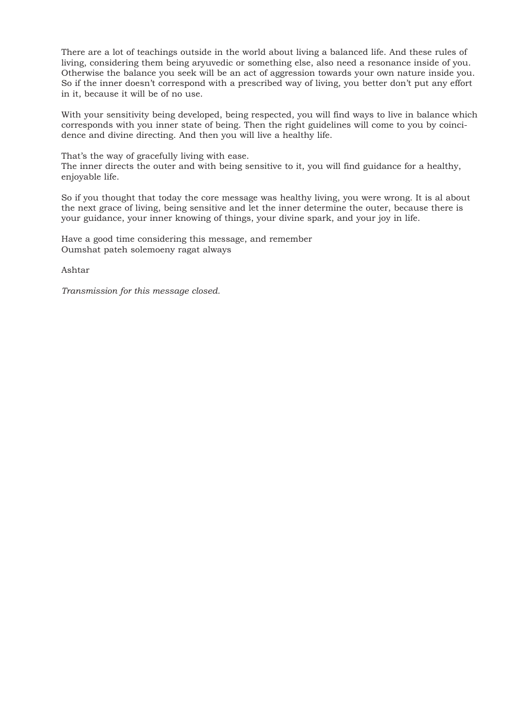There are a lot of teachings outside in the world about living a balanced life. And these rules of living, considering them being aryuvedic or something else, also need a resonance inside of you. Otherwise the balance you seek will be an act of aggression towards your own nature inside you. So if the inner doesn't correspond with a prescribed way of living, you better don't put any effort in it, because it will be of no use.

With your sensitivity being developed, being respected, you will find ways to live in balance which corresponds with you inner state of being. Then the right guidelines will come to you by coincidence and divine directing. And then you will live a healthy life.

That's the way of gracefully living with ease. The inner directs the outer and with being sensitive to it, you will find guidance for a healthy, enjoyable life.

So if you thought that today the core message was healthy living, you were wrong. It is al about the next grace of living, being sensitive and let the inner determine the outer, because there is your guidance, your inner knowing of things, your divine spark, and your joy in life.

Have a good time considering this message, and remember Oumshat pateh solemoeny ragat always

Ashtar

*Transmission for this message closed.*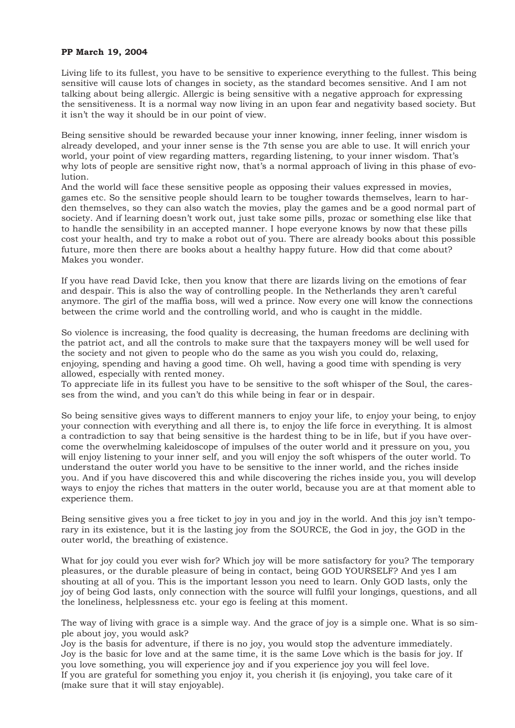## **PP March 19, 2004**

Living life to its fullest, you have to be sensitive to experience everything to the fullest. This being sensitive will cause lots of changes in society, as the standard becomes sensitive. And I am not talking about being allergic. Allergic is being sensitive with a negative approach for expressing the sensitiveness. It is a normal way now living in an upon fear and negativity based society. But it isn't the way it should be in our point of view.

Being sensitive should be rewarded because your inner knowing, inner feeling, inner wisdom is already developed, and your inner sense is the 7th sense you are able to use. It will enrich your world, your point of view regarding matters, regarding listening, to your inner wisdom. That's why lots of people are sensitive right now, that's a normal approach of living in this phase of evolution.

And the world will face these sensitive people as opposing their values expressed in movies, games etc. So the sensitive people should learn to be tougher towards themselves, learn to harden themselves, so they can also watch the movies, play the games and be a good normal part of society. And if learning doesn't work out, just take some pills, prozac or something else like that to handle the sensibility in an accepted manner. I hope everyone knows by now that these pills cost your health, and try to make a robot out of you. There are already books about this possible future, more then there are books about a healthy happy future. How did that come about? Makes you wonder.

If you have read David Icke, then you know that there are lizards living on the emotions of fear and despair. This is also the way of controlling people. In the Netherlands they aren't careful anymore. The girl of the maffia boss, will wed a prince. Now every one will know the connections between the crime world and the controlling world, and who is caught in the middle.

So violence is increasing, the food quality is decreasing, the human freedoms are declining with the patriot act, and all the controls to make sure that the taxpayers money will be well used for the society and not given to people who do the same as you wish you could do, relaxing, enjoying, spending and having a good time. Oh well, having a good time with spending is very allowed, especially with rented money.

To appreciate life in its fullest you have to be sensitive to the soft whisper of the Soul, the caresses from the wind, and you can't do this while being in fear or in despair.

So being sensitive gives ways to different manners to enjoy your life, to enjoy your being, to enjoy your connection with everything and all there is, to enjoy the life force in everything. It is almost a contradiction to say that being sensitive is the hardest thing to be in life, but if you have overcome the overwhelming kaleidoscope of impulses of the outer world and it pressure on you, you will enjoy listening to your inner self, and you will enjoy the soft whispers of the outer world. To understand the outer world you have to be sensitive to the inner world, and the riches inside you. And if you have discovered this and while discovering the riches inside you, you will develop ways to enjoy the riches that matters in the outer world, because you are at that moment able to experience them.

Being sensitive gives you a free ticket to joy in you and joy in the world. And this joy isn't temporary in its existence, but it is the lasting joy from the SOURCE, the God in joy, the GOD in the outer world, the breathing of existence.

What for joy could you ever wish for? Which joy will be more satisfactory for you? The temporary pleasures, or the durable pleasure of being in contact, being GOD YOURSELF? And yes I am shouting at all of you. This is the important lesson you need to learn. Only GOD lasts, only the joy of being God lasts, only connection with the source will fulfil your longings, questions, and all the loneliness, helplessness etc. your ego is feeling at this moment.

The way of living with grace is a simple way. And the grace of joy is a simple one. What is so simple about joy, you would ask?

Joy is the basis for adventure, if there is no joy, you would stop the adventure immediately. Joy is the basic for love and at the same time, it is the same Love which is the basis for joy. If you love something, you will experience joy and if you experience joy you will feel love. If you are grateful for something you enjoy it, you cherish it (is enjoying), you take care of it (make sure that it will stay enjoyable).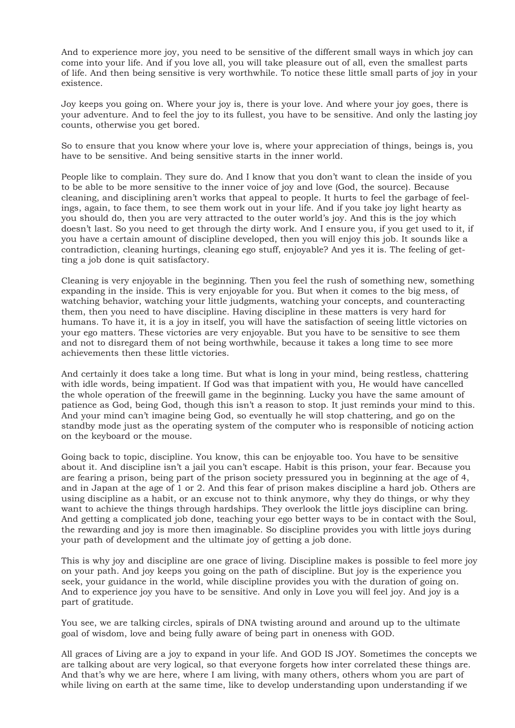And to experience more joy, you need to be sensitive of the different small ways in which joy can come into your life. And if you love all, you will take pleasure out of all, even the smallest parts of life. And then being sensitive is very worthwhile. To notice these little small parts of joy in your existence.

Joy keeps you going on. Where your joy is, there is your love. And where your joy goes, there is your adventure. And to feel the joy to its fullest, you have to be sensitive. And only the lasting joy counts, otherwise you get bored.

So to ensure that you know where your love is, where your appreciation of things, beings is, you have to be sensitive. And being sensitive starts in the inner world.

People like to complain. They sure do. And I know that you don't want to clean the inside of you to be able to be more sensitive to the inner voice of joy and love (God, the source). Because cleaning, and disciplining aren't works that appeal to people. It hurts to feel the garbage of feelings, again, to face them, to see them work out in your life. And if you take joy light hearty as you should do, then you are very attracted to the outer world's joy. And this is the joy which doesn't last. So you need to get through the dirty work. And I ensure you, if you get used to it, if you have a certain amount of discipline developed, then you will enjoy this job. It sounds like a contradiction, cleaning hurtings, cleaning ego stuff, enjoyable? And yes it is. The feeling of getting a job done is quit satisfactory.

Cleaning is very enjoyable in the beginning. Then you feel the rush of something new, something expanding in the inside. This is very enjoyable for you. But when it comes to the big mess, of watching behavior, watching your little judgments, watching your concepts, and counteracting them, then you need to have discipline. Having discipline in these matters is very hard for humans. To have it, it is a joy in itself, you will have the satisfaction of seeing little victories on your ego matters. These victories are very enjoyable. But you have to be sensitive to see them and not to disregard them of not being worthwhile, because it takes a long time to see more achievements then these little victories.

And certainly it does take a long time. But what is long in your mind, being restless, chattering with idle words, being impatient. If God was that impatient with you, He would have cancelled the whole operation of the freewill game in the beginning. Lucky you have the same amount of patience as God, being God, though this isn't a reason to stop. It just reminds your mind to this. And your mind can't imagine being God, so eventually he will stop chattering, and go on the standby mode just as the operating system of the computer who is responsible of noticing action on the keyboard or the mouse.

Going back to topic, discipline. You know, this can be enjoyable too. You have to be sensitive about it. And discipline isn't a jail you can't escape. Habit is this prison, your fear. Because you are fearing a prison, being part of the prison society pressured you in beginning at the age of 4, and in Japan at the age of 1 or 2. And this fear of prison makes discipline a hard job. Others are using discipline as a habit, or an excuse not to think anymore, why they do things, or why they want to achieve the things through hardships. They overlook the little joys discipline can bring. And getting a complicated job done, teaching your ego better ways to be in contact with the Soul, the rewarding and joy is more then imaginable. So discipline provides you with little joys during your path of development and the ultimate joy of getting a job done.

This is why joy and discipline are one grace of living. Discipline makes is possible to feel more joy on your path. And joy keeps you going on the path of discipline. But joy is the experience you seek, your guidance in the world, while discipline provides you with the duration of going on. And to experience joy you have to be sensitive. And only in Love you will feel joy. And joy is a part of gratitude.

You see, we are talking circles, spirals of DNA twisting around and around up to the ultimate goal of wisdom, love and being fully aware of being part in oneness with GOD.

All graces of Living are a joy to expand in your life. And GOD IS JOY. Sometimes the concepts we are talking about are very logical, so that everyone forgets how inter correlated these things are. And that's why we are here, where I am living, with many others, others whom you are part of while living on earth at the same time, like to develop understanding upon understanding if we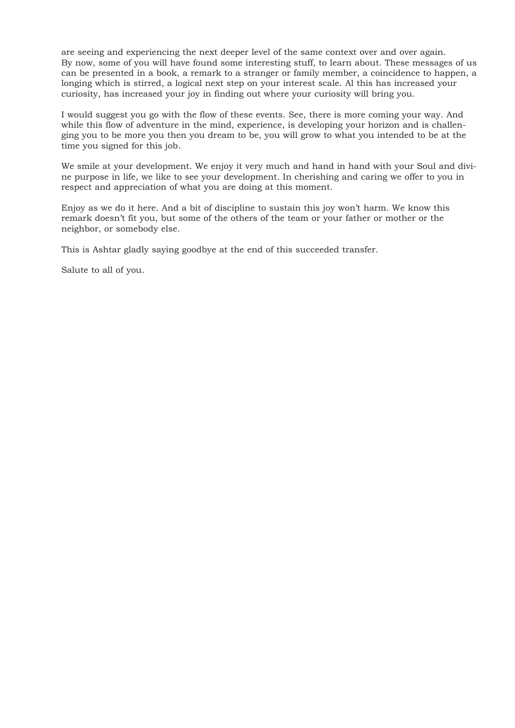are seeing and experiencing the next deeper level of the same context over and over again. By now, some of you will have found some interesting stuff, to learn about. These messages of us can be presented in a book, a remark to a stranger or family member, a coincidence to happen, a longing which is stirred, a logical next step on your interest scale. Al this has increased your curiosity, has increased your joy in finding out where your curiosity will bring you.

I would suggest you go with the flow of these events. See, there is more coming your way. And while this flow of adventure in the mind, experience, is developing your horizon and is challenging you to be more you then you dream to be, you will grow to what you intended to be at the time you signed for this job.

We smile at your development. We enjoy it very much and hand in hand with your Soul and divine purpose in life, we like to see your development. In cherishing and caring we offer to you in respect and appreciation of what you are doing at this moment.

Enjoy as we do it here. And a bit of discipline to sustain this joy won't harm. We know this remark doesn't fit you, but some of the others of the team or your father or mother or the neighbor, or somebody else.

This is Ashtar gladly saying goodbye at the end of this succeeded transfer.

Salute to all of you.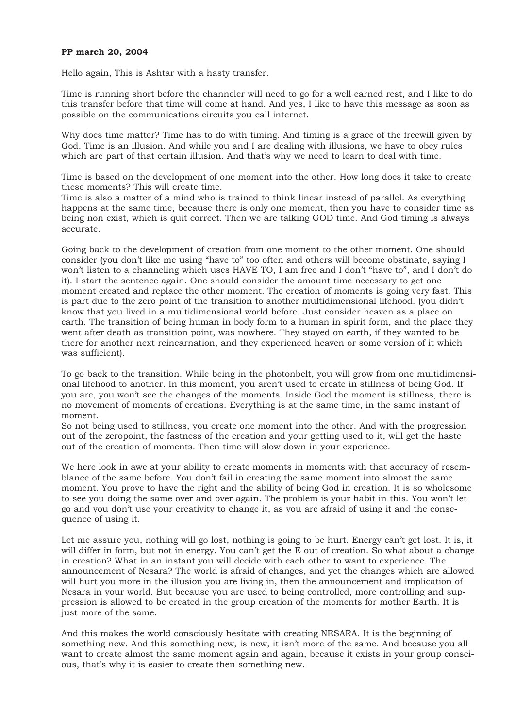## **PP march 20, 2004**

Hello again, This is Ashtar with a hasty transfer.

Time is running short before the channeler will need to go for a well earned rest, and I like to do this transfer before that time will come at hand. And yes, I like to have this message as soon as possible on the communications circuits you call internet.

Why does time matter? Time has to do with timing. And timing is a grace of the freewill given by God. Time is an illusion. And while you and I are dealing with illusions, we have to obey rules which are part of that certain illusion. And that's why we need to learn to deal with time.

Time is based on the development of one moment into the other. How long does it take to create these moments? This will create time.

Time is also a matter of a mind who is trained to think linear instead of parallel. As everything happens at the same time, because there is only one moment, then you have to consider time as being non exist, which is quit correct. Then we are talking GOD time. And God timing is always accurate.

Going back to the development of creation from one moment to the other moment. One should consider (you don't like me using "have to" too often and others will become obstinate, saying I won't listen to a channeling which uses HAVE TO, I am free and I don't "have to", and I don't do it). I start the sentence again. One should consider the amount time necessary to get one moment created and replace the other moment. The creation of moments is going very fast. This is part due to the zero point of the transition to another multidimensional lifehood. (you didn't know that you lived in a multidimensional world before. Just consider heaven as a place on earth. The transition of being human in body form to a human in spirit form, and the place they went after death as transition point, was nowhere. They stayed on earth, if they wanted to be there for another next reincarnation, and they experienced heaven or some version of it which was sufficient).

To go back to the transition. While being in the photonbelt, you will grow from one multidimensional lifehood to another. In this moment, you aren't used to create in stillness of being God. If you are, you won't see the changes of the moments. Inside God the moment is stillness, there is no movement of moments of creations. Everything is at the same time, in the same instant of moment.

So not being used to stillness, you create one moment into the other. And with the progression out of the zeropoint, the fastness of the creation and your getting used to it, will get the haste out of the creation of moments. Then time will slow down in your experience.

We here look in awe at your ability to create moments in moments with that accuracy of resemblance of the same before. You don't fail in creating the same moment into almost the same moment. You prove to have the right and the ability of being God in creation. It is so wholesome to see you doing the same over and over again. The problem is your habit in this. You won't let go and you don't use your creativity to change it, as you are afraid of using it and the consequence of using it.

Let me assure you, nothing will go lost, nothing is going to be hurt. Energy can't get lost. It is, it will differ in form, but not in energy. You can't get the E out of creation. So what about a change in creation? What in an instant you will decide with each other to want to experience. The announcement of Nesara? The world is afraid of changes, and yet the changes which are allowed will hurt you more in the illusion you are living in, then the announcement and implication of Nesara in your world. But because you are used to being controlled, more controlling and suppression is allowed to be created in the group creation of the moments for mother Earth. It is just more of the same.

And this makes the world consciously hesitate with creating NESARA. It is the beginning of something new. And this something new, is new, it isn't more of the same. And because you all want to create almost the same moment again and again, because it exists in your group conscious, that's why it is easier to create then something new.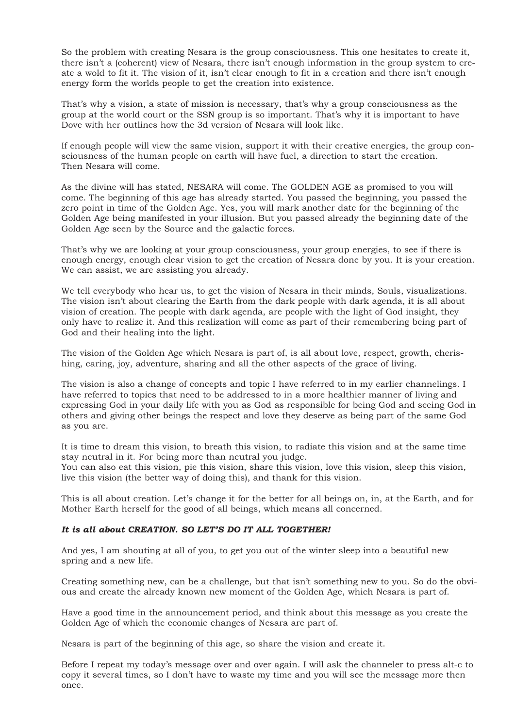So the problem with creating Nesara is the group consciousness. This one hesitates to create it, there isn't a (coherent) view of Nesara, there isn't enough information in the group system to create a wold to fit it. The vision of it, isn't clear enough to fit in a creation and there isn't enough energy form the worlds people to get the creation into existence.

That's why a vision, a state of mission is necessary, that's why a group consciousness as the group at the world court or the SSN group is so important. That's why it is important to have Dove with her outlines how the 3d version of Nesara will look like.

If enough people will view the same vision, support it with their creative energies, the group consciousness of the human people on earth will have fuel, a direction to start the creation. Then Nesara will come.

As the divine will has stated, NESARA will come. The GOLDEN AGE as promised to you will come. The beginning of this age has already started. You passed the beginning, you passed the zero point in time of the Golden Age. Yes, you will mark another date for the beginning of the Golden Age being manifested in your illusion. But you passed already the beginning date of the Golden Age seen by the Source and the galactic forces.

That's why we are looking at your group consciousness, your group energies, to see if there is enough energy, enough clear vision to get the creation of Nesara done by you. It is your creation. We can assist, we are assisting you already.

We tell everybody who hear us, to get the vision of Nesara in their minds, Souls, visualizations. The vision isn't about clearing the Earth from the dark people with dark agenda, it is all about vision of creation. The people with dark agenda, are people with the light of God insight, they only have to realize it. And this realization will come as part of their remembering being part of God and their healing into the light.

The vision of the Golden Age which Nesara is part of, is all about love, respect, growth, cherishing, caring, joy, adventure, sharing and all the other aspects of the grace of living.

The vision is also a change of concepts and topic I have referred to in my earlier channelings. I have referred to topics that need to be addressed to in a more healthier manner of living and expressing God in your daily life with you as God as responsible for being God and seeing God in others and giving other beings the respect and love they deserve as being part of the same God as you are.

It is time to dream this vision, to breath this vision, to radiate this vision and at the same time stay neutral in it. For being more than neutral you judge.

You can also eat this vision, pie this vision, share this vision, love this vision, sleep this vision, live this vision (the better way of doing this), and thank for this vision.

This is all about creation. Let's change it for the better for all beings on, in, at the Earth, and for Mother Earth herself for the good of all beings, which means all concerned.

### *It is all about CREATION. SO LET'S DO IT ALL TOGETHER!*

And yes, I am shouting at all of you, to get you out of the winter sleep into a beautiful new spring and a new life.

Creating something new, can be a challenge, but that isn't something new to you. So do the obvious and create the already known new moment of the Golden Age, which Nesara is part of.

Have a good time in the announcement period, and think about this message as you create the Golden Age of which the economic changes of Nesara are part of.

Nesara is part of the beginning of this age, so share the vision and create it.

Before I repeat my today's message over and over again. I will ask the channeler to press alt-c to copy it several times, so I don't have to waste my time and you will see the message more then once.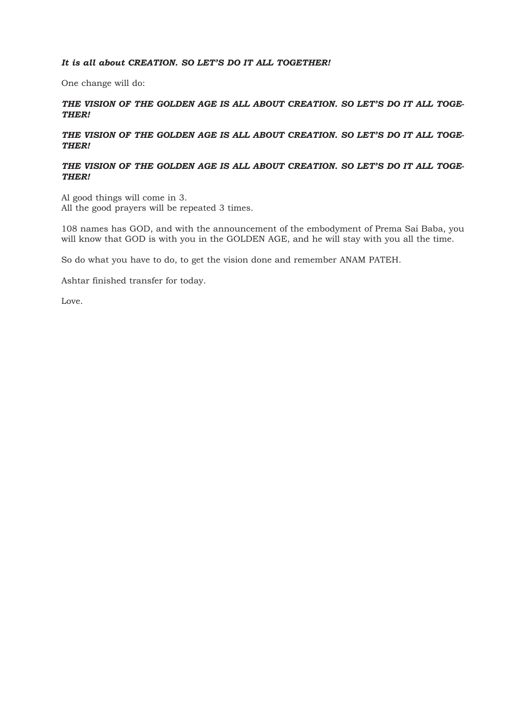## *It is all about CREATION. SO LET'S DO IT ALL TOGETHER!*

One change will do:

*THE VISION OF THE GOLDEN AGE IS ALL ABOUT CREATION. SO LET'S DO IT ALL TOGE-THER!* 

## *THE VISION OF THE GOLDEN AGE IS ALL ABOUT CREATION. SO LET'S DO IT ALL TOGE-THER!*

# *THE VISION OF THE GOLDEN AGE IS ALL ABOUT CREATION. SO LET'S DO IT ALL TOGE-THER!*

Al good things will come in 3. All the good prayers will be repeated 3 times.

108 names has GOD, and with the announcement of the embodyment of Prema Sai Baba, you will know that GOD is with you in the GOLDEN AGE, and he will stay with you all the time.

So do what you have to do, to get the vision done and remember ANAM PATEH.

Ashtar finished transfer for today.

Love.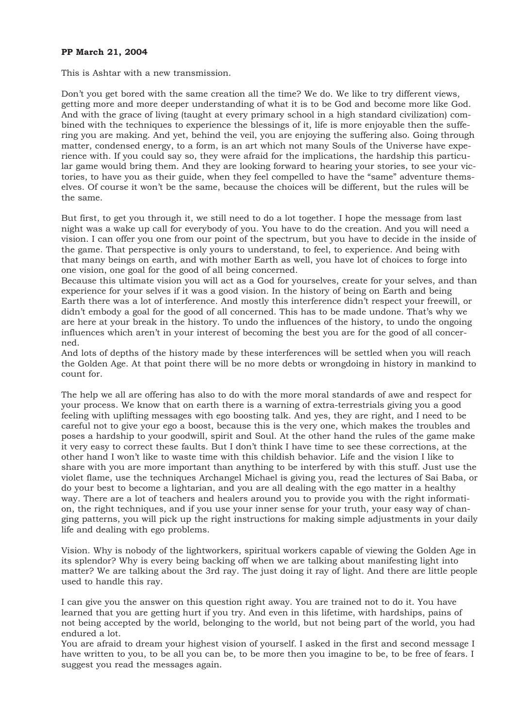## **PP March 21, 2004**

This is Ashtar with a new transmission.

Don't you get bored with the same creation all the time? We do. We like to try different views, getting more and more deeper understanding of what it is to be God and become more like God. And with the grace of living (taught at every primary school in a high standard civilization) combined with the techniques to experience the blessings of it, life is more enjoyable then the suffering you are making. And yet, behind the veil, you are enjoying the suffering also. Going through matter, condensed energy, to a form, is an art which not many Souls of the Universe have experience with. If you could say so, they were afraid for the implications, the hardship this particular game would bring them. And they are looking forward to hearing your stories, to see your victories, to have you as their guide, when they feel compelled to have the "same" adventure themselves. Of course it won't be the same, because the choices will be different, but the rules will be the same.

But first, to get you through it, we still need to do a lot together. I hope the message from last night was a wake up call for everybody of you. You have to do the creation. And you will need a vision. I can offer you one from our point of the spectrum, but you have to decide in the inside of the game. That perspective is only yours to understand, to feel, to experience. And being with that many beings on earth, and with mother Earth as well, you have lot of choices to forge into one vision, one goal for the good of all being concerned.

Because this ultimate vision you will act as a God for yourselves, create for your selves, and than experience for your selves if it was a good vision. In the history of being on Earth and being Earth there was a lot of interference. And mostly this interference didn't respect your freewill, or didn't embody a goal for the good of all concerned. This has to be made undone. That's why we are here at your break in the history. To undo the influences of the history, to undo the ongoing influences which aren't in your interest of becoming the best you are for the good of all concerned.

And lots of depths of the history made by these interferences will be settled when you will reach the Golden Age. At that point there will be no more debts or wrongdoing in history in mankind to count for.

The help we all are offering has also to do with the more moral standards of awe and respect for your process. We know that on earth there is a warning of extra-terrestrials giving you a good feeling with uplifting messages with ego boosting talk. And yes, they are right, and I need to be careful not to give your ego a boost, because this is the very one, which makes the troubles and poses a hardship to your goodwill, spirit and Soul. At the other hand the rules of the game make it very easy to correct these faults. But I don't think I have time to see these corrections, at the other hand I won't like to waste time with this childish behavior. Life and the vision I like to share with you are more important than anything to be interfered by with this stuff. Just use the violet flame, use the techniques Archangel Michael is giving you, read the lectures of Sai Baba, or do your best to become a lightarian, and you are all dealing with the ego matter in a healthy way. There are a lot of teachers and healers around you to provide you with the right information, the right techniques, and if you use your inner sense for your truth, your easy way of changing patterns, you will pick up the right instructions for making simple adjustments in your daily life and dealing with ego problems.

Vision. Why is nobody of the lightworkers, spiritual workers capable of viewing the Golden Age in its splendor? Why is every being backing off when we are talking about manifesting light into matter? We are talking about the 3rd ray. The just doing it ray of light. And there are little people used to handle this ray.

I can give you the answer on this question right away. You are trained not to do it. You have learned that you are getting hurt if you try. And even in this lifetime, with hardships, pains of not being accepted by the world, belonging to the world, but not being part of the world, you had endured a lot.

You are afraid to dream your highest vision of yourself. I asked in the first and second message I have written to you, to be all you can be, to be more then you imagine to be, to be free of fears. I suggest you read the messages again.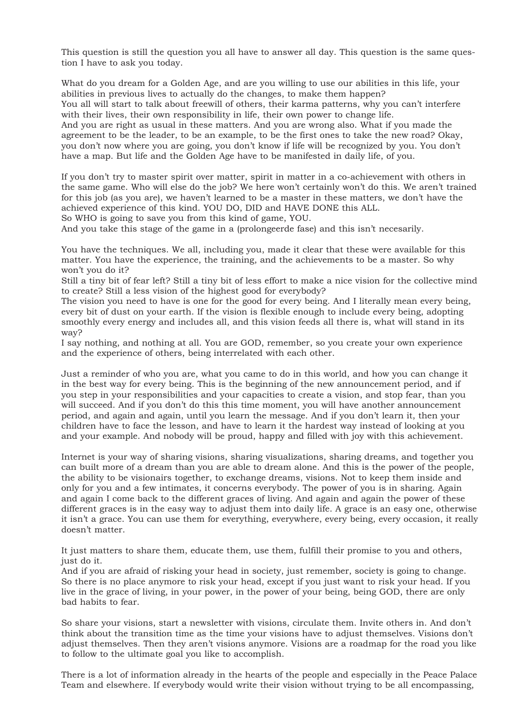This question is still the question you all have to answer all day. This question is the same question I have to ask you today.

What do you dream for a Golden Age, and are you willing to use our abilities in this life, your abilities in previous lives to actually do the changes, to make them happen? You all will start to talk about freewill of others, their karma patterns, why you can't interfere with their lives, their own responsibility in life, their own power to change life. And you are right as usual in these matters. And you are wrong also. What if you made the agreement to be the leader, to be an example, to be the first ones to take the new road? Okay, you don't now where you are going, you don't know if life will be recognized by you. You don't have a map. But life and the Golden Age have to be manifested in daily life, of you.

If you don't try to master spirit over matter, spirit in matter in a co-achievement with others in the same game. Who will else do the job? We here won't certainly won't do this. We aren't trained for this job (as you are), we haven't learned to be a master in these matters, we don't have the achieved experience of this kind. YOU DO, DID and HAVE DONE this ALL.

So WHO is going to save you from this kind of game, YOU.

And you take this stage of the game in a (prolongeerde fase) and this isn't necesarily.

You have the techniques. We all, including you, made it clear that these were available for this matter. You have the experience, the training, and the achievements to be a master. So why won't you do it?

Still a tiny bit of fear left? Still a tiny bit of less effort to make a nice vision for the collective mind to create? Still a less vision of the highest good for everybody?

The vision you need to have is one for the good for every being. And I literally mean every being, every bit of dust on your earth. If the vision is flexible enough to include every being, adopting smoothly every energy and includes all, and this vision feeds all there is, what will stand in its way?

I say nothing, and nothing at all. You are GOD, remember, so you create your own experience and the experience of others, being interrelated with each other.

Just a reminder of who you are, what you came to do in this world, and how you can change it in the best way for every being. This is the beginning of the new announcement period, and if you step in your responsibilities and your capacities to create a vision, and stop fear, than you will succeed. And if you don't do this this time moment, you will have another announcement period, and again and again, until you learn the message. And if you don't learn it, then your children have to face the lesson, and have to learn it the hardest way instead of looking at you and your example. And nobody will be proud, happy and filled with joy with this achievement.

Internet is your way of sharing visions, sharing visualizations, sharing dreams, and together you can built more of a dream than you are able to dream alone. And this is the power of the people, the ability to be visionairs together, to exchange dreams, visions. Not to keep them inside and only for you and a few intimates, it concerns everybody. The power of you is in sharing. Again and again I come back to the different graces of living. And again and again the power of these different graces is in the easy way to adjust them into daily life. A grace is an easy one, otherwise it isn't a grace. You can use them for everything, everywhere, every being, every occasion, it really doesn't matter.

It just matters to share them, educate them, use them, fulfill their promise to you and others, just do it.

And if you are afraid of risking your head in society, just remember, society is going to change. So there is no place anymore to risk your head, except if you just want to risk your head. If you live in the grace of living, in your power, in the power of your being, being GOD, there are only bad habits to fear.

So share your visions, start a newsletter with visions, circulate them. Invite others in. And don't think about the transition time as the time your visions have to adjust themselves. Visions don't adjust themselves. Then they aren't visions anymore. Visions are a roadmap for the road you like to follow to the ultimate goal you like to accomplish.

There is a lot of information already in the hearts of the people and especially in the Peace Palace Team and elsewhere. If everybody would write their vision without trying to be all encompassing,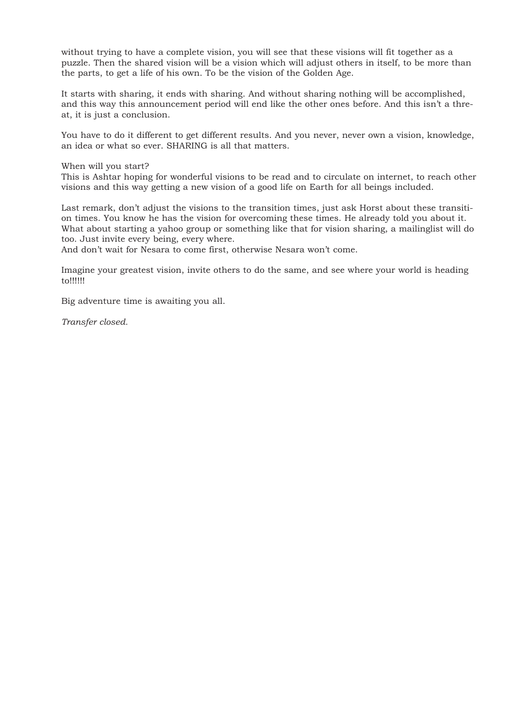without trying to have a complete vision, you will see that these visions will fit together as a puzzle. Then the shared vision will be a vision which will adjust others in itself, to be more than the parts, to get a life of his own. To be the vision of the Golden Age.

It starts with sharing, it ends with sharing. And without sharing nothing will be accomplished, and this way this announcement period will end like the other ones before. And this isn't a threat, it is just a conclusion.

You have to do it different to get different results. And you never, never own a vision, knowledge, an idea or what so ever. SHARING is all that matters.

#### When will you start?

This is Ashtar hoping for wonderful visions to be read and to circulate on internet, to reach other visions and this way getting a new vision of a good life on Earth for all beings included.

Last remark, don't adjust the visions to the transition times, just ask Horst about these transition times. You know he has the vision for overcoming these times. He already told you about it. What about starting a yahoo group or something like that for vision sharing, a mailinglist will do too. Just invite every being, every where.

And don't wait for Nesara to come first, otherwise Nesara won't come.

Imagine your greatest vision, invite others to do the same, and see where your world is heading to!!!!!!

Big adventure time is awaiting you all.

*Transfer closed.*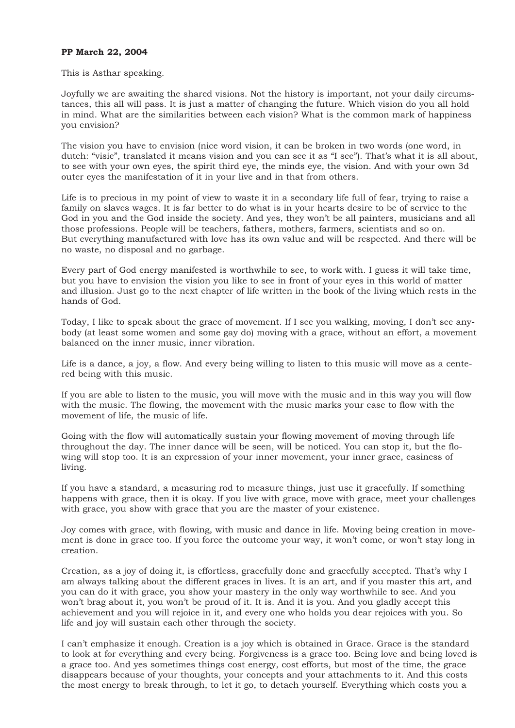## **PP March 22, 2004**

#### This is Asthar speaking.

Joyfully we are awaiting the shared visions. Not the history is important, not your daily circumstances, this all will pass. It is just a matter of changing the future. Which vision do you all hold in mind. What are the similarities between each vision? What is the common mark of happiness you envision?

The vision you have to envision (nice word vision, it can be broken in two words (one word, in dutch: "visie", translated it means vision and you can see it as "I see"). That's what it is all about, to see with your own eyes, the spirit third eye, the minds eye, the vision. And with your own 3d outer eyes the manifestation of it in your live and in that from others.

Life is to precious in my point of view to waste it in a secondary life full of fear, trying to raise a family on slaves wages. It is far better to do what is in your hearts desire to be of service to the God in you and the God inside the society. And yes, they won't be all painters, musicians and all those professions. People will be teachers, fathers, mothers, farmers, scientists and so on. But everything manufactured with love has its own value and will be respected. And there will be no waste, no disposal and no garbage.

Every part of God energy manifested is worthwhile to see, to work with. I guess it will take time, but you have to envision the vision you like to see in front of your eyes in this world of matter and illusion. Just go to the next chapter of life written in the book of the living which rests in the hands of God.

Today, I like to speak about the grace of movement. If I see you walking, moving, I don't see anybody (at least some women and some gay do) moving with a grace, without an effort, a movement balanced on the inner music, inner vibration.

Life is a dance, a joy, a flow. And every being willing to listen to this music will move as a centered being with this music.

If you are able to listen to the music, you will move with the music and in this way you will flow with the music. The flowing, the movement with the music marks your ease to flow with the movement of life, the music of life.

Going with the flow will automatically sustain your flowing movement of moving through life throughout the day. The inner dance will be seen, will be noticed. You can stop it, but the flowing will stop too. It is an expression of your inner movement, your inner grace, easiness of living.

If you have a standard, a measuring rod to measure things, just use it gracefully. If something happens with grace, then it is okay. If you live with grace, move with grace, meet your challenges with grace, you show with grace that you are the master of your existence.

Joy comes with grace, with flowing, with music and dance in life. Moving being creation in movement is done in grace too. If you force the outcome your way, it won't come, or won't stay long in creation.

Creation, as a joy of doing it, is effortless, gracefully done and gracefully accepted. That's why I am always talking about the different graces in lives. It is an art, and if you master this art, and you can do it with grace, you show your mastery in the only way worthwhile to see. And you won't brag about it, you won't be proud of it. It is. And it is you. And you gladly accept this achievement and you will rejoice in it, and every one who holds you dear rejoices with you. So life and joy will sustain each other through the society.

I can't emphasize it enough. Creation is a joy which is obtained in Grace. Grace is the standard to look at for everything and every being. Forgiveness is a grace too. Being love and being loved is a grace too. And yes sometimes things cost energy, cost efforts, but most of the time, the grace disappears because of your thoughts, your concepts and your attachments to it. And this costs the most energy to break through, to let it go, to detach yourself. Everything which costs you a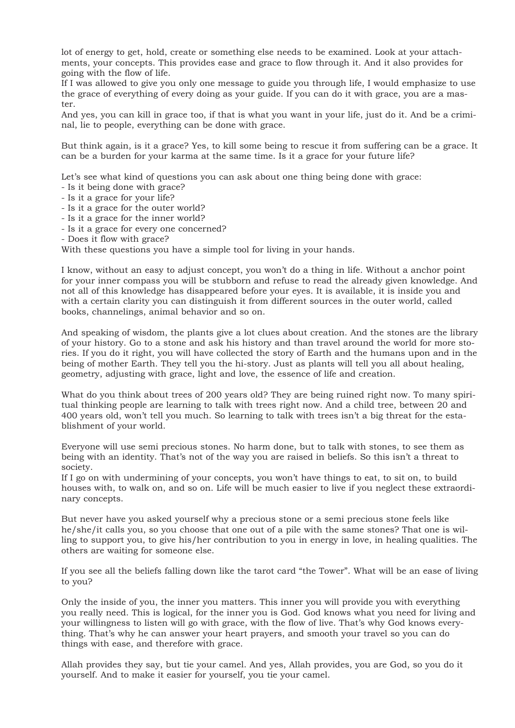lot of energy to get, hold, create or something else needs to be examined. Look at your attachments, your concepts. This provides ease and grace to flow through it. And it also provides for going with the flow of life.

If I was allowed to give you only one message to guide you through life, I would emphasize to use the grace of everything of every doing as your guide. If you can do it with grace, you are a master.

And yes, you can kill in grace too, if that is what you want in your life, just do it. And be a criminal, lie to people, everything can be done with grace.

But think again, is it a grace? Yes, to kill some being to rescue it from suffering can be a grace. It can be a burden for your karma at the same time. Is it a grace for your future life?

Let's see what kind of questions you can ask about one thing being done with grace:

- Is it being done with grace?
- Is it a grace for your life?
- Is it a grace for the outer world?
- Is it a grace for the inner world?
- Is it a grace for every one concerned?
- Does it flow with grace?

With these questions you have a simple tool for living in your hands.

I know, without an easy to adjust concept, you won't do a thing in life. Without a anchor point for your inner compass you will be stubborn and refuse to read the already given knowledge. And not all of this knowledge has disappeared before your eyes. It is available, it is inside you and with a certain clarity you can distinguish it from different sources in the outer world, called books, channelings, animal behavior and so on.

And speaking of wisdom, the plants give a lot clues about creation. And the stones are the library of your history. Go to a stone and ask his history and than travel around the world for more stories. If you do it right, you will have collected the story of Earth and the humans upon and in the being of mother Earth. They tell you the hi-story. Just as plants will tell you all about healing, geometry, adjusting with grace, light and love, the essence of life and creation.

What do you think about trees of 200 years old? They are being ruined right now. To many spiritual thinking people are learning to talk with trees right now. And a child tree, between 20 and 400 years old, won't tell you much. So learning to talk with trees isn't a big threat for the establishment of your world.

Everyone will use semi precious stones. No harm done, but to talk with stones, to see them as being with an identity. That's not of the way you are raised in beliefs. So this isn't a threat to society.

If I go on with undermining of your concepts, you won't have things to eat, to sit on, to build houses with, to walk on, and so on. Life will be much easier to live if you neglect these extraordinary concepts.

But never have you asked yourself why a precious stone or a semi precious stone feels like he/she/it calls you, so you choose that one out of a pile with the same stones? That one is willing to support you, to give his/her contribution to you in energy in love, in healing qualities. The others are waiting for someone else.

If you see all the beliefs falling down like the tarot card "the Tower". What will be an ease of living to you?

Only the inside of you, the inner you matters. This inner you will provide you with everything you really need. This is logical, for the inner you is God. God knows what you need for living and your willingness to listen will go with grace, with the flow of live. That's why God knows everything. That's why he can answer your heart prayers, and smooth your travel so you can do things with ease, and therefore with grace.

Allah provides they say, but tie your camel. And yes, Allah provides, you are God, so you do it yourself. And to make it easier for yourself, you tie your camel.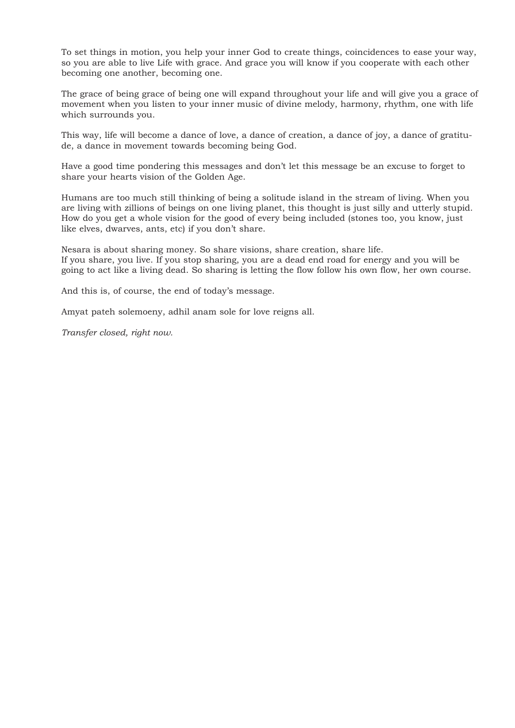To set things in motion, you help your inner God to create things, coincidences to ease your way, so you are able to live Life with grace. And grace you will know if you cooperate with each other becoming one another, becoming one.

The grace of being grace of being one will expand throughout your life and will give you a grace of movement when you listen to your inner music of divine melody, harmony, rhythm, one with life which surrounds you.

This way, life will become a dance of love, a dance of creation, a dance of joy, a dance of gratitude, a dance in movement towards becoming being God.

Have a good time pondering this messages and don't let this message be an excuse to forget to share your hearts vision of the Golden Age.

Humans are too much still thinking of being a solitude island in the stream of living. When you are living with zillions of beings on one living planet, this thought is just silly and utterly stupid. How do you get a whole vision for the good of every being included (stones too, you know, just like elves, dwarves, ants, etc) if you don't share.

Nesara is about sharing money. So share visions, share creation, share life. If you share, you live. If you stop sharing, you are a dead end road for energy and you will be going to act like a living dead. So sharing is letting the flow follow his own flow, her own course.

And this is, of course, the end of today's message.

Amyat pateh solemoeny, adhil anam sole for love reigns all.

*Transfer closed, right now.*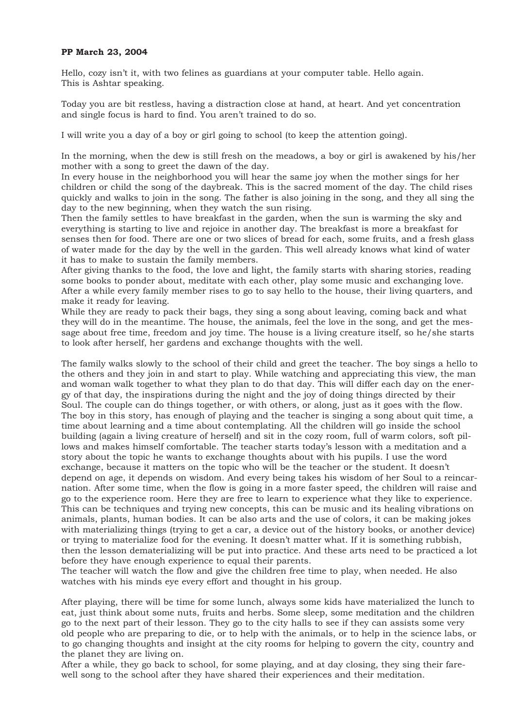### **PP March 23, 2004**

Hello, cozy isn't it, with two felines as guardians at your computer table. Hello again. This is Ashtar speaking.

Today you are bit restless, having a distraction close at hand, at heart. And yet concentration and single focus is hard to find. You aren't trained to do so.

I will write you a day of a boy or girl going to school (to keep the attention going).

In the morning, when the dew is still fresh on the meadows, a boy or girl is awakened by his/her mother with a song to greet the dawn of the day.

In every house in the neighborhood you will hear the same joy when the mother sings for her children or child the song of the daybreak. This is the sacred moment of the day. The child rises quickly and walks to join in the song. The father is also joining in the song, and they all sing the day to the new beginning, when they watch the sun rising.

Then the family settles to have breakfast in the garden, when the sun is warming the sky and everything is starting to live and rejoice in another day. The breakfast is more a breakfast for senses then for food. There are one or two slices of bread for each, some fruits, and a fresh glass of water made for the day by the well in the garden. This well already knows what kind of water it has to make to sustain the family members.

After giving thanks to the food, the love and light, the family starts with sharing stories, reading some books to ponder about, meditate with each other, play some music and exchanging love. After a while every family member rises to go to say hello to the house, their living quarters, and make it ready for leaving.

While they are ready to pack their bags, they sing a song about leaving, coming back and what they will do in the meantime. The house, the animals, feel the love in the song, and get the message about free time, freedom and joy time. The house is a living creature itself, so he/she starts to look after herself, her gardens and exchange thoughts with the well.

The family walks slowly to the school of their child and greet the teacher. The boy sings a hello to the others and they join in and start to play. While watching and appreciating this view, the man and woman walk together to what they plan to do that day. This will differ each day on the energy of that day, the inspirations during the night and the joy of doing things directed by their Soul. The couple can do things together, or with others, or along, just as it goes with the flow. The boy in this story, has enough of playing and the teacher is singing a song about quit time, a time about learning and a time about contemplating. All the children will go inside the school building (again a living creature of herself) and sit in the cozy room, full of warm colors, soft pillows and makes himself comfortable. The teacher starts today's lesson with a meditation and a story about the topic he wants to exchange thoughts about with his pupils. I use the word exchange, because it matters on the topic who will be the teacher or the student. It doesn't depend on age, it depends on wisdom. And every being takes his wisdom of her Soul to a reincarnation. After some time, when the flow is going in a more faster speed, the children will raise and go to the experience room. Here they are free to learn to experience what they like to experience. This can be techniques and trying new concepts, this can be music and its healing vibrations on animals, plants, human bodies. It can be also arts and the use of colors, it can be making jokes with materializing things (trying to get a car, a device out of the history books, or another device) or trying to materialize food for the evening. It doesn't matter what. If it is something rubbish, then the lesson dematerializing will be put into practice. And these arts need to be practiced a lot before they have enough experience to equal their parents.

The teacher will watch the flow and give the children free time to play, when needed. He also watches with his minds eye every effort and thought in his group.

After playing, there will be time for some lunch, always some kids have materialized the lunch to eat, just think about some nuts, fruits and herbs. Some sleep, some meditation and the children go to the next part of their lesson. They go to the city halls to see if they can assists some very old people who are preparing to die, or to help with the animals, or to help in the science labs, or to go changing thoughts and insight at the city rooms for helping to govern the city, country and the planet they are living on.

After a while, they go back to school, for some playing, and at day closing, they sing their farewell song to the school after they have shared their experiences and their meditation.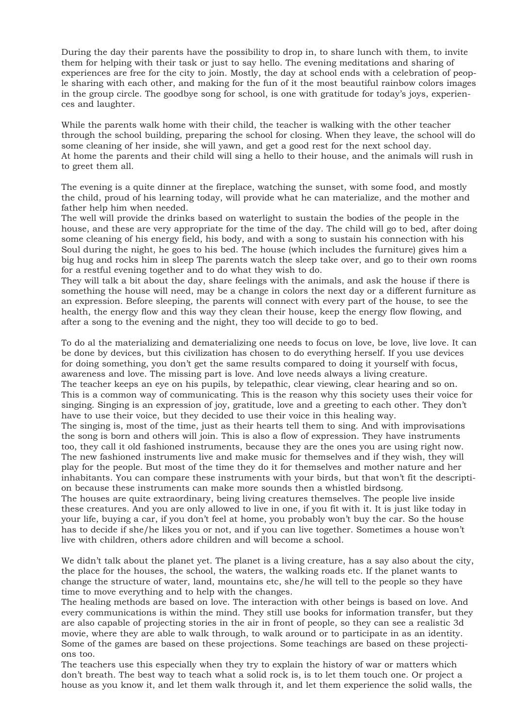During the day their parents have the possibility to drop in, to share lunch with them, to invite them for helping with their task or just to say hello. The evening meditations and sharing of experiences are free for the city to join. Mostly, the day at school ends with a celebration of people sharing with each other, and making for the fun of it the most beautiful rainbow colors images in the group circle. The goodbye song for school, is one with gratitude for today's joys, experiences and laughter.

While the parents walk home with their child, the teacher is walking with the other teacher through the school building, preparing the school for closing. When they leave, the school will do some cleaning of her inside, she will yawn, and get a good rest for the next school day. At home the parents and their child will sing a hello to their house, and the animals will rush in to greet them all.

The evening is a quite dinner at the fireplace, watching the sunset, with some food, and mostly the child, proud of his learning today, will provide what he can materialize, and the mother and father help him when needed.

The well will provide the drinks based on waterlight to sustain the bodies of the people in the house, and these are very appropriate for the time of the day. The child will go to bed, after doing some cleaning of his energy field, his body, and with a song to sustain his connection with his Soul during the night, he goes to his bed. The house (which includes the furniture) gives him a big hug and rocks him in sleep The parents watch the sleep take over, and go to their own rooms for a restful evening together and to do what they wish to do.

They will talk a bit about the day, share feelings with the animals, and ask the house if there is something the house will need, may be a change in colors the next day or a different furniture as an expression. Before sleeping, the parents will connect with every part of the house, to see the health, the energy flow and this way they clean their house, keep the energy flow flowing, and after a song to the evening and the night, they too will decide to go to bed.

To do al the materializing and dematerializing one needs to focus on love, be love, live love. It can be done by devices, but this civilization has chosen to do everything herself. If you use devices for doing something, you don't get the same results compared to doing it yourself with focus, awareness and love. The missing part is love. And love needs always a living creature. The teacher keeps an eye on his pupils, by telepathic, clear viewing, clear hearing and so on. This is a common way of communicating. This is the reason why this society uses their voice for singing. Singing is an expression of joy, gratitude, love and a greeting to each other. They don't have to use their voice, but they decided to use their voice in this healing way. The singing is, most of the time, just as their hearts tell them to sing. And with improvisations the song is born and others will join. This is also a flow of expression. They have instruments too, they call it old fashioned instruments, because they are the ones you are using right now. The new fashioned instruments live and make music for themselves and if they wish, they will play for the people. But most of the time they do it for themselves and mother nature and her inhabitants. You can compare these instruments with your birds, but that won't fit the description because these instruments can make more sounds then a whistled birdsong.

The houses are quite extraordinary, being living creatures themselves. The people live inside these creatures. And you are only allowed to live in one, if you fit with it. It is just like today in your life, buying a car, if you don't feel at home, you probably won't buy the car. So the house has to decide if she/he likes you or not, and if you can live together. Sometimes a house won't live with children, others adore children and will become a school.

We didn't talk about the planet yet. The planet is a living creature, has a say also about the city, the place for the houses, the school, the waters, the walking roads etc. If the planet wants to change the structure of water, land, mountains etc, she/he will tell to the people so they have time to move everything and to help with the changes.

The healing methods are based on love. The interaction with other beings is based on love. And every communications is within the mind. They still use books for information transfer, but they are also capable of projecting stories in the air in front of people, so they can see a realistic 3d movie, where they are able to walk through, to walk around or to participate in as an identity. Some of the games are based on these projections. Some teachings are based on these projections too.

The teachers use this especially when they try to explain the history of war or matters which don't breath. The best way to teach what a solid rock is, is to let them touch one. Or project a house as you know it, and let them walk through it, and let them experience the solid walls, the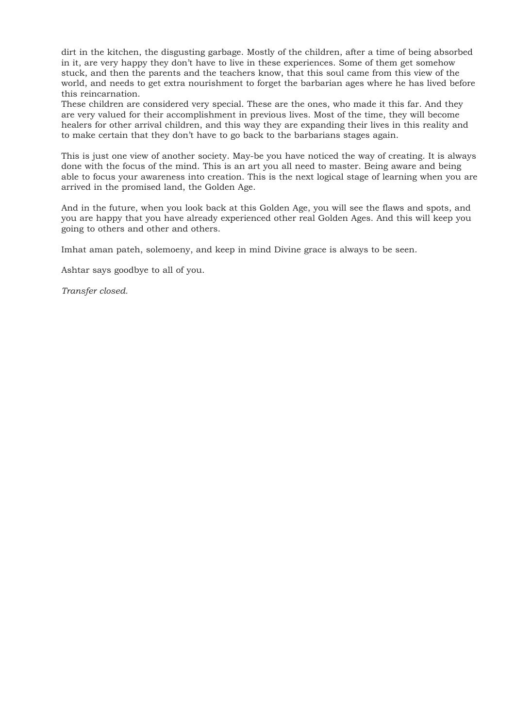dirt in the kitchen, the disgusting garbage. Mostly of the children, after a time of being absorbed in it, are very happy they don't have to live in these experiences. Some of them get somehow stuck, and then the parents and the teachers know, that this soul came from this view of the world, and needs to get extra nourishment to forget the barbarian ages where he has lived before this reincarnation.

These children are considered very special. These are the ones, who made it this far. And they are very valued for their accomplishment in previous lives. Most of the time, they will become healers for other arrival children, and this way they are expanding their lives in this reality and to make certain that they don't have to go back to the barbarians stages again.

This is just one view of another society. May-be you have noticed the way of creating. It is always done with the focus of the mind. This is an art you all need to master. Being aware and being able to focus your awareness into creation. This is the next logical stage of learning when you are arrived in the promised land, the Golden Age.

And in the future, when you look back at this Golden Age, you will see the flaws and spots, and you are happy that you have already experienced other real Golden Ages. And this will keep you going to others and other and others.

Imhat aman pateh, solemoeny, and keep in mind Divine grace is always to be seen.

Ashtar says goodbye to all of you.

*Transfer closed.*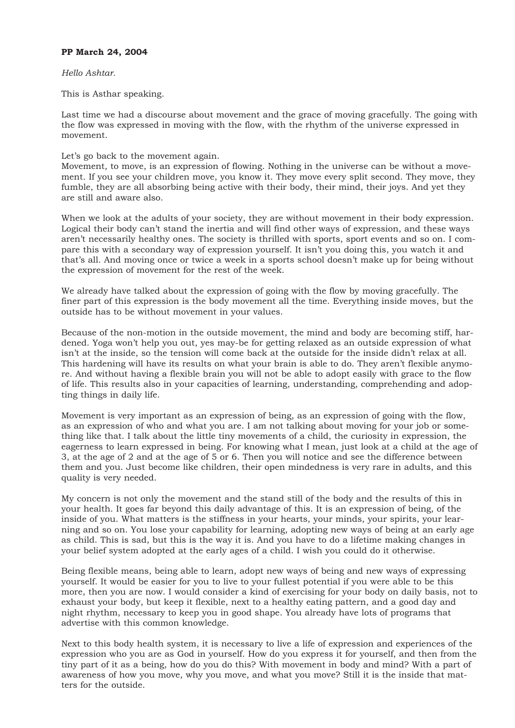## **PP March 24, 2004**

## *Hello Ashtar.*

This is Asthar speaking.

Last time we had a discourse about movement and the grace of moving gracefully. The going with the flow was expressed in moving with the flow, with the rhythm of the universe expressed in movement.

Let's go back to the movement again.

Movement, to move, is an expression of flowing. Nothing in the universe can be without a movement. If you see your children move, you know it. They move every split second. They move, they fumble, they are all absorbing being active with their body, their mind, their joys. And yet they are still and aware also.

When we look at the adults of your society, they are without movement in their body expression. Logical their body can't stand the inertia and will find other ways of expression, and these ways aren't necessarily healthy ones. The society is thrilled with sports, sport events and so on. I compare this with a secondary way of expression yourself. It isn't you doing this, you watch it and that's all. And moving once or twice a week in a sports school doesn't make up for being without the expression of movement for the rest of the week.

We already have talked about the expression of going with the flow by moving gracefully. The finer part of this expression is the body movement all the time. Everything inside moves, but the outside has to be without movement in your values.

Because of the non-motion in the outside movement, the mind and body are becoming stiff, hardened. Yoga won't help you out, yes may-be for getting relaxed as an outside expression of what isn't at the inside, so the tension will come back at the outside for the inside didn't relax at all. This hardening will have its results on what your brain is able to do. They aren't flexible anymore. And without having a flexible brain you will not be able to adopt easily with grace to the flow of life. This results also in your capacities of learning, understanding, comprehending and adopting things in daily life.

Movement is very important as an expression of being, as an expression of going with the flow, as an expression of who and what you are. I am not talking about moving for your job or something like that. I talk about the little tiny movements of a child, the curiosity in expression, the eagerness to learn expressed in being. For knowing what I mean, just look at a child at the age of 3, at the age of 2 and at the age of 5 or 6. Then you will notice and see the difference between them and you. Just become like children, their open mindedness is very rare in adults, and this quality is very needed.

My concern is not only the movement and the stand still of the body and the results of this in your health. It goes far beyond this daily advantage of this. It is an expression of being, of the inside of you. What matters is the stiffness in your hearts, your minds, your spirits, your learning and so on. You lose your capability for learning, adopting new ways of being at an early age as child. This is sad, but this is the way it is. And you have to do a lifetime making changes in your belief system adopted at the early ages of a child. I wish you could do it otherwise.

Being flexible means, being able to learn, adopt new ways of being and new ways of expressing yourself. It would be easier for you to live to your fullest potential if you were able to be this more, then you are now. I would consider a kind of exercising for your body on daily basis, not to exhaust your body, but keep it flexible, next to a healthy eating pattern, and a good day and night rhythm, necessary to keep you in good shape. You already have lots of programs that advertise with this common knowledge.

Next to this body health system, it is necessary to live a life of expression and experiences of the expression who you are as God in yourself. How do you express it for yourself, and then from the tiny part of it as a being, how do you do this? With movement in body and mind? With a part of awareness of how you move, why you move, and what you move? Still it is the inside that matters for the outside.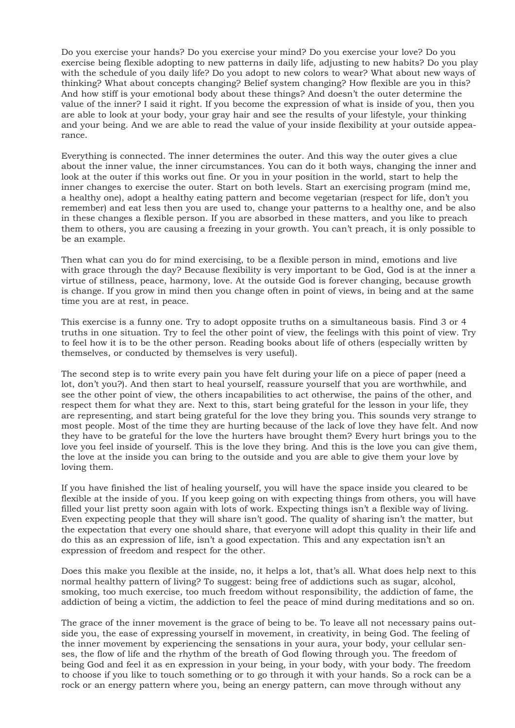Do you exercise your hands? Do you exercise your mind? Do you exercise your love? Do you exercise being flexible adopting to new patterns in daily life, adjusting to new habits? Do you play with the schedule of you daily life? Do you adopt to new colors to wear? What about new ways of thinking? What about concepts changing? Belief system changing? How flexible are you in this? And how stiff is your emotional body about these things? And doesn't the outer determine the value of the inner? I said it right. If you become the expression of what is inside of you, then you are able to look at your body, your gray hair and see the results of your lifestyle, your thinking and your being. And we are able to read the value of your inside flexibility at your outside appearance.

Everything is connected. The inner determines the outer. And this way the outer gives a clue about the inner value, the inner circumstances. You can do it both ways, changing the inner and look at the outer if this works out fine. Or you in your position in the world, start to help the inner changes to exercise the outer. Start on both levels. Start an exercising program (mind me, a healthy one), adopt a healthy eating pattern and become vegetarian (respect for life, don't you remember) and eat less then you are used to, change your patterns to a healthy one, and be also in these changes a flexible person. If you are absorbed in these matters, and you like to preach them to others, you are causing a freezing in your growth. You can't preach, it is only possible to be an example.

Then what can you do for mind exercising, to be a flexible person in mind, emotions and live with grace through the day? Because flexibility is very important to be God, God is at the inner a virtue of stillness, peace, harmony, love. At the outside God is forever changing, because growth is change. If you grow in mind then you change often in point of views, in being and at the same time you are at rest, in peace.

This exercise is a funny one. Try to adopt opposite truths on a simultaneous basis. Find 3 or 4 truths in one situation. Try to feel the other point of view, the feelings with this point of view. Try to feel how it is to be the other person. Reading books about life of others (especially written by themselves, or conducted by themselves is very useful).

The second step is to write every pain you have felt during your life on a piece of paper (need a lot, don't you?). And then start to heal yourself, reassure yourself that you are worthwhile, and see the other point of view, the others incapabilities to act otherwise, the pains of the other, and respect them for what they are. Next to this, start being grateful for the lesson in your life, they are representing, and start being grateful for the love they bring you. This sounds very strange to most people. Most of the time they are hurting because of the lack of love they have felt. And now they have to be grateful for the love the hurters have brought them? Every hurt brings you to the love you feel inside of yourself. This is the love they bring. And this is the love you can give them, the love at the inside you can bring to the outside and you are able to give them your love by loving them.

If you have finished the list of healing yourself, you will have the space inside you cleared to be flexible at the inside of you. If you keep going on with expecting things from others, you will have filled your list pretty soon again with lots of work. Expecting things isn't a flexible way of living. Even expecting people that they will share isn't good. The quality of sharing isn't the matter, but the expectation that every one should share, that everyone will adopt this quality in their life and do this as an expression of life, isn't a good expectation. This and any expectation isn't an expression of freedom and respect for the other.

Does this make you flexible at the inside, no, it helps a lot, that's all. What does help next to this normal healthy pattern of living? To suggest: being free of addictions such as sugar, alcohol, smoking, too much exercise, too much freedom without responsibility, the addiction of fame, the addiction of being a victim, the addiction to feel the peace of mind during meditations and so on.

The grace of the inner movement is the grace of being to be. To leave all not necessary pains outside you, the ease of expressing yourself in movement, in creativity, in being God. The feeling of the inner movement by experiencing the sensations in your aura, your body, your cellular senses, the flow of life and the rhythm of the breath of God flowing through you. The freedom of being God and feel it as en expression in your being, in your body, with your body. The freedom to choose if you like to touch something or to go through it with your hands. So a rock can be a rock or an energy pattern where you, being an energy pattern, can move through without any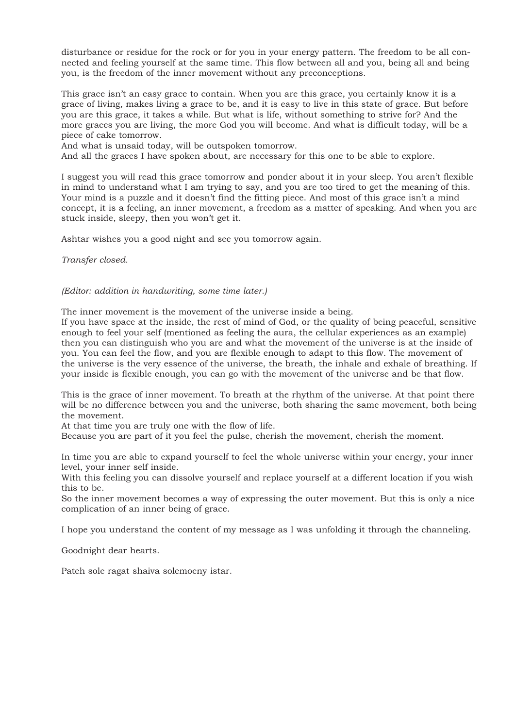disturbance or residue for the rock or for you in your energy pattern. The freedom to be all connected and feeling yourself at the same time. This flow between all and you, being all and being you, is the freedom of the inner movement without any preconceptions.

This grace isn't an easy grace to contain. When you are this grace, you certainly know it is a grace of living, makes living a grace to be, and it is easy to live in this state of grace. But before you are this grace, it takes a while. But what is life, without something to strive for? And the more graces you are living, the more God you will become. And what is difficult today, will be a piece of cake tomorrow.

And what is unsaid today, will be outspoken tomorrow.

And all the graces I have spoken about, are necessary for this one to be able to explore.

I suggest you will read this grace tomorrow and ponder about it in your sleep. You aren't flexible in mind to understand what I am trying to say, and you are too tired to get the meaning of this. Your mind is a puzzle and it doesn't find the fitting piece. And most of this grace isn't a mind concept, it is a feeling, an inner movement, a freedom as a matter of speaking. And when you are stuck inside, sleepy, then you won't get it.

Ashtar wishes you a good night and see you tomorrow again.

*Transfer closed.* 

#### *(Editor: addition in handwriting, some time later.)*

The inner movement is the movement of the universe inside a being.

If you have space at the inside, the rest of mind of God, or the quality of being peaceful, sensitive enough to feel your self (mentioned as feeling the aura, the cellular experiences as an example) then you can distinguish who you are and what the movement of the universe is at the inside of you. You can feel the flow, and you are flexible enough to adapt to this flow. The movement of the universe is the very essence of the universe, the breath, the inhale and exhale of breathing. If your inside is flexible enough, you can go with the movement of the universe and be that flow.

This is the grace of inner movement. To breath at the rhythm of the universe. At that point there will be no difference between you and the universe, both sharing the same movement, both being the movement.

At that time you are truly one with the flow of life.

Because you are part of it you feel the pulse, cherish the movement, cherish the moment.

In time you are able to expand yourself to feel the whole universe within your energy, your inner level, your inner self inside.

With this feeling you can dissolve yourself and replace yourself at a different location if you wish this to be.

So the inner movement becomes a way of expressing the outer movement. But this is only a nice complication of an inner being of grace.

I hope you understand the content of my message as I was unfolding it through the channeling.

Goodnight dear hearts.

Pateh sole ragat shaiva solemoeny istar.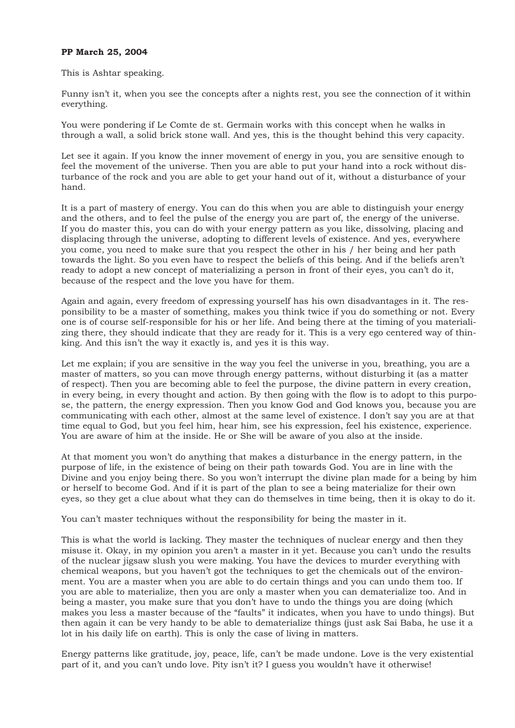### **PP March 25, 2004**

This is Ashtar speaking.

Funny isn't it, when you see the concepts after a nights rest, you see the connection of it within everything.

You were pondering if Le Comte de st. Germain works with this concept when he walks in through a wall, a solid brick stone wall. And yes, this is the thought behind this very capacity.

Let see it again. If you know the inner movement of energy in you, you are sensitive enough to feel the movement of the universe. Then you are able to put your hand into a rock without disturbance of the rock and you are able to get your hand out of it, without a disturbance of your hand.

It is a part of mastery of energy. You can do this when you are able to distinguish your energy and the others, and to feel the pulse of the energy you are part of, the energy of the universe. If you do master this, you can do with your energy pattern as you like, dissolving, placing and displacing through the universe, adopting to different levels of existence. And yes, everywhere you come, you need to make sure that you respect the other in his / her being and her path towards the light. So you even have to respect the beliefs of this being. And if the beliefs aren't ready to adopt a new concept of materializing a person in front of their eyes, you can't do it, because of the respect and the love you have for them.

Again and again, every freedom of expressing yourself has his own disadvantages in it. The responsibility to be a master of something, makes you think twice if you do something or not. Every one is of course self-responsible for his or her life. And being there at the timing of you materializing there, they should indicate that they are ready for it. This is a very ego centered way of thinking. And this isn't the way it exactly is, and yes it is this way.

Let me explain; if you are sensitive in the way you feel the universe in you, breathing, you are a master of matters, so you can move through energy patterns, without disturbing it (as a matter of respect). Then you are becoming able to feel the purpose, the divine pattern in every creation, in every being, in every thought and action. By then going with the flow is to adopt to this purpose, the pattern, the energy expression. Then you know God and God knows you, because you are communicating with each other, almost at the same level of existence. I don't say you are at that time equal to God, but you feel him, hear him, see his expression, feel his existence, experience. You are aware of him at the inside. He or She will be aware of you also at the inside.

At that moment you won't do anything that makes a disturbance in the energy pattern, in the purpose of life, in the existence of being on their path towards God. You are in line with the Divine and you enjoy being there. So you won't interrupt the divine plan made for a being by him or herself to become God. And if it is part of the plan to see a being materialize for their own eyes, so they get a clue about what they can do themselves in time being, then it is okay to do it.

You can't master techniques without the responsibility for being the master in it.

This is what the world is lacking. They master the techniques of nuclear energy and then they misuse it. Okay, in my opinion you aren't a master in it yet. Because you can't undo the results of the nuclear jigsaw slush you were making. You have the devices to murder everything with chemical weapons, but you haven't got the techniques to get the chemicals out of the environment. You are a master when you are able to do certain things and you can undo them too. If you are able to materialize, then you are only a master when you can dematerialize too. And in being a master, you make sure that you don't have to undo the things you are doing (which makes you less a master because of the "faults" it indicates, when you have to undo things). But then again it can be very handy to be able to dematerialize things (just ask Sai Baba, he use it a lot in his daily life on earth). This is only the case of living in matters.

Energy patterns like gratitude, joy, peace, life, can't be made undone. Love is the very existential part of it, and you can't undo love. Pity isn't it? I guess you wouldn't have it otherwise!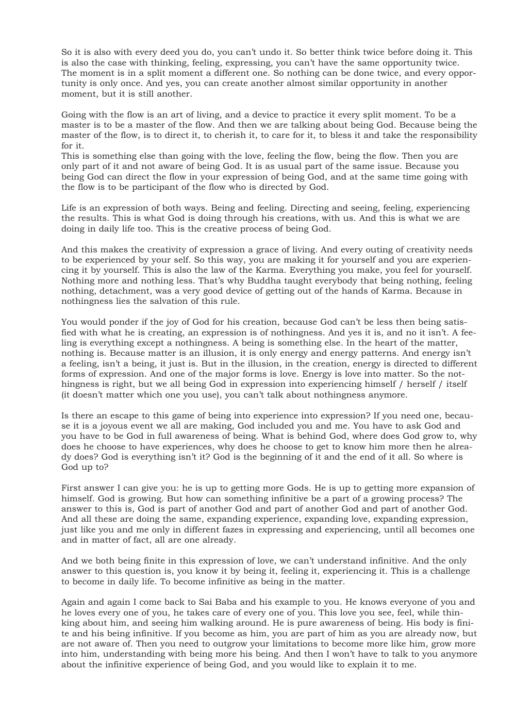So it is also with every deed you do, you can't undo it. So better think twice before doing it. This is also the case with thinking, feeling, expressing, you can't have the same opportunity twice. The moment is in a split moment a different one. So nothing can be done twice, and every opportunity is only once. And yes, you can create another almost similar opportunity in another moment, but it is still another.

Going with the flow is an art of living, and a device to practice it every split moment. To be a master is to be a master of the flow. And then we are talking about being God. Because being the master of the flow, is to direct it, to cherish it, to care for it, to bless it and take the responsibility for it.

This is something else than going with the love, feeling the flow, being the flow. Then you are only part of it and not aware of being God. It is as usual part of the same issue. Because you being God can direct the flow in your expression of being God, and at the same time going with the flow is to be participant of the flow who is directed by God.

Life is an expression of both ways. Being and feeling. Directing and seeing, feeling, experiencing the results. This is what God is doing through his creations, with us. And this is what we are doing in daily life too. This is the creative process of being God.

And this makes the creativity of expression a grace of living. And every outing of creativity needs to be experienced by your self. So this way, you are making it for yourself and you are experiencing it by yourself. This is also the law of the Karma. Everything you make, you feel for yourself. Nothing more and nothing less. That's why Buddha taught everybody that being nothing, feeling nothing, detachment, was a very good device of getting out of the hands of Karma. Because in nothingness lies the salvation of this rule.

You would ponder if the joy of God for his creation, because God can't be less then being satisfied with what he is creating, an expression is of nothingness. And yes it is, and no it isn't. A feeling is everything except a nothingness. A being is something else. In the heart of the matter, nothing is. Because matter is an illusion, it is only energy and energy patterns. And energy isn't a feeling, isn't a being, it just is. But in the illusion, in the creation, energy is directed to different forms of expression. And one of the major forms is love. Energy is love into matter. So the nothingness is right, but we all being God in expression into experiencing himself / herself / itself (it doesn't matter which one you use), you can't talk about nothingness anymore.

Is there an escape to this game of being into experience into expression? If you need one, because it is a joyous event we all are making, God included you and me. You have to ask God and you have to be God in full awareness of being. What is behind God, where does God grow to, why does he choose to have experiences, why does he choose to get to know him more then he already does? God is everything isn't it? God is the beginning of it and the end of it all. So where is God up to?

First answer I can give you: he is up to getting more Gods. He is up to getting more expansion of himself. God is growing. But how can something infinitive be a part of a growing process? The answer to this is, God is part of another God and part of another God and part of another God. And all these are doing the same, expanding experience, expanding love, expanding expression, just like you and me only in different fazes in expressing and experiencing, until all becomes one and in matter of fact, all are one already.

And we both being finite in this expression of love, we can't understand infinitive. And the only answer to this question is, you know it by being it, feeling it, experiencing it. This is a challenge to become in daily life. To become infinitive as being in the matter.

Again and again I come back to Sai Baba and his example to you. He knows everyone of you and he loves every one of you, he takes care of every one of you. This love you see, feel, while thinking about him, and seeing him walking around. He is pure awareness of being. His body is finite and his being infinitive. If you become as him, you are part of him as you are already now, but are not aware of. Then you need to outgrow your limitations to become more like him, grow more into him, understanding with being more his being. And then I won't have to talk to you anymore about the infinitive experience of being God, and you would like to explain it to me.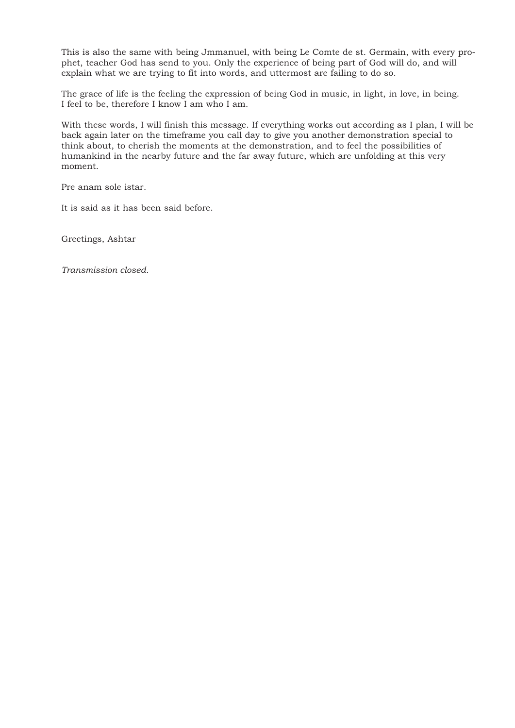This is also the same with being Jmmanuel, with being Le Comte de st. Germain, with every prophet, teacher God has send to you. Only the experience of being part of God will do, and will explain what we are trying to fit into words, and uttermost are failing to do so.

The grace of life is the feeling the expression of being God in music, in light, in love, in being. I feel to be, therefore I know I am who I am.

With these words, I will finish this message. If everything works out according as I plan, I will be back again later on the timeframe you call day to give you another demonstration special to think about, to cherish the moments at the demonstration, and to feel the possibilities of humankind in the nearby future and the far away future, which are unfolding at this very moment.

Pre anam sole istar.

It is said as it has been said before.

Greetings, Ashtar

*Transmission closed.*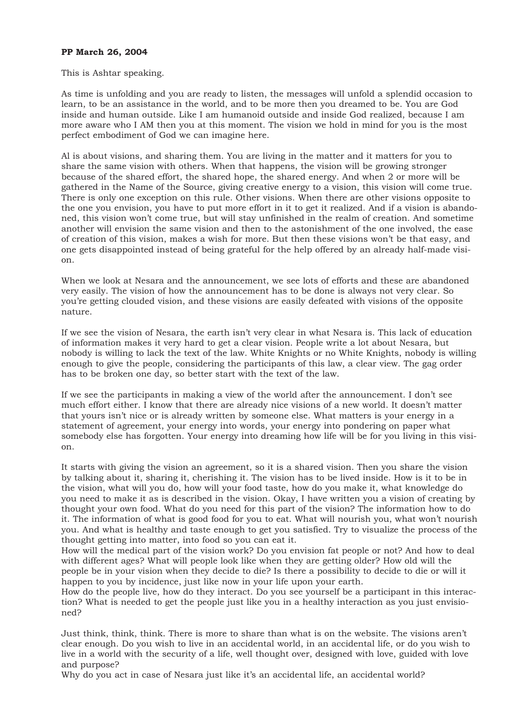## **PP March 26, 2004**

#### This is Ashtar speaking.

As time is unfolding and you are ready to listen, the messages will unfold a splendid occasion to learn, to be an assistance in the world, and to be more then you dreamed to be. You are God inside and human outside. Like I am humanoid outside and inside God realized, because I am more aware who I AM then you at this moment. The vision we hold in mind for you is the most perfect embodiment of God we can imagine here.

Al is about visions, and sharing them. You are living in the matter and it matters for you to share the same vision with others. When that happens, the vision will be growing stronger because of the shared effort, the shared hope, the shared energy. And when 2 or more will be gathered in the Name of the Source, giving creative energy to a vision, this vision will come true. There is only one exception on this rule. Other visions. When there are other visions opposite to the one you envision, you have to put more effort in it to get it realized. And if a vision is abandoned, this vision won't come true, but will stay unfinished in the realm of creation. And sometime another will envision the same vision and then to the astonishment of the one involved, the ease of creation of this vision, makes a wish for more. But then these visions won't be that easy, and one gets disappointed instead of being grateful for the help offered by an already half-made vision.

When we look at Nesara and the announcement, we see lots of efforts and these are abandoned very easily. The vision of how the announcement has to be done is always not very clear. So you're getting clouded vision, and these visions are easily defeated with visions of the opposite nature.

If we see the vision of Nesara, the earth isn't very clear in what Nesara is. This lack of education of information makes it very hard to get a clear vision. People write a lot about Nesara, but nobody is willing to lack the text of the law. White Knights or no White Knights, nobody is willing enough to give the people, considering the participants of this law, a clear view. The gag order has to be broken one day, so better start with the text of the law.

If we see the participants in making a view of the world after the announcement. I don't see much effort either. I know that there are already nice visions of a new world. It doesn't matter that yours isn't nice or is already written by someone else. What matters is your energy in a statement of agreement, your energy into words, your energy into pondering on paper what somebody else has forgotten. Your energy into dreaming how life will be for you living in this vision.

It starts with giving the vision an agreement, so it is a shared vision. Then you share the vision by talking about it, sharing it, cherishing it. The vision has to be lived inside. How is it to be in the vision, what will you do, how will your food taste, how do you make it, what knowledge do you need to make it as is described in the vision. Okay, I have written you a vision of creating by thought your own food. What do you need for this part of the vision? The information how to do it. The information of what is good food for you to eat. What will nourish you, what won't nourish you. And what is healthy and taste enough to get you satisfied. Try to visualize the process of the thought getting into matter, into food so you can eat it.

How will the medical part of the vision work? Do you envision fat people or not? And how to deal with different ages? What will people look like when they are getting older? How old will the people be in your vision when they decide to die? Is there a possibility to decide to die or will it happen to you by incidence, just like now in your life upon your earth.

How do the people live, how do they interact. Do you see yourself be a participant in this interaction? What is needed to get the people just like you in a healthy interaction as you just envisioned?

Just think, think, think. There is more to share than what is on the website. The visions aren't clear enough. Do you wish to live in an accidental world, in an accidental life, or do you wish to live in a world with the security of a life, well thought over, designed with love, guided with love and purpose?

Why do you act in case of Nesara just like it's an accidental life, an accidental world?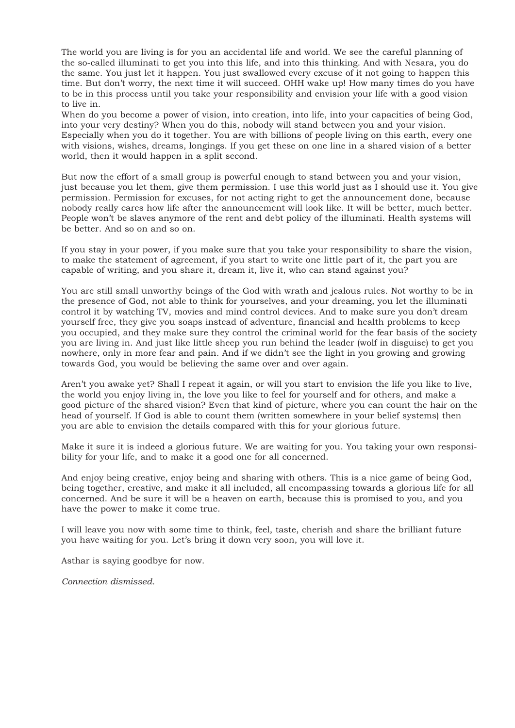The world you are living is for you an accidental life and world. We see the careful planning of the so-called illuminati to get you into this life, and into this thinking. And with Nesara, you do the same. You just let it happen. You just swallowed every excuse of it not going to happen this time. But don't worry, the next time it will succeed. OHH wake up! How many times do you have to be in this process until you take your responsibility and envision your life with a good vision to live in.

When do you become a power of vision, into creation, into life, into your capacities of being God, into your very destiny? When you do this, nobody will stand between you and your vision. Especially when you do it together. You are with billions of people living on this earth, every one with visions, wishes, dreams, longings. If you get these on one line in a shared vision of a better world, then it would happen in a split second.

But now the effort of a small group is powerful enough to stand between you and your vision, just because you let them, give them permission. I use this world just as I should use it. You give permission. Permission for excuses, for not acting right to get the announcement done, because nobody really cares how life after the announcement will look like. It will be better, much better. People won't be slaves anymore of the rent and debt policy of the illuminati. Health systems will be better. And so on and so on.

If you stay in your power, if you make sure that you take your responsibility to share the vision, to make the statement of agreement, if you start to write one little part of it, the part you are capable of writing, and you share it, dream it, live it, who can stand against you?

You are still small unworthy beings of the God with wrath and jealous rules. Not worthy to be in the presence of God, not able to think for yourselves, and your dreaming, you let the illuminati control it by watching TV, movies and mind control devices. And to make sure you don't dream yourself free, they give you soaps instead of adventure, financial and health problems to keep you occupied, and they make sure they control the criminal world for the fear basis of the society you are living in. And just like little sheep you run behind the leader (wolf in disguise) to get you nowhere, only in more fear and pain. And if we didn't see the light in you growing and growing towards God, you would be believing the same over and over again.

Aren't you awake yet? Shall I repeat it again, or will you start to envision the life you like to live, the world you enjoy living in, the love you like to feel for yourself and for others, and make a good picture of the shared vision? Even that kind of picture, where you can count the hair on the head of yourself. If God is able to count them (written somewhere in your belief systems) then you are able to envision the details compared with this for your glorious future.

Make it sure it is indeed a glorious future. We are waiting for you. You taking your own responsibility for your life, and to make it a good one for all concerned.

And enjoy being creative, enjoy being and sharing with others. This is a nice game of being God, being together, creative, and make it all included, all encompassing towards a glorious life for all concerned. And be sure it will be a heaven on earth, because this is promised to you, and you have the power to make it come true.

I will leave you now with some time to think, feel, taste, cherish and share the brilliant future you have waiting for you. Let's bring it down very soon, you will love it.

Asthar is saying goodbye for now.

*Connection dismissed.*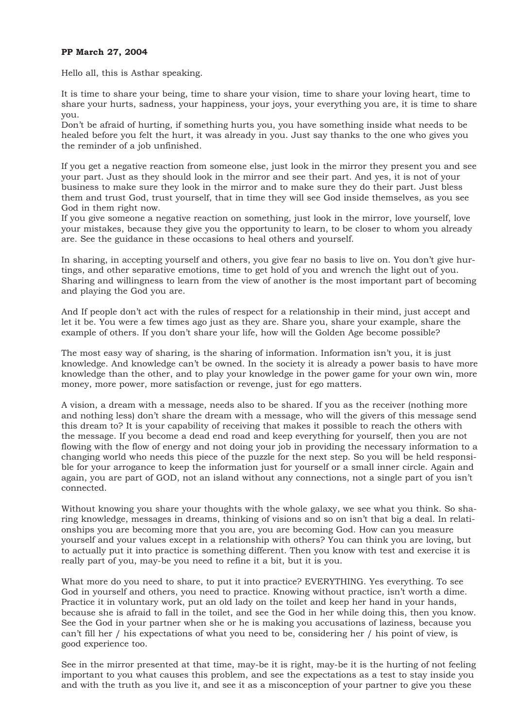## **PP March 27, 2004**

Hello all, this is Asthar speaking.

It is time to share your being, time to share your vision, time to share your loving heart, time to share your hurts, sadness, your happiness, your joys, your everything you are, it is time to share you.

Don't be afraid of hurting, if something hurts you, you have something inside what needs to be healed before you felt the hurt, it was already in you. Just say thanks to the one who gives you the reminder of a job unfinished.

If you get a negative reaction from someone else, just look in the mirror they present you and see your part. Just as they should look in the mirror and see their part. And yes, it is not of your business to make sure they look in the mirror and to make sure they do their part. Just bless them and trust God, trust yourself, that in time they will see God inside themselves, as you see God in them right now.

If you give someone a negative reaction on something, just look in the mirror, love yourself, love your mistakes, because they give you the opportunity to learn, to be closer to whom you already are. See the guidance in these occasions to heal others and yourself.

In sharing, in accepting yourself and others, you give fear no basis to live on. You don't give hurtings, and other separative emotions, time to get hold of you and wrench the light out of you. Sharing and willingness to learn from the view of another is the most important part of becoming and playing the God you are.

And If people don't act with the rules of respect for a relationship in their mind, just accept and let it be. You were a few times ago just as they are. Share you, share your example, share the example of others. If you don't share your life, how will the Golden Age become possible?

The most easy way of sharing, is the sharing of information. Information isn't you, it is just knowledge. And knowledge can't be owned. In the society it is already a power basis to have more knowledge than the other, and to play your knowledge in the power game for your own win, more money, more power, more satisfaction or revenge, just for ego matters.

A vision, a dream with a message, needs also to be shared. If you as the receiver (nothing more and nothing less) don't share the dream with a message, who will the givers of this message send this dream to? It is your capability of receiving that makes it possible to reach the others with the message. If you become a dead end road and keep everything for yourself, then you are not flowing with the flow of energy and not doing your job in providing the necessary information to a changing world who needs this piece of the puzzle for the next step. So you will be held responsible for your arrogance to keep the information just for yourself or a small inner circle. Again and again, you are part of GOD, not an island without any connections, not a single part of you isn't connected.

Without knowing you share your thoughts with the whole galaxy, we see what you think. So sharing knowledge, messages in dreams, thinking of visions and so on isn't that big a deal. In relationships you are becoming more that you are, you are becoming God. How can you measure yourself and your values except in a relationship with others? You can think you are loving, but to actually put it into practice is something different. Then you know with test and exercise it is really part of you, may-be you need to refine it a bit, but it is you.

What more do you need to share, to put it into practice? EVERYTHING. Yes everything. To see God in yourself and others, you need to practice. Knowing without practice, isn't worth a dime. Practice it in voluntary work, put an old lady on the toilet and keep her hand in your hands, because she is afraid to fall in the toilet, and see the God in her while doing this, then you know. See the God in your partner when she or he is making you accusations of laziness, because you can't fill her / his expectations of what you need to be, considering her / his point of view, is good experience too.

See in the mirror presented at that time, may-be it is right, may-be it is the hurting of not feeling important to you what causes this problem, and see the expectations as a test to stay inside you and with the truth as you live it, and see it as a misconception of your partner to give you these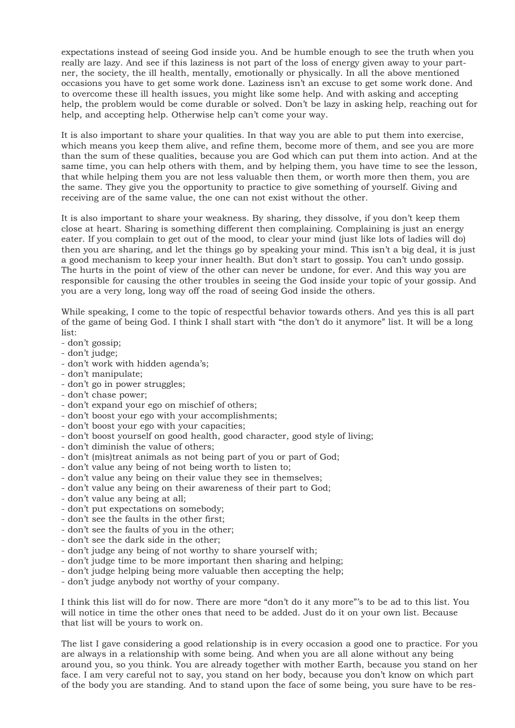expectations instead of seeing God inside you. And be humble enough to see the truth when you really are lazy. And see if this laziness is not part of the loss of energy given away to your partner, the society, the ill health, mentally, emotionally or physically. In all the above mentioned occasions you have to get some work done. Laziness isn't an excuse to get some work done. And to overcome these ill health issues, you might like some help. And with asking and accepting help, the problem would be come durable or solved. Don't be lazy in asking help, reaching out for help, and accepting help. Otherwise help can't come your way.

It is also important to share your qualities. In that way you are able to put them into exercise, which means you keep them alive, and refine them, become more of them, and see you are more than the sum of these qualities, because you are God which can put them into action. And at the same time, you can help others with them, and by helping them, you have time to see the lesson, that while helping them you are not less valuable then them, or worth more then them, you are the same. They give you the opportunity to practice to give something of yourself. Giving and receiving are of the same value, the one can not exist without the other.

It is also important to share your weakness. By sharing, they dissolve, if you don't keep them close at heart. Sharing is something different then complaining. Complaining is just an energy eater. If you complain to get out of the mood, to clear your mind (just like lots of ladies will do) then you are sharing, and let the things go by speaking your mind. This isn't a big deal, it is just a good mechanism to keep your inner health. But don't start to gossip. You can't undo gossip. The hurts in the point of view of the other can never be undone, for ever. And this way you are responsible for causing the other troubles in seeing the God inside your topic of your gossip. And you are a very long, long way off the road of seeing God inside the others.

While speaking, I come to the topic of respectful behavior towards others. And yes this is all part of the game of being God. I think I shall start with "the don't do it anymore" list. It will be a long list:

- don't gossip;
- don't judge;
- don't work with hidden agenda's;
- don't manipulate;
- don't go in power struggles;
- don't chase power;
- don't expand your ego on mischief of others;
- don't boost your ego with your accomplishments;
- don't boost your ego with your capacities;
- don't boost yourself on good health, good character, good style of living;
- don't diminish the value of others;
- don't (mis)treat animals as not being part of you or part of God;
- don't value any being of not being worth to listen to;
- don't value any being on their value they see in themselves;
- don't value any being on their awareness of their part to God;
- don't value any being at all;
- don't put expectations on somebody;
- don't see the faults in the other first;
- don't see the faults of you in the other;
- don't see the dark side in the other;
- don't judge any being of not worthy to share yourself with;
- don't judge time to be more important then sharing and helping;
- don't judge helping being more valuable then accepting the help;
- don't judge anybody not worthy of your company.

I think this list will do for now. There are more "don't do it any more"'s to be ad to this list. You will notice in time the other ones that need to be added. Just do it on your own list. Because that list will be yours to work on.

The list I gave considering a good relationship is in every occasion a good one to practice. For you are always in a relationship with some being. And when you are all alone without any being around you, so you think. You are already together with mother Earth, because you stand on her face. I am very careful not to say, you stand on her body, because you don't know on which part of the body you are standing. And to stand upon the face of some being, you sure have to be res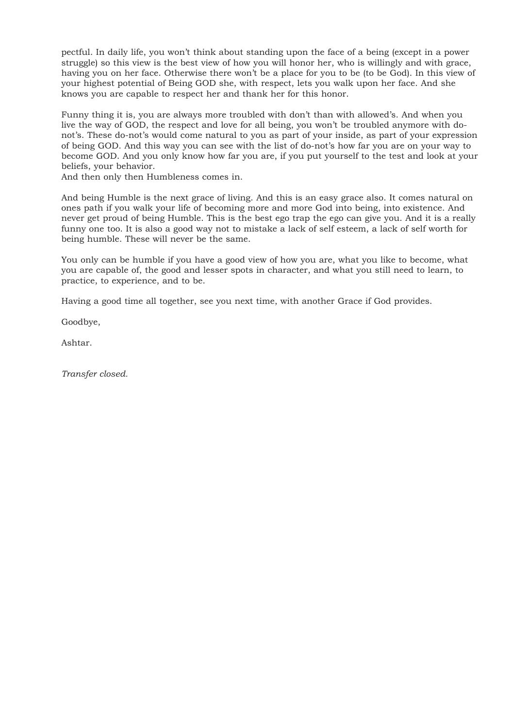pectful. In daily life, you won't think about standing upon the face of a being (except in a power struggle) so this view is the best view of how you will honor her, who is willingly and with grace, having you on her face. Otherwise there won't be a place for you to be (to be God). In this view of your highest potential of Being GOD she, with respect, lets you walk upon her face. And she knows you are capable to respect her and thank her for this honor.

Funny thing it is, you are always more troubled with don't than with allowed's. And when you live the way of GOD, the respect and love for all being, you won't be troubled anymore with donot's. These do-not's would come natural to you as part of your inside, as part of your expression of being GOD. And this way you can see with the list of do-not's how far you are on your way to become GOD. And you only know how far you are, if you put yourself to the test and look at your beliefs, your behavior.

And then only then Humbleness comes in.

And being Humble is the next grace of living. And this is an easy grace also. It comes natural on ones path if you walk your life of becoming more and more God into being, into existence. And never get proud of being Humble. This is the best ego trap the ego can give you. And it is a really funny one too. It is also a good way not to mistake a lack of self esteem, a lack of self worth for being humble. These will never be the same.

You only can be humble if you have a good view of how you are, what you like to become, what you are capable of, the good and lesser spots in character, and what you still need to learn, to practice, to experience, and to be.

Having a good time all together, see you next time, with another Grace if God provides.

Goodbye,

Ashtar.

*Transfer closed.*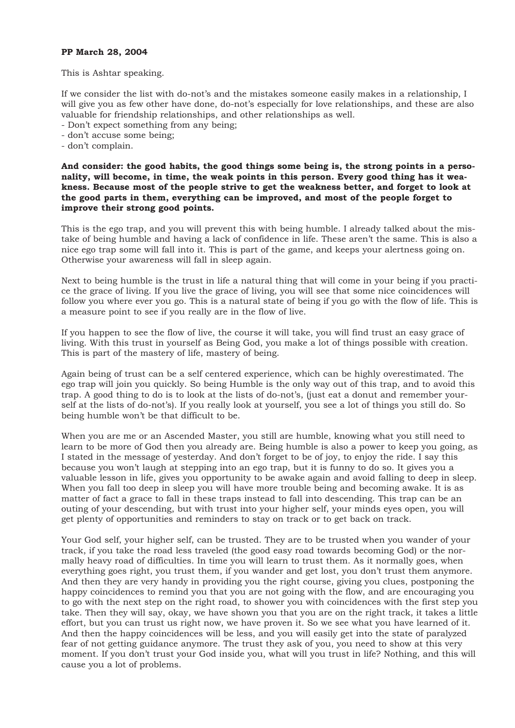## **PP March 28, 2004**

This is Ashtar speaking.

If we consider the list with do-not's and the mistakes someone easily makes in a relationship, I will give you as few other have done, do-not's especially for love relationships, and these are also valuable for friendship relationships, and other relationships as well.

- Don't expect something from any being;
- don't accuse some being;
- don't complain.

**And consider: the good habits, the good things some being is, the strong points in a personality, will become, in time, the weak points in this person. Every good thing has it weakness. Because most of the people strive to get the weakness better, and forget to look at the good parts in them, everything can be improved, and most of the people forget to improve their strong good points.**

This is the ego trap, and you will prevent this with being humble. I already talked about the mistake of being humble and having a lack of confidence in life. These aren't the same. This is also a nice ego trap some will fall into it. This is part of the game, and keeps your alertness going on. Otherwise your awareness will fall in sleep again.

Next to being humble is the trust in life a natural thing that will come in your being if you practice the grace of living. If you live the grace of living, you will see that some nice coincidences will follow you where ever you go. This is a natural state of being if you go with the flow of life. This is a measure point to see if you really are in the flow of live.

If you happen to see the flow of live, the course it will take, you will find trust an easy grace of living. With this trust in yourself as Being God, you make a lot of things possible with creation. This is part of the mastery of life, mastery of being.

Again being of trust can be a self centered experience, which can be highly overestimated. The ego trap will join you quickly. So being Humble is the only way out of this trap, and to avoid this trap. A good thing to do is to look at the lists of do-not's, (just eat a donut and remember yourself at the lists of do-not's). If you really look at yourself, you see a lot of things you still do. So being humble won't be that difficult to be.

When you are me or an Ascended Master, you still are humble, knowing what you still need to learn to be more of God then you already are. Being humble is also a power to keep you going, as I stated in the message of yesterday. And don't forget to be of joy, to enjoy the ride. I say this because you won't laugh at stepping into an ego trap, but it is funny to do so. It gives you a valuable lesson in life, gives you opportunity to be awake again and avoid falling to deep in sleep. When you fall too deep in sleep you will have more trouble being and becoming awake. It is as matter of fact a grace to fall in these traps instead to fall into descending. This trap can be an outing of your descending, but with trust into your higher self, your minds eyes open, you will get plenty of opportunities and reminders to stay on track or to get back on track.

Your God self, your higher self, can be trusted. They are to be trusted when you wander of your track, if you take the road less traveled (the good easy road towards becoming God) or the normally heavy road of difficulties. In time you will learn to trust them. As it normally goes, when everything goes right, you trust them, if you wander and get lost, you don't trust them anymore. And then they are very handy in providing you the right course, giving you clues, postponing the happy coincidences to remind you that you are not going with the flow, and are encouraging you to go with the next step on the right road, to shower you with coincidences with the first step you take. Then they will say, okay, we have shown you that you are on the right track, it takes a little effort, but you can trust us right now, we have proven it. So we see what you have learned of it. And then the happy coincidences will be less, and you will easily get into the state of paralyzed fear of not getting guidance anymore. The trust they ask of you, you need to show at this very moment. If you don't trust your God inside you, what will you trust in life? Nothing, and this will cause you a lot of problems.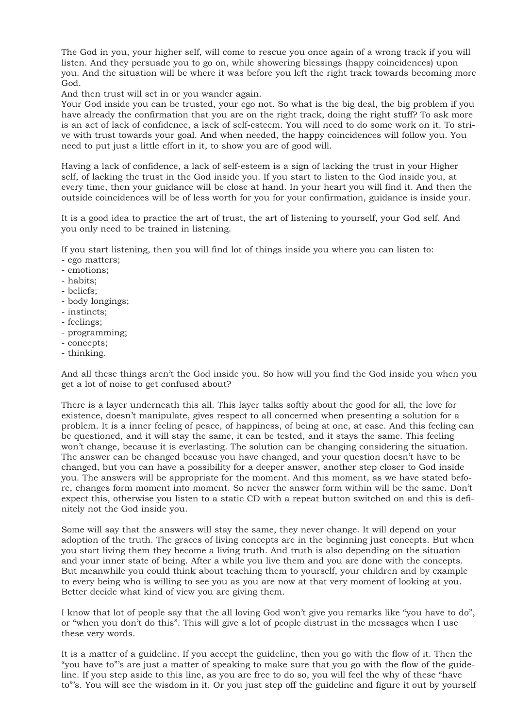The God in you, your higher self, will come to rescue you once again of a wrong track if you will listen. And they persuade you to go on, while showering blessings (happy coincidences) upon you. And the situation will be where it was before you left the right track towards becoming more God.

And then trust will set in or you wander again.

Your God inside you can be trusted, your ego not. So what is the big deal, the big problem if you have already the confirmation that you are on the right track, doing the right stuff? To ask more is an act of lack of confidence, a lack of self-esteem. You will need to do some work on it. To strive with trust towards your goal. And when needed, the happy coincidences will follow you. You need to put just a little effort in it, to show you are of good will.

Having a lack of confidence, a lack of self-esteem is a sign of lacking the trust in your Higher self, of lacking the trust in the God inside you. If you start to listen to the God inside you, at every time, then your guidance will be close at hand. In your heart you will find it. And then the outside coincidences will be of less worth for you for your confirmation, guidance is inside your.

It is a good idea to practice the art of trust, the art of listening to yourself, your God self. And you only need to be trained in listening.

If you start listening, then you will find lot of things inside you where you can listen to:

- ego matters;
- emotions;
- habits;
- beliefs;
- body longings;
- instincts;
- feelings;
- programming;
- concepts;
- thinking.

And all these things aren't the God inside you. So how will you find the God inside you when you get a lot of noise to get confused about?

There is a layer underneath this all. This layer talks softly about the good for all, the love for existence, doesn't manipulate, gives respect to all concerned when presenting a solution for a problem. It is a inner feeling of peace, of happiness, of being at one, at ease. And this feeling can be questioned, and it will stay the same, it can be tested, and it stays the same. This feeling won't change, because it is everlasting. The solution can be changing considering the situation. The answer can be changed because you have changed, and your question doesn't have to be changed, but you can have a possibility for a deeper answer, another step closer to God inside you. The answers will be appropriate for the moment. And this moment, as we have stated before, changes form moment into moment. So never the answer form within will be the same. Don't expect this, otherwise you listen to a static CD with a repeat button switched on and this is definitely not the God inside you.

Some will say that the answers will stay the same, they never change. It will depend on your adoption of the truth. The graces of living concepts are in the beginning just concepts. But when you start living them they become a living truth. And truth is also depending on the situation and your inner state of being. After a while you live them and you are done with the concepts. But meanwhile you could think about teaching them to yourself, your children and by example to every being who is willing to see you as you are now at that very moment of looking at you. Better decide what kind of view you are giving them.

I know that lot of people say that the all loving God won't give you remarks like "you have to do", or "when you don't do this". This will give a lot of people distrust in the messages when I use these very words.

It is a matter of a guideline. If you accept the guideline, then you go with the flow of it. Then the "you have to"'s are just a matter of speaking to make sure that you go with the flow of the guideline. If you step aside to this line, as you are free to do so, you will feel the why of these "have to"'s. You will see the wisdom in it. Or you just step off the guideline and figure it out by yourself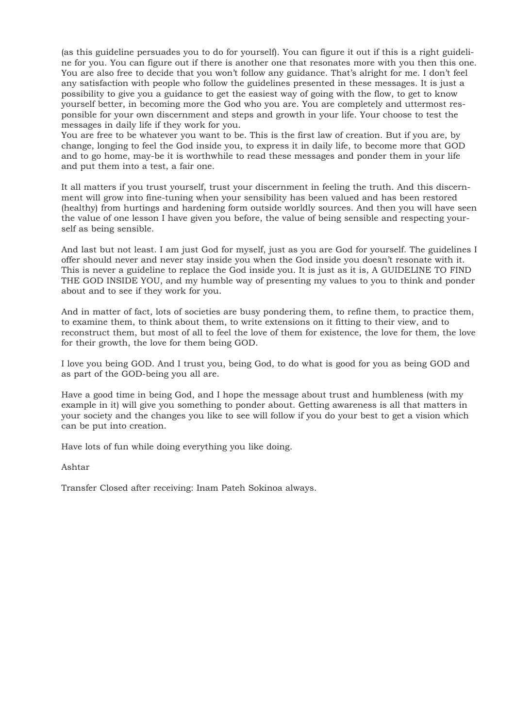(as this guideline persuades you to do for yourself). You can figure it out if this is a right guideline for you. You can figure out if there is another one that resonates more with you then this one. You are also free to decide that you won't follow any guidance. That's alright for me. I don't feel any satisfaction with people who follow the guidelines presented in these messages. It is just a possibility to give you a guidance to get the easiest way of going with the flow, to get to know yourself better, in becoming more the God who you are. You are completely and uttermost responsible for your own discernment and steps and growth in your life. Your choose to test the messages in daily life if they work for you.

You are free to be whatever you want to be. This is the first law of creation. But if you are, by change, longing to feel the God inside you, to express it in daily life, to become more that GOD and to go home, may-be it is worthwhile to read these messages and ponder them in your life and put them into a test, a fair one.

It all matters if you trust yourself, trust your discernment in feeling the truth. And this discernment will grow into fine-tuning when your sensibility has been valued and has been restored (healthy) from hurtings and hardening form outside worldly sources. And then you will have seen the value of one lesson I have given you before, the value of being sensible and respecting yourself as being sensible.

And last but not least. I am just God for myself, just as you are God for yourself. The guidelines I offer should never and never stay inside you when the God inside you doesn't resonate with it. This is never a guideline to replace the God inside you. It is just as it is, A GUIDELINE TO FIND THE GOD INSIDE YOU, and my humble way of presenting my values to you to think and ponder about and to see if they work for you.

And in matter of fact, lots of societies are busy pondering them, to refine them, to practice them, to examine them, to think about them, to write extensions on it fitting to their view, and to reconstruct them, but most of all to feel the love of them for existence, the love for them, the love for their growth, the love for them being GOD.

I love you being GOD. And I trust you, being God, to do what is good for you as being GOD and as part of the GOD-being you all are.

Have a good time in being God, and I hope the message about trust and humbleness (with my example in it) will give you something to ponder about. Getting awareness is all that matters in your society and the changes you like to see will follow if you do your best to get a vision which can be put into creation.

Have lots of fun while doing everything you like doing.

Ashtar

Transfer Closed after receiving: Inam Pateh Sokinoa always.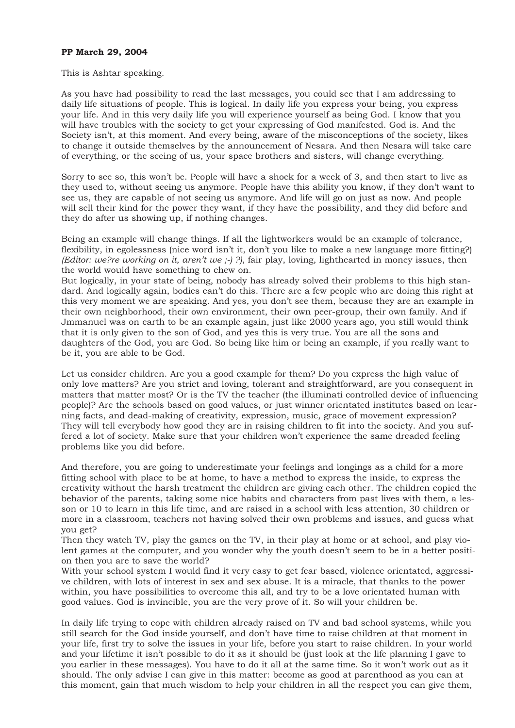## **PP March 29, 2004**

#### This is Ashtar speaking.

As you have had possibility to read the last messages, you could see that I am addressing to daily life situations of people. This is logical. In daily life you express your being, you express your life. And in this very daily life you will experience yourself as being God. I know that you will have troubles with the society to get your expressing of God manifested. God is. And the Society isn't, at this moment. And every being, aware of the misconceptions of the society, likes to change it outside themselves by the announcement of Nesara. And then Nesara will take care of everything, or the seeing of us, your space brothers and sisters, will change everything.

Sorry to see so, this won't be. People will have a shock for a week of 3, and then start to live as they used to, without seeing us anymore. People have this ability you know, if they don't want to see us, they are capable of not seeing us anymore. And life will go on just as now. And people will sell their kind for the power they want, if they have the possibility, and they did before and they do after us showing up, if nothing changes.

Being an example will change things. If all the lightworkers would be an example of tolerance, flexibility, in egolessness (nice word isn't it, don't you like to make a new language more fitting?) *(Editor: we?re working on it, aren't we ;-) ?)*, fair play, loving, lighthearted in money issues, then the world would have something to chew on.

But logically, in your state of being, nobody has already solved their problems to this high standard. And logically again, bodies can't do this. There are a few people who are doing this right at this very moment we are speaking. And yes, you don't see them, because they are an example in their own neighborhood, their own environment, their own peer-group, their own family. And if Jmmanuel was on earth to be an example again, just like 2000 years ago, you still would think that it is only given to the son of God, and yes this is very true. You are all the sons and daughters of the God, you are God. So being like him or being an example, if you really want to be it, you are able to be God.

Let us consider children. Are you a good example for them? Do you express the high value of only love matters? Are you strict and loving, tolerant and straightforward, are you consequent in matters that matter most? Or is the TV the teacher (the illuminati controlled device of influencing people)? Are the schools based on good values, or just winner orientated institutes based on learning facts, and dead-making of creativity, expression, music, grace of movement expression? They will tell everybody how good they are in raising children to fit into the society. And you suffered a lot of society. Make sure that your children won't experience the same dreaded feeling problems like you did before.

And therefore, you are going to underestimate your feelings and longings as a child for a more fitting school with place to be at home, to have a method to express the inside, to express the creativity without the harsh treatment the children are giving each other. The children copied the behavior of the parents, taking some nice habits and characters from past lives with them, a lesson or 10 to learn in this life time, and are raised in a school with less attention, 30 children or more in a classroom, teachers not having solved their own problems and issues, and guess what you get?

Then they watch TV, play the games on the TV, in their play at home or at school, and play violent games at the computer, and you wonder why the youth doesn't seem to be in a better position then you are to save the world?

With your school system I would find it very easy to get fear based, violence orientated, aggressive children, with lots of interest in sex and sex abuse. It is a miracle, that thanks to the power within, you have possibilities to overcome this all, and try to be a love orientated human with good values. God is invincible, you are the very prove of it. So will your children be.

In daily life trying to cope with children already raised on TV and bad school systems, while you still search for the God inside yourself, and don't have time to raise children at that moment in your life, first try to solve the issues in your life, before you start to raise children. In your world and your lifetime it isn't possible to do it as it should be (just look at the life planning I gave to you earlier in these messages). You have to do it all at the same time. So it won't work out as it should. The only advise I can give in this matter: become as good at parenthood as you can at this moment, gain that much wisdom to help your children in all the respect you can give them,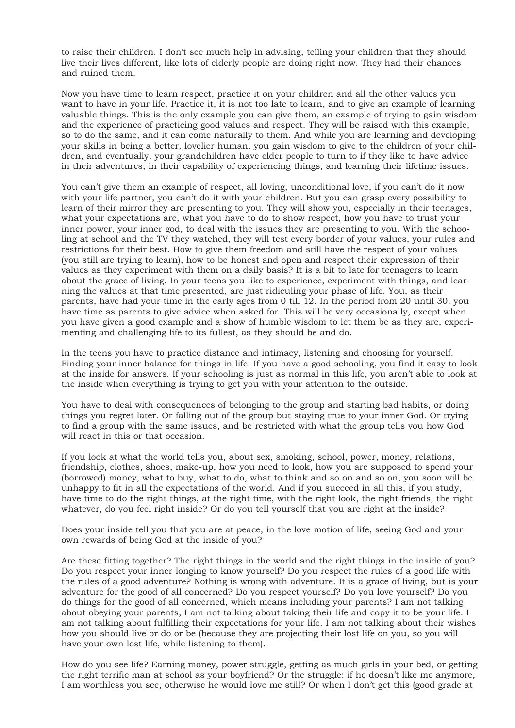to raise their children. I don't see much help in advising, telling your children that they should live their lives different, like lots of elderly people are doing right now. They had their chances and ruined them.

Now you have time to learn respect, practice it on your children and all the other values you want to have in your life. Practice it, it is not too late to learn, and to give an example of learning valuable things. This is the only example you can give them, an example of trying to gain wisdom and the experience of practicing good values and respect. They will be raised with this example, so to do the same, and it can come naturally to them. And while you are learning and developing your skills in being a better, lovelier human, you gain wisdom to give to the children of your children, and eventually, your grandchildren have elder people to turn to if they like to have advice in their adventures, in their capability of experiencing things, and learning their lifetime issues.

You can't give them an example of respect, all loving, unconditional love, if you can't do it now with your life partner, you can't do it with your children. But you can grasp every possibility to learn of their mirror they are presenting to you. They will show you, especially in their teenages, what your expectations are, what you have to do to show respect, how you have to trust your inner power, your inner god, to deal with the issues they are presenting to you. With the schooling at school and the TV they watched, they will test every border of your values, your rules and restrictions for their best. How to give them freedom and still have the respect of your values (you still are trying to learn), how to be honest and open and respect their expression of their values as they experiment with them on a daily basis? It is a bit to late for teenagers to learn about the grace of living. In your teens you like to experience, experiment with things, and learning the values at that time presented, are just ridiculing your phase of life. You, as their parents, have had your time in the early ages from 0 till 12. In the period from 20 until 30, you have time as parents to give advice when asked for. This will be very occasionally, except when you have given a good example and a show of humble wisdom to let them be as they are, experimenting and challenging life to its fullest, as they should be and do.

In the teens you have to practice distance and intimacy, listening and choosing for yourself. Finding your inner balance for things in life. If you have a good schooling, you find it easy to look at the inside for answers. If your schooling is just as normal in this life, you aren't able to look at the inside when everything is trying to get you with your attention to the outside.

You have to deal with consequences of belonging to the group and starting bad habits, or doing things you regret later. Or falling out of the group but staying true to your inner God. Or trying to find a group with the same issues, and be restricted with what the group tells you how God will react in this or that occasion.

If you look at what the world tells you, about sex, smoking, school, power, money, relations, friendship, clothes, shoes, make-up, how you need to look, how you are supposed to spend your (borrowed) money, what to buy, what to do, what to think and so on and so on, you soon will be unhappy to fit in all the expectations of the world. And if you succeed in all this, if you study, have time to do the right things, at the right time, with the right look, the right friends, the right whatever, do you feel right inside? Or do you tell yourself that you are right at the inside?

Does your inside tell you that you are at peace, in the love motion of life, seeing God and your own rewards of being God at the inside of you?

Are these fitting together? The right things in the world and the right things in the inside of you? Do you respect your inner longing to know yourself? Do you respect the rules of a good life with the rules of a good adventure? Nothing is wrong with adventure. It is a grace of living, but is your adventure for the good of all concerned? Do you respect yourself? Do you love yourself? Do you do things for the good of all concerned, which means including your parents? I am not talking about obeying your parents, I am not talking about taking their life and copy it to be your life. I am not talking about fulfilling their expectations for your life. I am not talking about their wishes how you should live or do or be (because they are projecting their lost life on you, so you will have your own lost life, while listening to them).

How do you see life? Earning money, power struggle, getting as much girls in your bed, or getting the right terrific man at school as your boyfriend? Or the struggle: if he doesn't like me anymore, I am worthless you see, otherwise he would love me still? Or when I don't get this (good grade at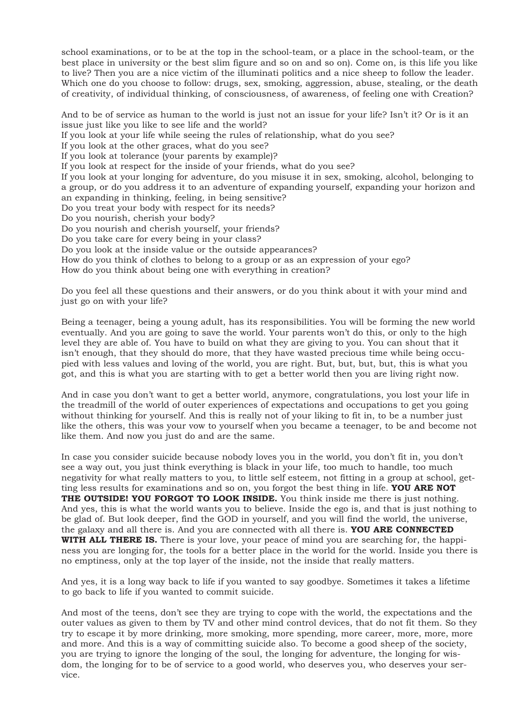school examinations, or to be at the top in the school-team, or a place in the school-team, or the best place in university or the best slim figure and so on and so on). Come on, is this life you like to live? Then you are a nice victim of the illuminati politics and a nice sheep to follow the leader. Which one do you choose to follow: drugs, sex, smoking, aggression, abuse, stealing, or the death of creativity, of individual thinking, of consciousness, of awareness, of feeling one with Creation?

And to be of service as human to the world is just not an issue for your life? Isn't it? Or is it an issue just like you like to see life and the world? If you look at your life while seeing the rules of relationship, what do you see? If you look at the other graces, what do you see? If you look at tolerance (your parents by example)? If you look at respect for the inside of your friends, what do you see? If you look at your longing for adventure, do you misuse it in sex, smoking, alcohol, belonging to a group, or do you address it to an adventure of expanding yourself, expanding your horizon and an expanding in thinking, feeling, in being sensitive? Do you treat your body with respect for its needs? Do you nourish, cherish your body? Do you nourish and cherish yourself, your friends? Do you take care for every being in your class? Do you look at the inside value or the outside appearances? How do you think of clothes to belong to a group or as an expression of your ego? How do you think about being one with everything in creation?

Do you feel all these questions and their answers, or do you think about it with your mind and just go on with your life?

Being a teenager, being a young adult, has its responsibilities. You will be forming the new world eventually. And you are going to save the world. Your parents won't do this, or only to the high level they are able of. You have to build on what they are giving to you. You can shout that it isn't enough, that they should do more, that they have wasted precious time while being occupied with less values and loving of the world, you are right. But, but, but, but, this is what you got, and this is what you are starting with to get a better world then you are living right now.

And in case you don't want to get a better world, anymore, congratulations, you lost your life in the treadmill of the world of outer experiences of expectations and occupations to get you going without thinking for yourself. And this is really not of your liking to fit in, to be a number just like the others, this was your vow to yourself when you became a teenager, to be and become not like them. And now you just do and are the same.

In case you consider suicide because nobody loves you in the world, you don't fit in, you don't see a way out, you just think everything is black in your life, too much to handle, too much negativity for what really matters to you, to little self esteem, not fitting in a group at school, getting less results for examinations and so on, you forgot the best thing in life. **YOU ARE NOT THE OUTSIDE! YOU FORGOT TO LOOK INSIDE.** You think inside me there is just nothing. And yes, this is what the world wants you to believe. Inside the ego is, and that is just nothing to be glad of. But look deeper, find the GOD in yourself, and you will find the world, the universe, the galaxy and all there is. And you are connected with all there is. **YOU ARE CONNECTED WITH ALL THERE IS.** There is your love, your peace of mind you are searching for, the happiness you are longing for, the tools for a better place in the world for the world. Inside you there is no emptiness, only at the top layer of the inside, not the inside that really matters.

And yes, it is a long way back to life if you wanted to say goodbye. Sometimes it takes a lifetime to go back to life if you wanted to commit suicide.

And most of the teens, don't see they are trying to cope with the world, the expectations and the outer values as given to them by TV and other mind control devices, that do not fit them. So they try to escape it by more drinking, more smoking, more spending, more career, more, more, more and more. And this is a way of committing suicide also. To become a good sheep of the society, you are trying to ignore the longing of the soul, the longing for adventure, the longing for wisdom, the longing for to be of service to a good world, who deserves you, who deserves your service.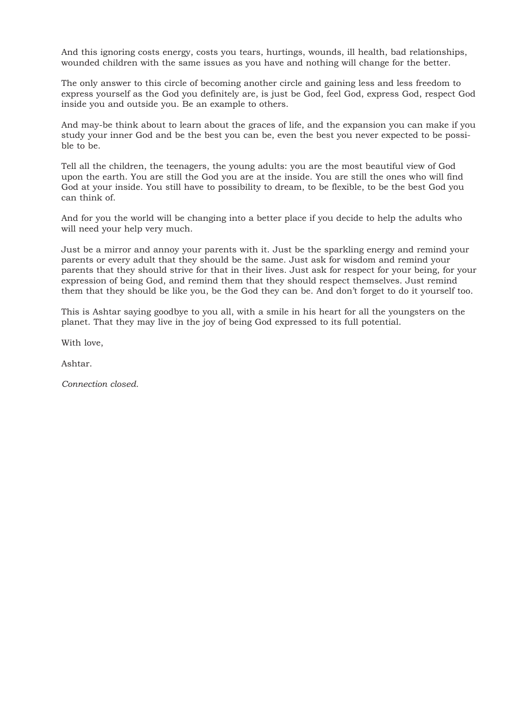And this ignoring costs energy, costs you tears, hurtings, wounds, ill health, bad relationships, wounded children with the same issues as you have and nothing will change for the better.

The only answer to this circle of becoming another circle and gaining less and less freedom to express yourself as the God you definitely are, is just be God, feel God, express God, respect God inside you and outside you. Be an example to others.

And may-be think about to learn about the graces of life, and the expansion you can make if you study your inner God and be the best you can be, even the best you never expected to be possible to be.

Tell all the children, the teenagers, the young adults: you are the most beautiful view of God upon the earth. You are still the God you are at the inside. You are still the ones who will find God at your inside. You still have to possibility to dream, to be flexible, to be the best God you can think of.

And for you the world will be changing into a better place if you decide to help the adults who will need your help very much.

Just be a mirror and annoy your parents with it. Just be the sparkling energy and remind your parents or every adult that they should be the same. Just ask for wisdom and remind your parents that they should strive for that in their lives. Just ask for respect for your being, for your expression of being God, and remind them that they should respect themselves. Just remind them that they should be like you, be the God they can be. And don't forget to do it yourself too.

This is Ashtar saying goodbye to you all, with a smile in his heart for all the youngsters on the planet. That they may live in the joy of being God expressed to its full potential.

With love,

Ashtar.

*Connection closed.*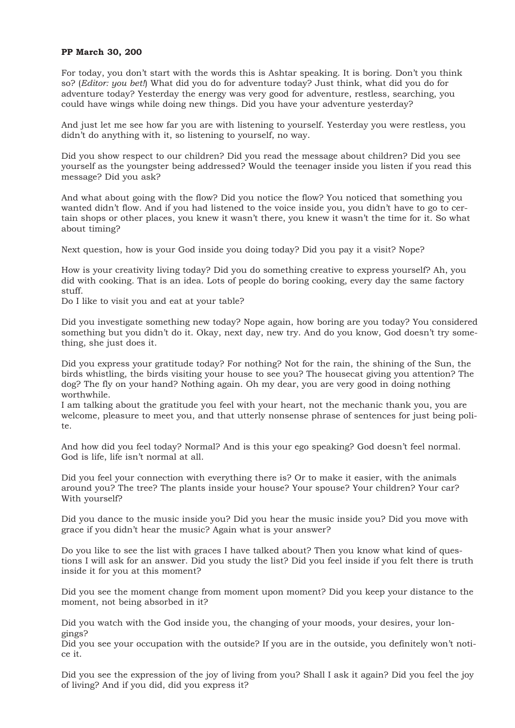### **PP March 30, 200**

For today, you don't start with the words this is Ashtar speaking. It is boring. Don't you think so? (*Editor: you bet!*) What did you do for adventure today? Just think, what did you do for adventure today? Yesterday the energy was very good for adventure, restless, searching, you could have wings while doing new things. Did you have your adventure yesterday?

And just let me see how far you are with listening to yourself. Yesterday you were restless, you didn't do anything with it, so listening to yourself, no way.

Did you show respect to our children? Did you read the message about children? Did you see yourself as the youngster being addressed? Would the teenager inside you listen if you read this message? Did you ask?

And what about going with the flow? Did you notice the flow? You noticed that something you wanted didn't flow. And if you had listened to the voice inside you, you didn't have to go to certain shops or other places, you knew it wasn't there, you knew it wasn't the time for it. So what about timing?

Next question, how is your God inside you doing today? Did you pay it a visit? Nope?

How is your creativity living today? Did you do something creative to express yourself? Ah, you did with cooking. That is an idea. Lots of people do boring cooking, every day the same factory stuff.

Do I like to visit you and eat at your table?

Did you investigate something new today? Nope again, how boring are you today? You considered something but you didn't do it. Okay, next day, new try. And do you know, God doesn't try something, she just does it.

Did you express your gratitude today? For nothing? Not for the rain, the shining of the Sun, the birds whistling, the birds visiting your house to see you? The housecat giving you attention? The dog? The fly on your hand? Nothing again. Oh my dear, you are very good in doing nothing worthwhile.

I am talking about the gratitude you feel with your heart, not the mechanic thank you, you are welcome, pleasure to meet you, and that utterly nonsense phrase of sentences for just being polite.

And how did you feel today? Normal? And is this your ego speaking? God doesn't feel normal. God is life, life isn't normal at all.

Did you feel your connection with everything there is? Or to make it easier, with the animals around you? The tree? The plants inside your house? Your spouse? Your children? Your car? With yourself?

Did you dance to the music inside you? Did you hear the music inside you? Did you move with grace if you didn't hear the music? Again what is your answer?

Do you like to see the list with graces I have talked about? Then you know what kind of questions I will ask for an answer. Did you study the list? Did you feel inside if you felt there is truth inside it for you at this moment?

Did you see the moment change from moment upon moment? Did you keep your distance to the moment, not being absorbed in it?

Did you watch with the God inside you, the changing of your moods, your desires, your longings?

Did you see your occupation with the outside? If you are in the outside, you definitely won't notice it.

Did you see the expression of the joy of living from you? Shall I ask it again? Did you feel the joy of living? And if you did, did you express it?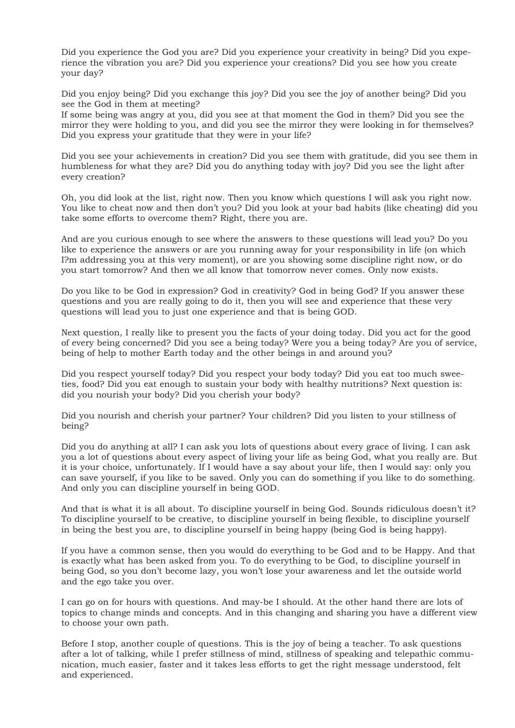Did you experience the God you are? Did you experience your creativity in being? Did you experience the vibration you are? Did you experience your creations? Did you see how you create your day?

Did you enjoy being? Did you exchange this joy? Did you see the joy of another being? Did you see the God in them at meeting?

If some being was angry at you, did you see at that moment the God in them? Did you see the mirror they were holding to you, and did you see the mirror they were looking in for themselves? Did you express your gratitude that they were in your life?

Did you see your achievements in creation? Did you see them with gratitude, did you see them in humbleness for what they are? Did you do anything today with joy? Did you see the light after every creation?

Oh, you did look at the list, right now. Then you know which questions I will ask you right now. You like to cheat now and then don't you? Did you look at your bad habits (like cheating) did you take some efforts to overcome them? Right, there you are.

And are you curious enough to see where the answers to these questions will lead you? Do you like to experience the answers or are you running away for your responsibility in life (on which I?m addressing you at this very moment), or are you showing some discipline right now, or do you start tomorrow? And then we all know that tomorrow never comes. Only now exists.

Do you like to be God in expression? God in creativity? God in being God? If you answer these questions and you are really going to do it, then you will see and experience that these very questions will lead you to just one experience and that is being GOD.

Next question, I really like to present you the facts of your doing today. Did you act for the good of every being concerned? Did you see a being today? Were you a being today? Are you of service, being of help to mother Earth today and the other beings in and around you?

Did you respect yourself today? Did you respect your body today? Did you eat too much sweeties, food? Did you eat enough to sustain your body with healthy nutritions? Next question is: did you nourish your body? Did you cherish your body?

Did you nourish and cherish your partner? Your children? Did you listen to your stillness of being?

Did you do anything at all? I can ask you lots of questions about every grace of living. I can ask you a lot of questions about every aspect of living your life as being God, what you really are. But it is your choice, unfortunately. If I would have a say about your life, then I would say: only you can save yourself, if you like to be saved. Only you can do something if you like to do something. And only you can discipline yourself in being GOD.

And that is what it is all about. To discipline yourself in being God. Sounds ridiculous doesn't it? To discipline yourself to be creative, to discipline yourself in being flexible, to discipline yourself in being the best you are, to discipline yourself in being happy (being God is being happy).

If you have a common sense, then you would do everything to be God and to be Happy. And that is exactly what has been asked from you. To do everything to be God, to discipline yourself in being God, so you don't become lazy, you won't lose your awareness and let the outside world and the ego take you over.

I can go on for hours with questions. And may-be I should. At the other hand there are lots of topics to change minds and concepts. And in this changing and sharing you have a different view to choose your own path.

Before I stop, another couple of questions. This is the joy of being a teacher. To ask questions after a lot of talking, while I prefer stillness of mind, stillness of speaking and telepathic communication, much easier, faster and it takes less efforts to get the right message understood, felt and experienced.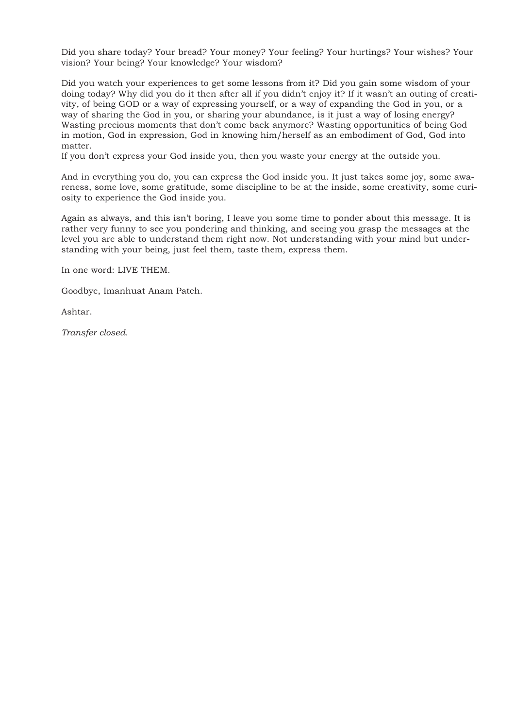Did you share today? Your bread? Your money? Your feeling? Your hurtings? Your wishes? Your vision? Your being? Your knowledge? Your wisdom?

Did you watch your experiences to get some lessons from it? Did you gain some wisdom of your doing today? Why did you do it then after all if you didn't enjoy it? If it wasn't an outing of creativity, of being GOD or a way of expressing yourself, or a way of expanding the God in you, or a way of sharing the God in you, or sharing your abundance, is it just a way of losing energy? Wasting precious moments that don't come back anymore? Wasting opportunities of being God in motion, God in expression, God in knowing him/herself as an embodiment of God, God into matter.

If you don't express your God inside you, then you waste your energy at the outside you.

And in everything you do, you can express the God inside you. It just takes some joy, some awareness, some love, some gratitude, some discipline to be at the inside, some creativity, some curiosity to experience the God inside you.

Again as always, and this isn't boring, I leave you some time to ponder about this message. It is rather very funny to see you pondering and thinking, and seeing you grasp the messages at the level you are able to understand them right now. Not understanding with your mind but understanding with your being, just feel them, taste them, express them.

In one word: LIVE THEM.

Goodbye, Imanhuat Anam Pateh.

Ashtar.

*Transfer closed.*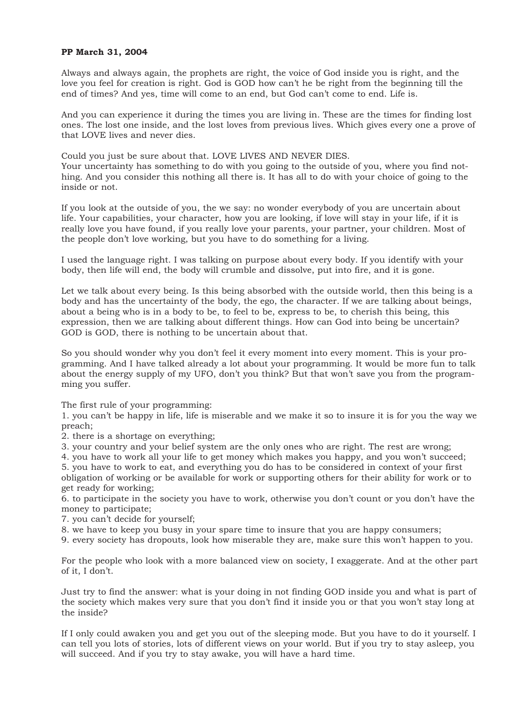## **PP March 31, 2004**

Always and always again, the prophets are right, the voice of God inside you is right, and the love you feel for creation is right. God is GOD how can't he be right from the beginning till the end of times? And yes, time will come to an end, but God can't come to end. Life is.

And you can experience it during the times you are living in. These are the times for finding lost ones. The lost one inside, and the lost loves from previous lives. Which gives every one a prove of that LOVE lives and never dies.

Could you just be sure about that. LOVE LIVES AND NEVER DIES. Your uncertainty has something to do with you going to the outside of you, where you find nothing. And you consider this nothing all there is. It has all to do with your choice of going to the inside or not.

If you look at the outside of you, the we say: no wonder everybody of you are uncertain about life. Your capabilities, your character, how you are looking, if love will stay in your life, if it is really love you have found, if you really love your parents, your partner, your children. Most of the people don't love working, but you have to do something for a living.

I used the language right. I was talking on purpose about every body. If you identify with your body, then life will end, the body will crumble and dissolve, put into fire, and it is gone.

Let we talk about every being. Is this being absorbed with the outside world, then this being is a body and has the uncertainty of the body, the ego, the character. If we are talking about beings, about a being who is in a body to be, to feel to be, express to be, to cherish this being, this expression, then we are talking about different things. How can God into being be uncertain? GOD is GOD, there is nothing to be uncertain about that.

So you should wonder why you don't feel it every moment into every moment. This is your programming. And I have talked already a lot about your programming. It would be more fun to talk about the energy supply of my UFO, don't you think? But that won't save you from the programming you suffer.

The first rule of your programming:

1. you can't be happy in life, life is miserable and we make it so to insure it is for you the way we preach;

2. there is a shortage on everything;

3. your country and your belief system are the only ones who are right. The rest are wrong;

4. you have to work all your life to get money which makes you happy, and you won't succeed; 5. you have to work to eat, and everything you do has to be considered in context of your first obligation of working or be available for work or supporting others for their ability for work or to get ready for working;

6. to participate in the society you have to work, otherwise you don't count or you don't have the money to participate;

7. you can't decide for yourself;

8. we have to keep you busy in your spare time to insure that you are happy consumers;

9. every society has dropouts, look how miserable they are, make sure this won't happen to you.

For the people who look with a more balanced view on society, I exaggerate. And at the other part of it, I don't.

Just try to find the answer: what is your doing in not finding GOD inside you and what is part of the society which makes very sure that you don't find it inside you or that you won't stay long at the inside?

If I only could awaken you and get you out of the sleeping mode. But you have to do it yourself. I can tell you lots of stories, lots of different views on your world. But if you try to stay asleep, you will succeed. And if you try to stay awake, you will have a hard time.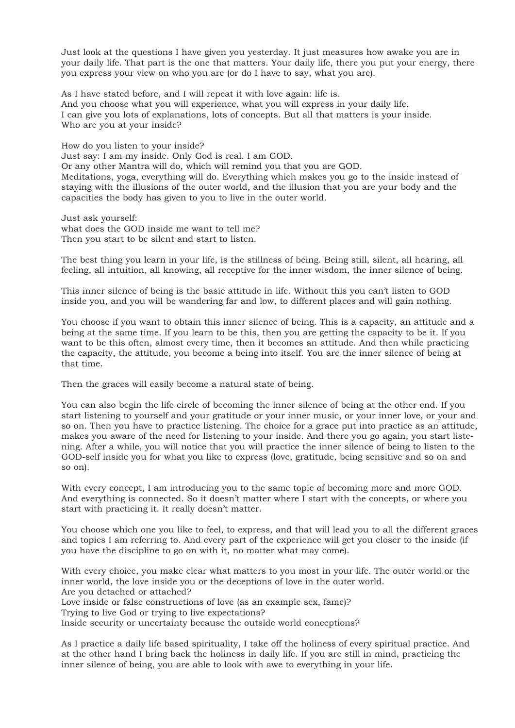Just look at the questions I have given you yesterday. It just measures how awake you are in your daily life. That part is the one that matters. Your daily life, there you put your energy, there you express your view on who you are (or do I have to say, what you are).

As I have stated before, and I will repeat it with love again: life is. And you choose what you will experience, what you will express in your daily life. I can give you lots of explanations, lots of concepts. But all that matters is your inside. Who are you at your inside?

How do you listen to your inside?

Just say: I am my inside. Only God is real. I am GOD.

Or any other Mantra will do, which will remind you that you are GOD.

Meditations, yoga, everything will do. Everything which makes you go to the inside instead of staying with the illusions of the outer world, and the illusion that you are your body and the capacities the body has given to you to live in the outer world.

Just ask yourself: what does the GOD inside me want to tell me? Then you start to be silent and start to listen.

The best thing you learn in your life, is the stillness of being. Being still, silent, all hearing, all feeling, all intuition, all knowing, all receptive for the inner wisdom, the inner silence of being.

This inner silence of being is the basic attitude in life. Without this you can't listen to GOD inside you, and you will be wandering far and low, to different places and will gain nothing.

You choose if you want to obtain this inner silence of being. This is a capacity, an attitude and a being at the same time. If you learn to be this, then you are getting the capacity to be it. If you want to be this often, almost every time, then it becomes an attitude. And then while practicing the capacity, the attitude, you become a being into itself. You are the inner silence of being at that time.

Then the graces will easily become a natural state of being.

You can also begin the life circle of becoming the inner silence of being at the other end. If you start listening to yourself and your gratitude or your inner music, or your inner love, or your and so on. Then you have to practice listening. The choice for a grace put into practice as an attitude, makes you aware of the need for listening to your inside. And there you go again, you start listening. After a while, you will notice that you will practice the inner silence of being to listen to the GOD-self inside you for what you like to express (love, gratitude, being sensitive and so on and so on).

With every concept. I am introducing you to the same topic of becoming more and more GOD. And everything is connected. So it doesn't matter where I start with the concepts, or where you start with practicing it. It really doesn't matter.

You choose which one you like to feel, to express, and that will lead you to all the different graces and topics I am referring to. And every part of the experience will get you closer to the inside (if you have the discipline to go on with it, no matter what may come).

With every choice, you make clear what matters to you most in your life. The outer world or the inner world, the love inside you or the deceptions of love in the outer world. Are you detached or attached?

Love inside or false constructions of love (as an example sex, fame)?

Trying to live God or trying to live expectations?

Inside security or uncertainty because the outside world conceptions?

As I practice a daily life based spirituality, I take off the holiness of every spiritual practice. And at the other hand I bring back the holiness in daily life. If you are still in mind, practicing the inner silence of being, you are able to look with awe to everything in your life.